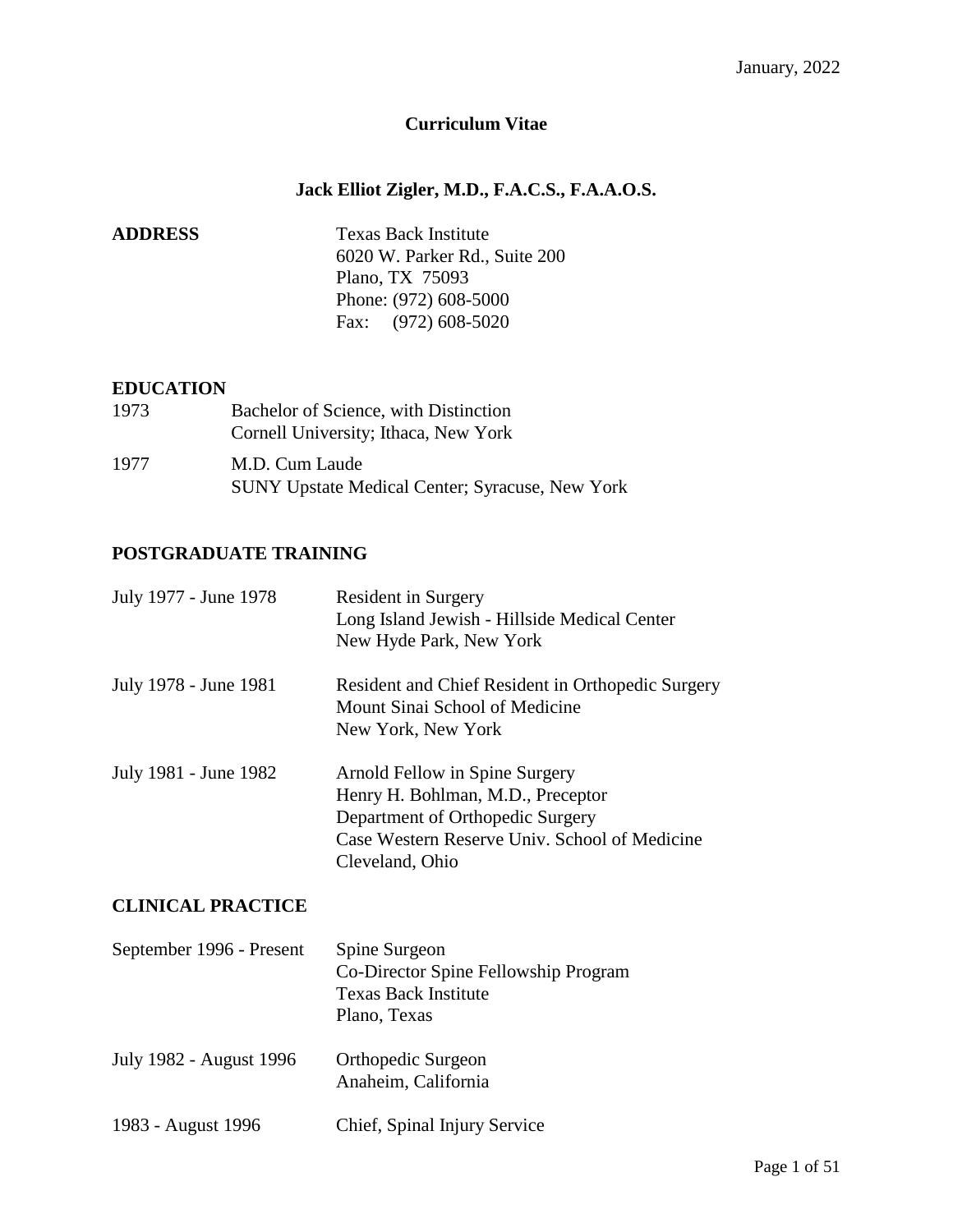# **Curriculum Vitae**

# **Jack Elliot Zigler, M.D., F.A.C.S., F.A.A.O.S.**

| <b>Texas Back Institute</b>   |
|-------------------------------|
| 6020 W. Parker Rd., Suite 200 |
| Plano, TX 75093               |
| Phone: (972) 608-5000         |
| Fax: $(972)$ 608-5020         |
|                               |

#### **EDUCATION**

| 1973 | Bachelor of Science, with Distinction<br>Cornell University; Ithaca, New York |
|------|-------------------------------------------------------------------------------|
| 1977 | M.D. Cum Laude<br><b>SUNY Upstate Medical Center; Syracuse, New York</b>      |

## **POSTGRADUATE TRAINING**

| July 1977 - June 1978 | <b>Resident in Surgery</b><br>Long Island Jewish - Hillside Medical Center<br>New Hyde Park, New York                                                                       |
|-----------------------|-----------------------------------------------------------------------------------------------------------------------------------------------------------------------------|
| July 1978 - June 1981 | Resident and Chief Resident in Orthopedic Surgery<br>Mount Sinai School of Medicine<br>New York, New York                                                                   |
| July 1981 - June 1982 | Arnold Fellow in Spine Surgery<br>Henry H. Bohlman, M.D., Preceptor<br>Department of Orthopedic Surgery<br>Case Western Reserve Univ. School of Medicine<br>Cleveland, Ohio |

## **CLINICAL PRACTICE**

| September 1996 - Present | Spine Surgeon<br>Co-Director Spine Fellowship Program<br><b>Texas Back Institute</b><br>Plano, Texas |
|--------------------------|------------------------------------------------------------------------------------------------------|
| July 1982 - August 1996  | Orthopedic Surgeon<br>Anaheim, California                                                            |
| 1983 - August 1996       | Chief, Spinal Injury Service                                                                         |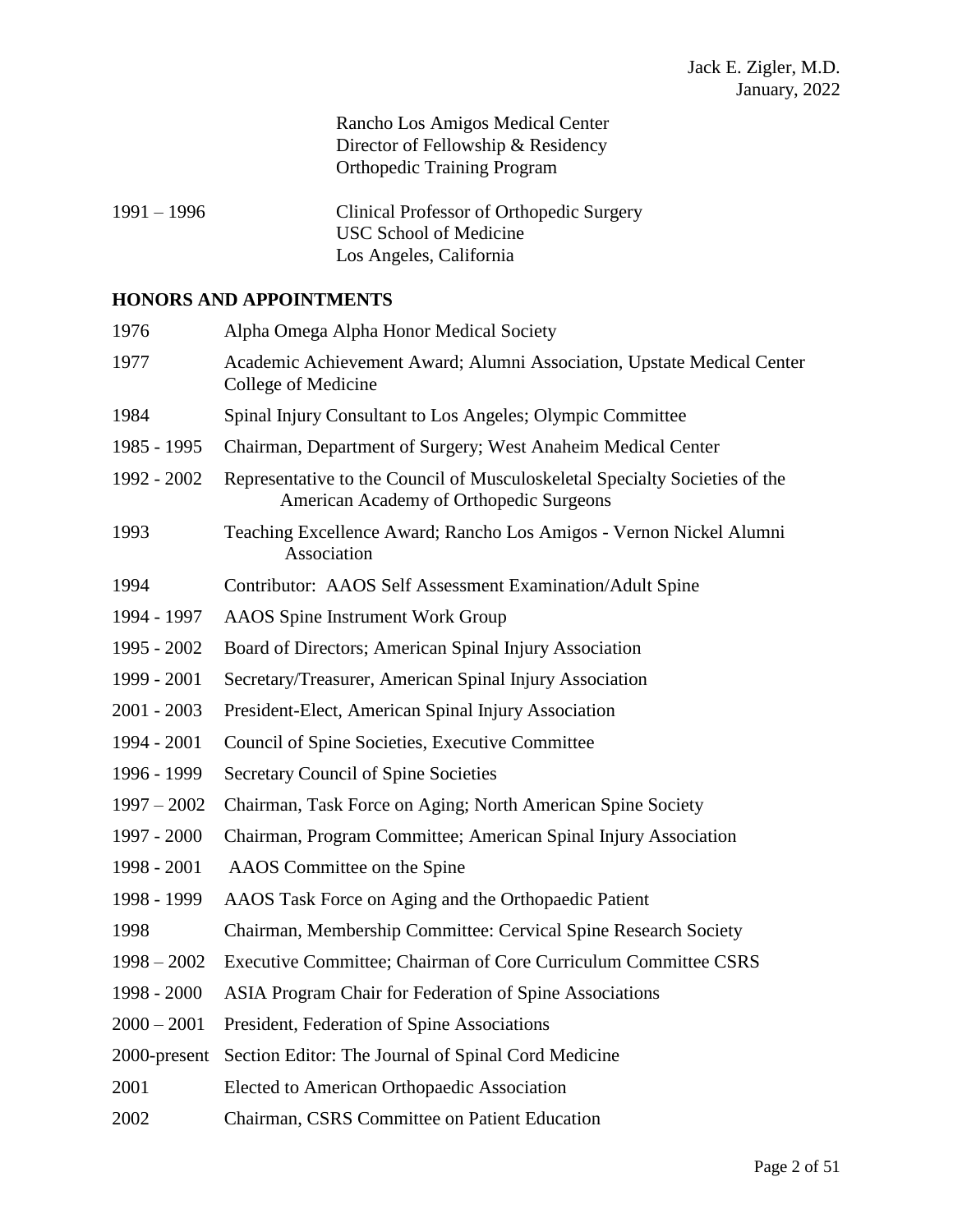Rancho Los Amigos Medical Center Director of Fellowship & Residency Orthopedic Training Program

1991 – 1996 Clinical Professor of Orthopedic Surgery USC School of Medicine Los Angeles, California

#### **HONORS AND APPOINTMENTS**

| 1976          | Alpha Omega Alpha Honor Medical Society                                                                                |
|---------------|------------------------------------------------------------------------------------------------------------------------|
| 1977          | Academic Achievement Award; Alumni Association, Upstate Medical Center<br>College of Medicine                          |
| 1984          | Spinal Injury Consultant to Los Angeles; Olympic Committee                                                             |
| 1985 - 1995   | Chairman, Department of Surgery; West Anaheim Medical Center                                                           |
| 1992 - 2002   | Representative to the Council of Musculoskeletal Specialty Societies of the<br>American Academy of Orthopedic Surgeons |
| 1993          | Teaching Excellence Award; Rancho Los Amigos - Vernon Nickel Alumni<br>Association                                     |
| 1994          | Contributor: AAOS Self Assessment Examination/Adult Spine                                                              |
| 1994 - 1997   | <b>AAOS</b> Spine Instrument Work Group                                                                                |
| 1995 - 2002   | Board of Directors; American Spinal Injury Association                                                                 |
| 1999 - 2001   | Secretary/Treasurer, American Spinal Injury Association                                                                |
| $2001 - 2003$ | President-Elect, American Spinal Injury Association                                                                    |
| 1994 - 2001   | Council of Spine Societies, Executive Committee                                                                        |
| 1996 - 1999   | Secretary Council of Spine Societies                                                                                   |
| $1997 - 2002$ | Chairman, Task Force on Aging; North American Spine Society                                                            |
| 1997 - 2000   | Chairman, Program Committee; American Spinal Injury Association                                                        |
| 1998 - 2001   | AAOS Committee on the Spine                                                                                            |
| 1998 - 1999   | AAOS Task Force on Aging and the Orthopaedic Patient                                                                   |
| 1998          | Chairman, Membership Committee: Cervical Spine Research Society                                                        |
| $1998 - 2002$ | Executive Committee; Chairman of Core Curriculum Committee CSRS                                                        |
| 1998 - 2000   | ASIA Program Chair for Federation of Spine Associations                                                                |
| $2000 - 2001$ | President, Federation of Spine Associations                                                                            |
| 2000-present  | Section Editor: The Journal of Spinal Cord Medicine                                                                    |
| 2001          | Elected to American Orthopaedic Association                                                                            |
| 2002          | Chairman, CSRS Committee on Patient Education                                                                          |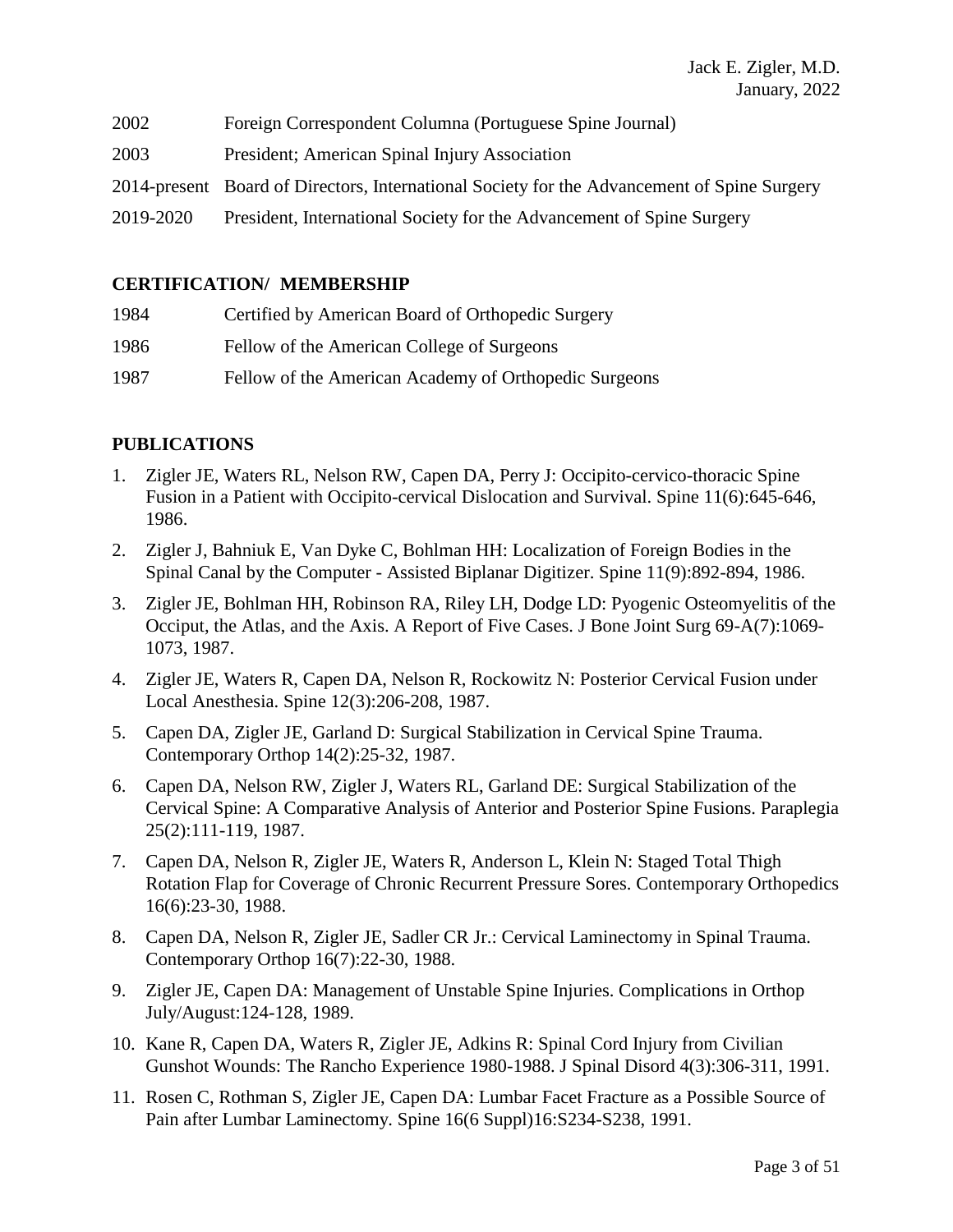| 2002 | Foreign Correspondent Columna (Portuguese Spine Journal) |  |
|------|----------------------------------------------------------|--|
|      |                                                          |  |

- 2003 President; American Spinal Injury Association
- 2014-present Board of Directors, International Society for the Advancement of Spine Surgery
- 2019-2020 President, International Society for the Advancement of Spine Surgery

#### **CERTIFICATION/ MEMBERSHIP**

| 1984 | Certified by American Board of Orthopedic Surgery     |
|------|-------------------------------------------------------|
| 1986 | Fellow of the American College of Surgeons            |
| 1987 | Fellow of the American Academy of Orthopedic Surgeons |

### **PUBLICATIONS**

- 1. [Zigler JE, Waters RL, Nelson RW, Capen DA, Perry J: O](http://www.ncbi.nlm.nih.gov/entrez/query.fcgi?cmd=Retrieve&db=PubMed&list_uids=3787336&dopt=Abstract)ccipito-cervico-thoracic Spine Fusion in a Patient with Occipito-cervical Dislocation and Survival. Spine 11(6):645-646, 1986.
- 2. Zigler J, Bahniuk E, Van Dyke C, Bohlman HH: Localization of Foreign Bodies in the Spinal Canal by the Computer - Assisted Biplanar Digitizer. Spine 11(9):892-894, 1986.
- 3. Zigler JE, Bohlman HH, Robinson RA, Riley LH, Dodge LD: Pyogenic Osteomyelitis of the Occiput, the Atlas, and the Axis. A Report of Five Cases. J Bone Joint Surg 69-A(7):1069- 1073, 1987.
- 4. Zigler JE, Waters R, Capen DA, Nelson R, Rockowitz N: Posterior Cervical Fusion under Local Anesthesia. Spine 12(3):206-208, 1987.
- 5. Capen DA, Zigler JE, Garland D: Surgical Stabilization in Cervical Spine Trauma. Contemporary Orthop 14(2):25-32, 1987.
- 6. Capen DA, Nelson RW, Zigler J, Waters RL, Garland DE: Surgical Stabilization of the Cervical Spine: A Comparative Analysis of Anterior and Posterior Spine Fusions. Paraplegia 25(2):111-119, 1987.
- 7. Capen DA, Nelson R, Zigler JE, Waters R, Anderson L, Klein N: Staged Total Thigh Rotation Flap for Coverage of Chronic Recurrent Pressure Sores. Contemporary Orthopedics 16(6):23-30, 1988.
- 8. Capen DA, Nelson R, Zigler JE, Sadler CR Jr.: Cervical Laminectomy in Spinal Trauma. Contemporary Orthop 16(7):22-30, 1988.
- 9. Zigler JE, Capen DA: Management of Unstable Spine Injuries. Complications in Orthop July/August:124-128, 1989.
- 10. Kane R, Capen DA, Waters R, Zigler JE, Adkins R: Spinal Cord Injury from Civilian Gunshot Wounds: The Rancho Experience 1980-1988. J Spinal Disord 4(3):306-311, 1991.
- 11. Rosen C, Rothman S, Zigler JE, Capen DA: Lumbar Facet Fracture as a Possible Source of Pain after Lumbar Laminectomy. Spine 16(6 Suppl)16:S234-S238, 1991.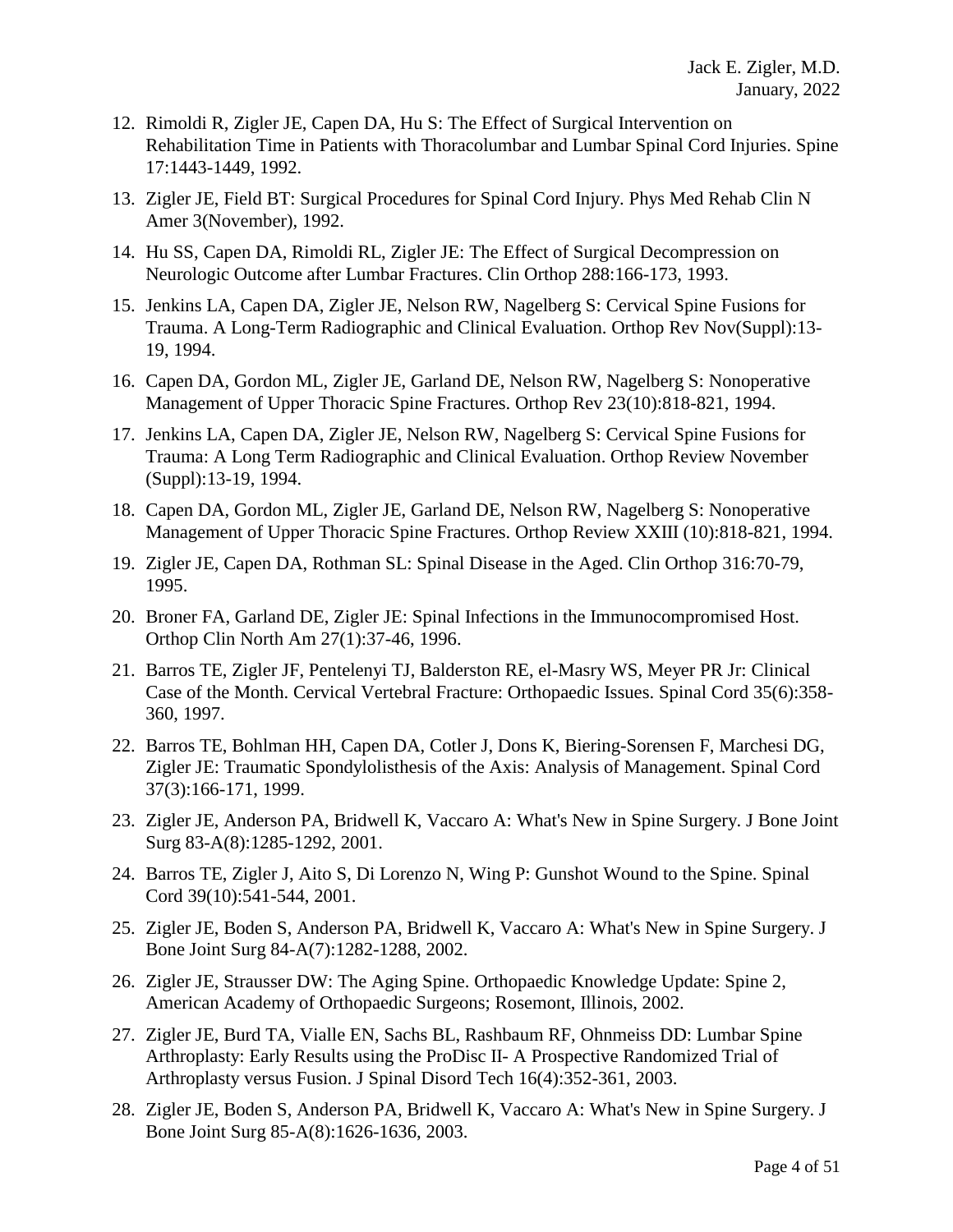- 12. Rimoldi R, Zigler JE, Capen DA, Hu S: The Effect of Surgical Intervention on Rehabilitation Time in Patients with Thoracolumbar and Lumbar Spinal Cord Injuries. Spine 17:1443-1449, 1992.
- 13. Zigler JE, Field BT: Surgical Procedures for Spinal Cord Injury. Phys Med Rehab Clin N Amer 3(November), 1992.
- 14. [Hu SS, Capen DA, Rimoldi RL, Zigler JE: T](http://www.ncbi.nlm.nih.gov/entrez/query.fcgi?cmd=Retrieve&db=PubMed&list_uids=8458130&dopt=Abstract)he Effect of Surgical Decompression on Neurologic Outcome after Lumbar Fractures. Clin Orthop 288:166-173, 1993.
- 15. [Jenkins LA, Capen DA, Zigler JE, Nelson RW, Nagelberg S:](http://www.ncbi.nlm.nih.gov/entrez/query.fcgi?cmd=Retrieve&db=PubMed&list_uids=7854834&dopt=Abstract) Cervical Spine Fusions for Trauma. A Long-Term Radiographic and Clinical Evaluation. Orthop Rev Nov(Suppl):13- 19, 1994.
- 16. [Capen DA, Gordon ML, Zigler JE, Garland DE, Nelson RW, Nagelberg S:](http://www.ncbi.nlm.nih.gov/entrez/query.fcgi?cmd=Retrieve&db=PubMed&list_uids=7824293&dopt=Abstract) Nonoperative Management of Upper Thoracic Spine Fractures. Orthop Rev 23(10):818-821, 1994.
- 17. Jenkins LA, Capen DA, Zigler JE, Nelson RW, Nagelberg S: Cervical Spine Fusions for Trauma: A Long Term Radiographic and Clinical Evaluation. Orthop Review November (Suppl):13-19, 1994.
- 18. Capen DA, Gordon ML, Zigler JE, Garland DE, Nelson RW, Nagelberg S: Nonoperative Management of Upper Thoracic Spine Fractures. Orthop Review XXIII (10):818-821, 1994.
- 19. [Zigler JE, Capen DA, Rothman SL:](http://www.ncbi.nlm.nih.gov/entrez/query.fcgi?cmd=Retrieve&db=PubMed&list_uids=7634727&dopt=Abstract) Spinal Disease in the Aged. Clin Orthop 316:70-79, 1995.
- 20. [Broner FA, Garland DE, Zigler JE:](http://www.ncbi.nlm.nih.gov/entrez/query.fcgi?cmd=Retrieve&db=PubMed&list_uids=8539051&dopt=Abstract) Spinal Infections in the Immunocompromised Host. Orthop Clin North Am 27(1):37-46, 1996.
- 21. [Barros TE, Zigler JF, Pentelenyi TJ, Balderston RE, el-Masry WS, Meyer PR Jr: C](http://www.ncbi.nlm.nih.gov/entrez/query.fcgi?cmd=Retrieve&db=PubMed&list_uids=9194257&dopt=Abstract)linical Case of the Month. Cervical Vertebral Fracture: Orthopaedic Issues. Spinal Cord 35(6):358- 360, 1997.
- 22. [Barros TE, Bohlman HH, Capen DA, Cotler J, Dons K, Biering-Sorensen F, Marchesi DG,](http://www.ncbi.nlm.nih.gov/entrez/query.fcgi?cmd=Retrieve&db=PubMed&list_uids=10213325&dopt=Abstract)  [Zigler JE:](http://www.ncbi.nlm.nih.gov/entrez/query.fcgi?cmd=Retrieve&db=PubMed&list_uids=10213325&dopt=Abstract) Traumatic Spondylolisthesis of the Axis: Analysis of Management. Spinal Cord 37(3):166-171, 1999.
- 23. [Zigler JE, Anderson PA, Bridwell K, Vaccaro A:](http://www.ncbi.nlm.nih.gov/entrez/query.fcgi?cmd=Retrieve&db=PubMed&list_uids=11507151&dopt=Abstract) What's New in Spine Surgery. J Bone Joint Surg 83-A(8):1285-1292, 2001.
- 24. Barros TE, Zigler J, Aito S, Di Lorenzo N, Wing P: Gunshot Wound to the Spine. Spinal Cord 39(10):541-544, 2001.
- 25. [Zigler JE, Boden S, Anderson PA, Bridwell K, Vaccaro A:](http://www.ncbi.nlm.nih.gov/entrez/query.fcgi?cmd=Retrieve&db=PubMed&list_uids=12107338&dopt=Abstract) What's New in Spine Surgery. J Bone Joint Surg 84-A(7):1282-1288, 2002.
- 26. Zigler JE, Strausser DW: The Aging Spine. Orthopaedic Knowledge Update: Spine 2, American Academy of Orthopaedic Surgeons; Rosemont, Illinois, 2002.
- 27. Zigler JE, Burd TA, Vialle EN, Sachs BL, Rashbaum RF, Ohnmeiss DD: Lumbar Spine Arthroplasty: Early Results using the ProDisc II- A Prospective Randomized Trial of Arthroplasty versus Fusion. J Spinal Disord Tech 16(4):352-361, 2003.
- 28. [Zigler JE, Boden S, Anderson PA, Bridwell K, Vaccaro A:](http://www.ncbi.nlm.nih.gov/entrez/query.fcgi?cmd=Retrieve&db=PubMed&list_uids=12107338&dopt=Abstract) What's New in Spine Surgery. J Bone Joint Surg 85-A(8):1626-1636, 2003.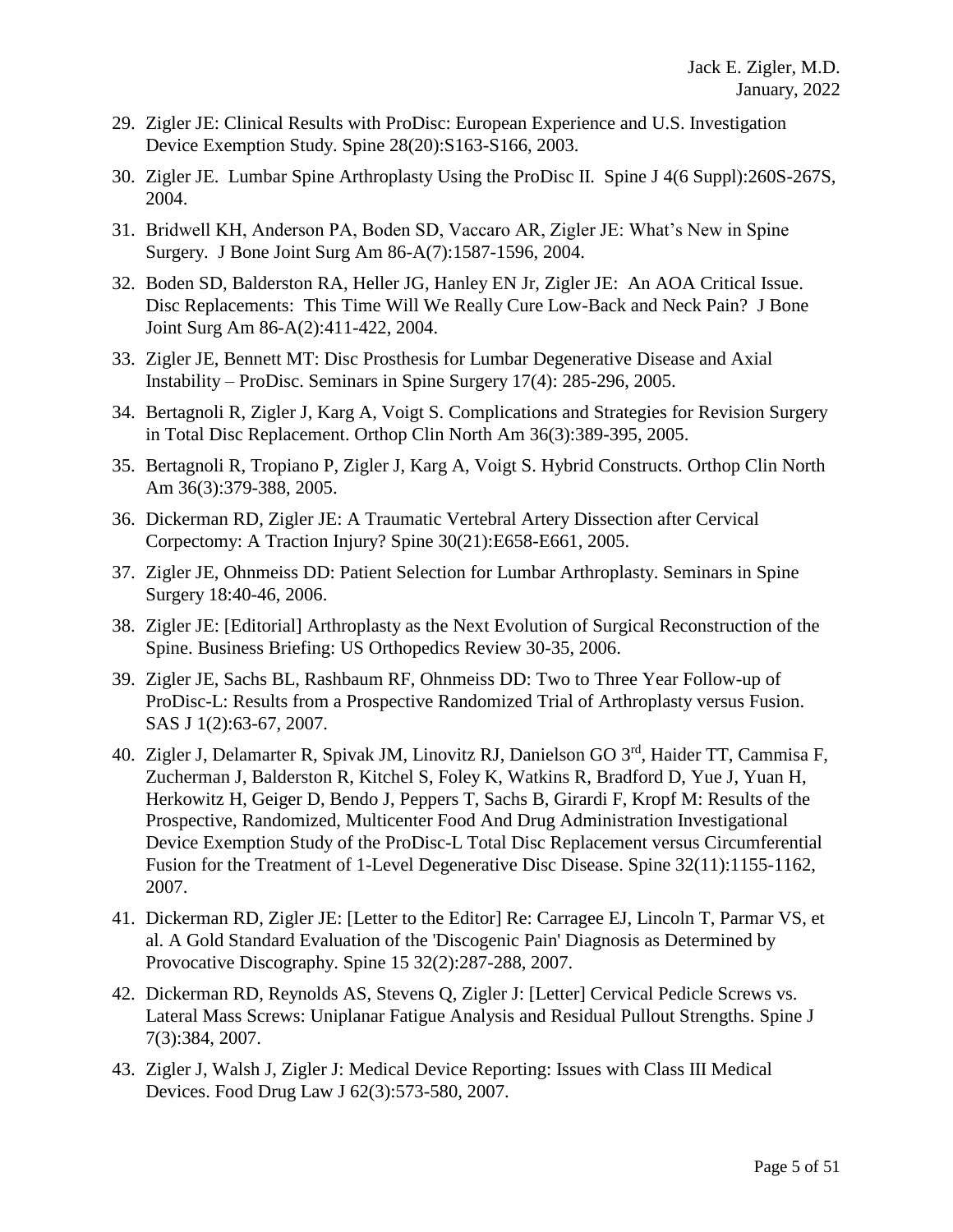- 29. Zigler JE: Clinical Results with ProDisc: European Experience and U.S. Investigation Device Exemption Study. Spine 28(20):S163-S166, 2003.
- 30. Zigler JE. Lumbar Spine Arthroplasty Using the ProDisc II. Spine J 4(6 Suppl):260S-267S, 2004.
- 31. Bridwell KH, Anderson PA, Boden SD, Vaccaro AR, Zigler JE: What's New in Spine Surgery. J Bone Joint Surg Am 86-A(7):1587-1596, 2004.
- 32. Boden SD, Balderston RA, Heller JG, Hanley EN Jr, Zigler JE: An AOA Critical Issue. Disc Replacements: This Time Will We Really Cure Low-Back and Neck Pain? J Bone Joint Surg Am 86-A(2):411-422, 2004.
- 33. Zigler JE, Bennett MT: Disc Prosthesis for Lumbar Degenerative Disease and Axial Instability – ProDisc. Seminars in Spine Surgery 17(4): 285-296, 2005.
- 34. [Bertagnoli R,](http://www.ncbi.nlm.nih.gov/entrez/query.fcgi?db=pubmed&cmd=Search&term=%22Bertagnoli+R%22%5BAuthor%5D) [Zigler J,](http://www.ncbi.nlm.nih.gov/entrez/query.fcgi?db=pubmed&cmd=Search&term=%22Zigler+J%22%5BAuthor%5D) [Karg A,](http://www.ncbi.nlm.nih.gov/entrez/query.fcgi?db=pubmed&cmd=Search&term=%22Karg+A%22%5BAuthor%5D) [Voigt S.](http://www.ncbi.nlm.nih.gov/entrez/query.fcgi?db=pubmed&cmd=Search&term=%22Voigt+S%22%5BAuthor%5D) Complications and Strategies for Revision Surgery in Total Disc Replacement. Orthop Clin North Am 36(3):389-395, 2005.
- 35. [Bertagnoli R, Tropiano P, Zigler J, Karg A, Voigt S.](http://www.ncbi.nlm.nih.gov/entrez/query.fcgi?cmd=Retrieve&db=pubmed&dopt=Abstract&list_uids=15950698&query_hl=13) Hybrid Constructs. Orthop Clin North Am 36(3):379-388, 2005.
- 36. [Dickerman RD, Zigler JE: A](http://www.ncbi.nlm.nih.gov/entrez/query.fcgi?cmd=Retrieve&db=pubmed&dopt=Abstract&list_uids=16261105&query_hl=9&itool=pubmed_docsum) Traumatic Vertebral Artery Dissection after Cervical Corpectomy: A Traction Injury? Spine 30(21):E658-E661, 2005.
- 37. Zigler JE, Ohnmeiss DD: Patient Selection for Lumbar Arthroplasty. Seminars in Spine Surgery 18:40-46, 2006.
- 38. Zigler JE: [Editorial] Arthroplasty as the Next Evolution of Surgical Reconstruction of the Spine. Business Briefing: US Orthopedics Review 30-35, 2006.
- 39. Zigler JE, Sachs BL, Rashbaum RF, Ohnmeiss DD: Two to Three Year Follow-up of ProDisc-L: Results from a Prospective Randomized Trial of Arthroplasty versus Fusion. SAS J 1(2):63-67, 2007.
- 40. Zigler J, Delamarter R, Spivak JM, Linovitz RJ, Danielson GO 3<sup>rd</sup>, Haider TT, Cammisa F, Zucherman J, Balderston R, Kitchel S, Foley K, Watkins R, Bradford D, Yue J, Yuan H, Herkowitz H, Geiger D, Bendo J, Peppers T, Sachs B, Girardi F, Kropf M: Results of the Prospective, Randomized, Multicenter Food And Drug Administration Investigational Device Exemption Study of the ProDisc-L Total Disc Replacement versus Circumferential Fusion for the Treatment of 1-Level Degenerative Disc Disease. Spine 32(11):1155-1162, 2007.
- 41. Dickerman RD, Zigler JE: [Letter to the Editor] Re: Carragee EJ, Lincoln T, Parmar VS, et al. A Gold Standard Evaluation of the 'Discogenic Pain' Diagnosis as Determined by Provocative Discography. Spine 15 32(2):287-288, 2007.
- 42. [Dickerman RD,](http://www.ncbi.nlm.nih.gov/sites/?Db=pubmed&Cmd=Search&Term=%22Dickerman%20RD%22%5BAuthor%5D&itool=EntrezSystem2.PEntrez.Pubmed.Pubmed_ResultsPanel.Pubmed_RVAbstractPlus) [Reynolds AS,](http://www.ncbi.nlm.nih.gov/sites/?Db=pubmed&Cmd=Search&Term=%22Reynolds%20AS%22%5BAuthor%5D&itool=EntrezSystem2.PEntrez.Pubmed.Pubmed_ResultsPanel.Pubmed_RVAbstractPlus) [Stevens Q,](http://www.ncbi.nlm.nih.gov/sites/?Db=pubmed&Cmd=Search&Term=%22Stevens%20Q%22%5BAuthor%5D&itool=EntrezSystem2.PEntrez.Pubmed.Pubmed_ResultsPanel.Pubmed_RVAbstractPlus) [Zigler J:](http://www.ncbi.nlm.nih.gov/sites/?Db=pubmed&Cmd=Search&Term=%22Zigler%20J%22%5BAuthor%5D&itool=EntrezSystem2.PEntrez.Pubmed.Pubmed_ResultsPanel.Pubmed_RVAbstractPlus) [Letter] Cervical Pedicle Screws vs. Lateral Mass Screws: Uniplanar Fatigue Analysis and Residual Pullout Strengths. Spine J 7(3):384, 2007.
- 43. Zigler J, Walsh J, Zigler J: Medical Device Reporting: Issues with Class III Medical Devices. Food Drug Law J 62(3):573-580, 2007.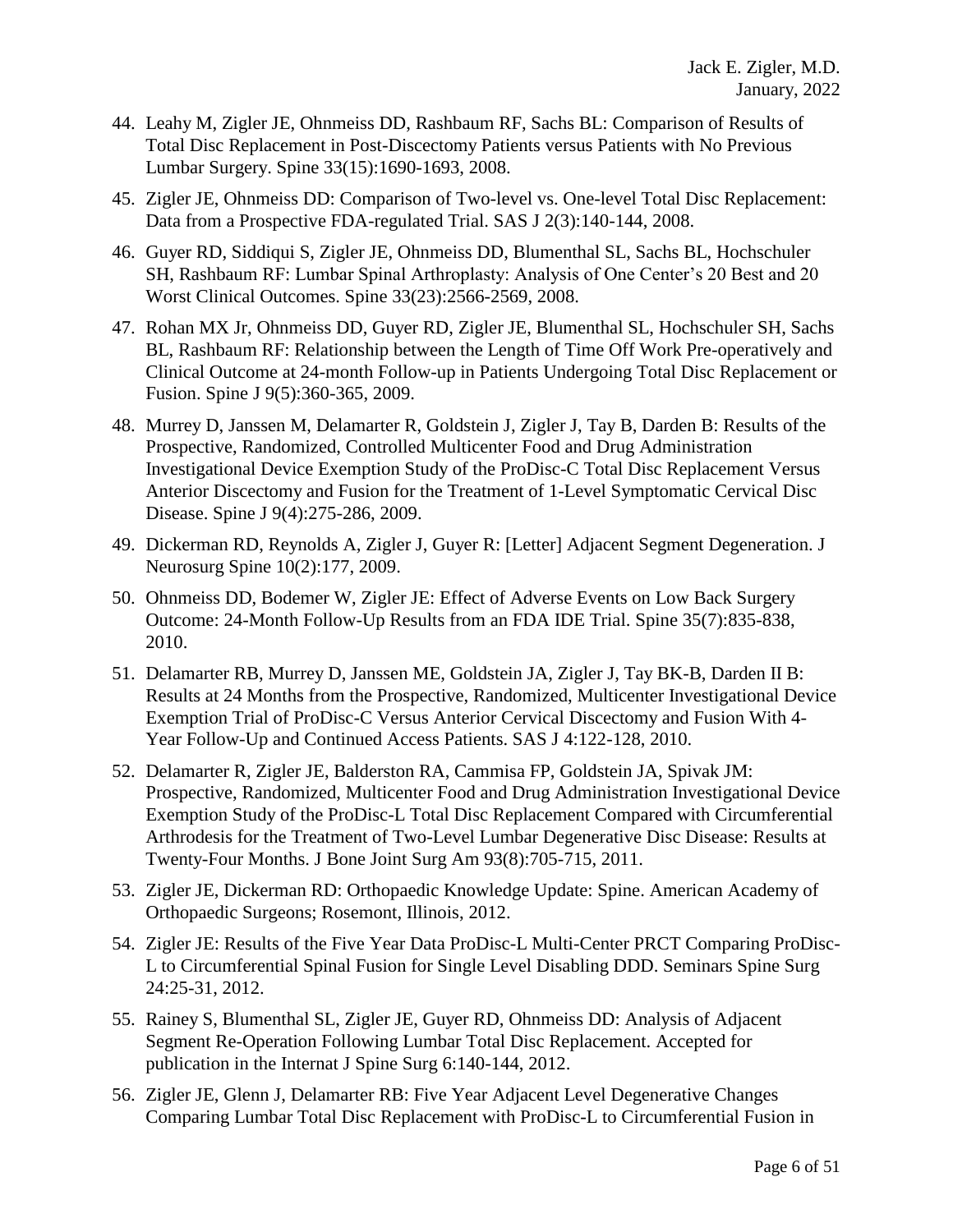- 44. Leahy M, Zigler JE, Ohnmeiss DD, Rashbaum RF, Sachs BL: Comparison of Results of Total Disc Replacement in Post-Discectomy Patients versus Patients with No Previous Lumbar Surgery. Spine 33(15):1690-1693, 2008.
- 45. Zigler JE, Ohnmeiss DD: Comparison of Two-level vs. One-level Total Disc Replacement: Data from a Prospective FDA-regulated Trial. SAS J 2(3):140-144, 2008.
- 46. Guyer RD, Siddiqui S, Zigler JE, Ohnmeiss DD, Blumenthal SL, Sachs BL, Hochschuler SH, Rashbaum RF: Lumbar Spinal Arthroplasty: Analysis of One Center's 20 Best and 20 Worst Clinical Outcomes. Spine 33(23):2566-2569, 2008.
- 47. Rohan MX Jr, Ohnmeiss DD, Guyer RD, Zigler JE, Blumenthal SL, Hochschuler SH, Sachs BL, Rashbaum RF: Relationship between the Length of Time Off Work Pre-operatively and Clinical Outcome at 24-month Follow-up in Patients Undergoing Total Disc Replacement or Fusion. Spine J 9(5):360-365, 2009.
- 48. Murrey D, Janssen M, Delamarter R, Goldstein J, Zigler J, Tay B, Darden B: Results of the Prospective, Randomized, Controlled Multicenter Food and Drug Administration Investigational Device Exemption Study of the ProDisc-C Total Disc Replacement Versus Anterior Discectomy and Fusion for the Treatment of 1-Level Symptomatic Cervical Disc Disease. Spine J 9(4):275-286, 2009.
- 49. Dickerman RD, Reynolds A, Zigler J, Guyer R: [Letter] Adjacent Segment Degeneration. J Neurosurg Spine 10(2):177, 2009.
- 50. Ohnmeiss DD, Bodemer W, Zigler JE: Effect of Adverse Events on Low Back Surgery Outcome: 24-Month Follow-Up Results from an FDA IDE Trial. Spine 35(7):835-838, 2010.
- 51. Delamarter RB, Murrey D, Janssen ME, Goldstein JA, Zigler J, Tay BK-B, Darden II B: Results at 24 Months from the Prospective, Randomized, Multicenter Investigational Device Exemption Trial of ProDisc-C Versus Anterior Cervical Discectomy and Fusion With 4- Year Follow-Up and Continued Access Patients. SAS J 4:122-128, 2010.
- 52. Delamarter R, Zigler JE, Balderston RA, Cammisa FP, Goldstein JA, Spivak JM: Prospective, Randomized, Multicenter Food and Drug Administration Investigational Device Exemption Study of the ProDisc-L Total Disc Replacement Compared with Circumferential Arthrodesis for the Treatment of Two-Level Lumbar Degenerative Disc Disease: Results at Twenty-Four Months. J Bone Joint Surg Am 93(8):705-715, 2011.
- 53. Zigler JE, Dickerman RD: Orthopaedic Knowledge Update: Spine. American Academy of Orthopaedic Surgeons; Rosemont, Illinois, 2012.
- 54. Zigler JE: Results of the Five Year Data ProDisc-L Multi-Center PRCT Comparing ProDisc-L to Circumferential Spinal Fusion for Single Level Disabling DDD. Seminars Spine Surg 24:25-31, 2012.
- 55. Rainey S, Blumenthal SL, Zigler JE, Guyer RD, Ohnmeiss DD: Analysis of Adjacent Segment Re-Operation Following Lumbar Total Disc Replacement. Accepted for publication in the Internat J Spine Surg 6:140-144, 2012.
- 56. Zigler JE, Glenn J, Delamarter RB: Five Year Adjacent Level Degenerative Changes Comparing Lumbar Total Disc Replacement with ProDisc-L to Circumferential Fusion in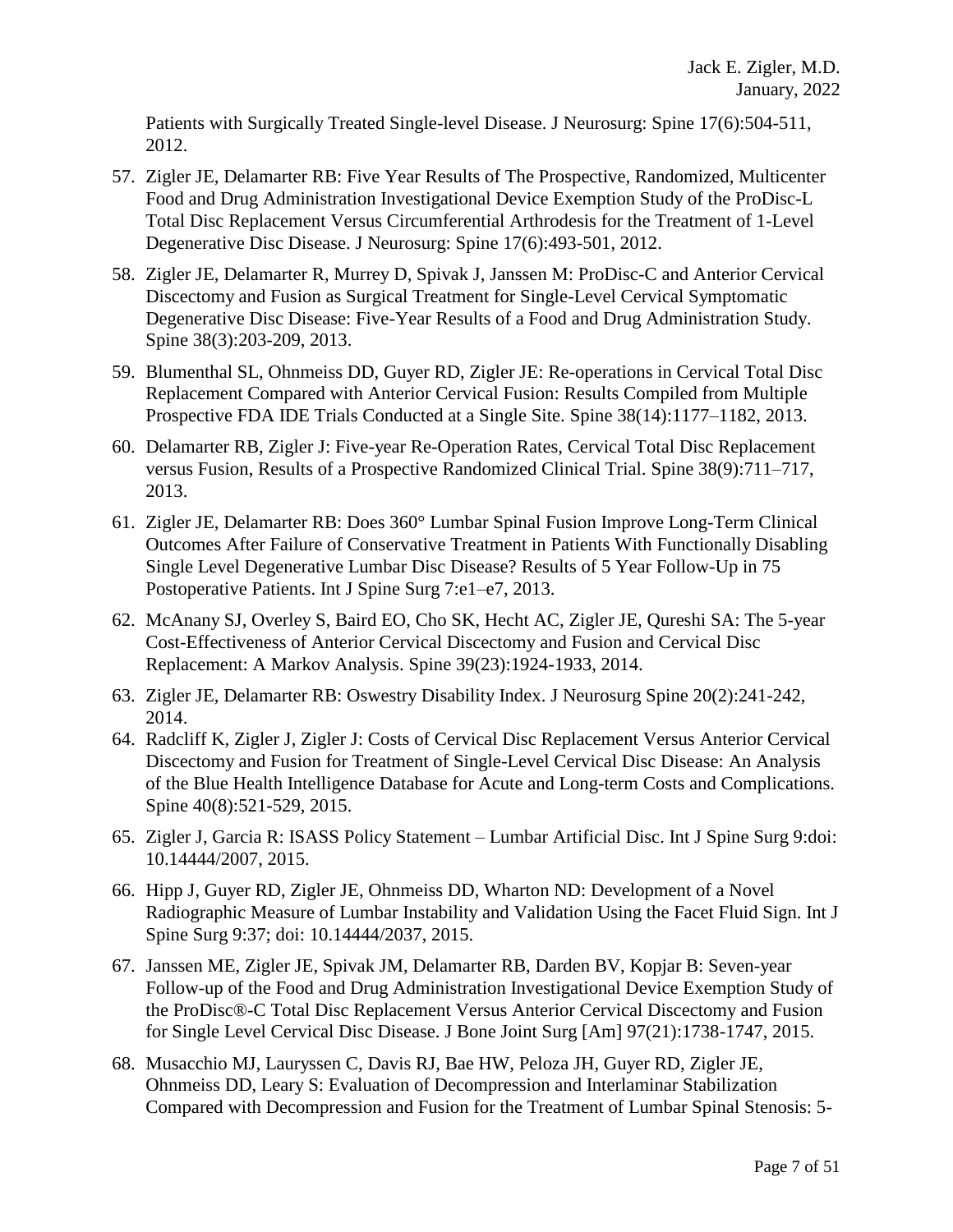Patients with Surgically Treated Single-level Disease. J Neurosurg: Spine 17(6):504-511, 2012.

- 57. Zigler JE, Delamarter RB: Five Year Results of The Prospective, Randomized, Multicenter Food and Drug Administration Investigational Device Exemption Study of the ProDisc-L Total Disc Replacement Versus Circumferential Arthrodesis for the Treatment of 1-Level Degenerative Disc Disease. J Neurosurg: Spine 17(6):493-501, 2012.
- 58. Zigler JE, Delamarter R, Murrey D, Spivak J, Janssen M: ProDisc-C and Anterior Cervical Discectomy and Fusion as Surgical Treatment for Single-Level Cervical Symptomatic Degenerative Disc Disease: Five-Year Results of a Food and Drug Administration Study. Spine 38(3):203-209, 2013.
- 59. Blumenthal SL, Ohnmeiss DD, Guyer RD, Zigler JE: Re-operations in Cervical Total Disc Replacement Compared with Anterior Cervical Fusion: Results Compiled from Multiple Prospective FDA IDE Trials Conducted at a Single Site. Spine 38(14):1177–1182, 2013.
- 60. Delamarter RB, Zigler J: Five-year Re-Operation Rates, Cervical Total Disc Replacement versus Fusion, Results of a Prospective Randomized Clinical Trial. Spine 38(9):711–717, 2013.
- 61. Zigler JE, Delamarter RB: Does 360° Lumbar Spinal Fusion Improve Long-Term Clinical Outcomes After Failure of Conservative Treatment in Patients With Functionally Disabling Single Level Degenerative Lumbar Disc Disease? Results of 5 Year Follow-Up in 75 Postoperative Patients. Int J Spine Surg 7:e1–e7, 2013.
- 62. McAnany SJ, Overley S, Baird EO, Cho SK, Hecht AC, Zigler JE, Qureshi SA: The 5-year Cost-Effectiveness of Anterior Cervical Discectomy and Fusion and Cervical Disc Replacement: A Markov Analysis. Spine 39(23):1924-1933, 2014.
- 63. Zigler JE, Delamarter RB: Oswestry Disability Index. J Neurosurg Spine 20(2):241-242, 2014.
- 64. Radcliff K, Zigler J, Zigler J: Costs of Cervical Disc Replacement Versus Anterior Cervical Discectomy and Fusion for Treatment of Single-Level Cervical Disc Disease: An Analysis of the Blue Health Intelligence Database for Acute and Long-term Costs and Complications. Spine 40(8):521-529, 2015.
- 65. Zigler J, Garcia R: ISASS Policy Statement Lumbar Artificial Disc. Int J Spine Surg 9:doi: 10.14444/2007, 2015.
- 66. Hipp J, Guyer RD, Zigler JE, Ohnmeiss DD, Wharton ND: Development of a Novel Radiographic Measure of Lumbar Instability and Validation Using the Facet Fluid Sign. Int J Spine Surg 9:37; doi: 10.14444/2037, 2015.
- 67. Janssen ME, Zigler JE, Spivak JM, Delamarter RB, Darden BV, Kopjar B: Seven-year Follow-up of the Food and Drug Administration Investigational Device Exemption Study of the ProDisc®-C Total Disc Replacement Versus Anterior Cervical Discectomy and Fusion for Single Level Cervical Disc Disease. J Bone Joint Surg [Am] 97(21):1738-1747, 2015.
- 68. Musacchio MJ, Lauryssen C, Davis RJ, Bae HW, Peloza JH, Guyer RD, Zigler JE, Ohnmeiss DD, Leary S: Evaluation of Decompression and Interlaminar Stabilization Compared with Decompression and Fusion for the Treatment of Lumbar Spinal Stenosis: 5-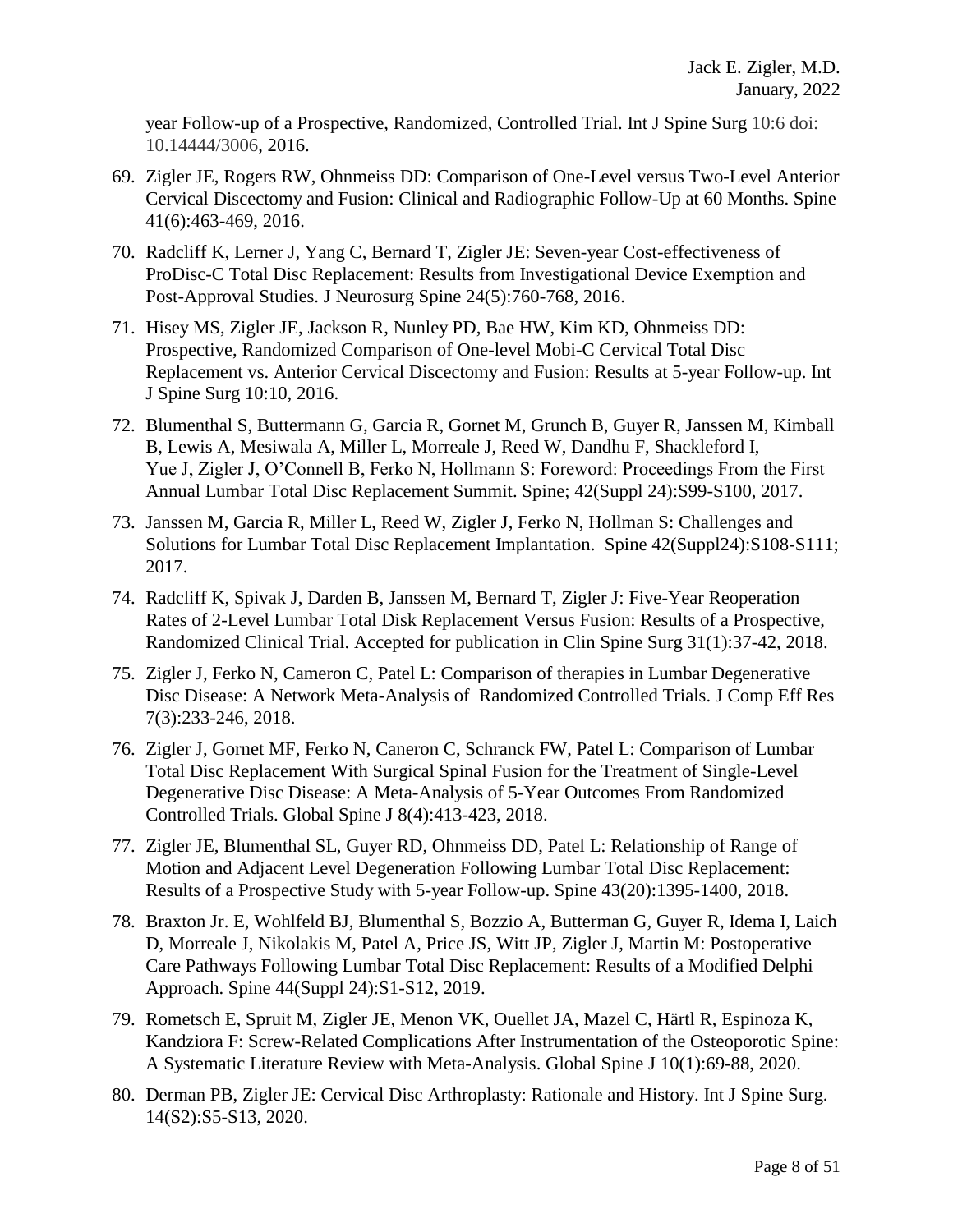year Follow-up of a Prospective, Randomized, Controlled Trial. Int J Spine Surg 10:6 doi: 10.14444/3006, 2016.

- 69. Zigler JE, Rogers RW, Ohnmeiss DD: Comparison of One-Level versus Two-Level Anterior Cervical Discectomy and Fusion: Clinical and Radiographic Follow-Up at 60 Months. Spine 41(6):463-469, 2016.
- 70. Radcliff K, Lerner J, Yang C, Bernard T, Zigler JE: Seven-year Cost-effectiveness of ProDisc-C Total Disc Replacement: Results from Investigational Device Exemption and Post-Approval Studies. J Neurosurg Spine 24(5):760-768, 2016.
- 71. Hisey MS, Zigler JE, Jackson R, Nunley PD, Bae HW, Kim KD, Ohnmeiss DD: Prospective, Randomized Comparison of One-level Mobi-C Cervical Total Disc Replacement vs. Anterior Cervical Discectomy and Fusion: Results at 5-year Follow-up. Int J Spine Surg 10:10, 2016.
- 72. Blumenthal S, Buttermann G, Garcia R, Gornet M, Grunch B, Guyer R, Janssen M, Kimball B, Lewis A, Mesiwala A, Miller L, Morreale J, Reed W, Dandhu F, Shackleford I, Yue J, Zigler J, O'Connell B, Ferko N, Hollmann S: Foreword: Proceedings From the First Annual Lumbar Total Disc Replacement Summit. Spine; 42(Suppl 24):S99-S100, 2017.
- 73. Janssen M, Garcia R, Miller L, Reed W, Zigler J, Ferko N, Hollman S: Challenges and Solutions for Lumbar Total Disc Replacement Implantation. Spine 42(Suppl24):S108-S111; 2017.
- 74. Radcliff K, Spivak J, Darden B, Janssen M, Bernard T, Zigler J: Five-Year Reoperation Rates of 2-Level Lumbar Total Disk Replacement Versus Fusion: Results of a Prospective, Randomized Clinical Trial. Accepted for publication in Clin Spine Surg 31(1):37-42, 2018.
- 75. Zigler J, Ferko N, Cameron C, Patel L: Comparison of therapies in Lumbar Degenerative Disc Disease: A Network Meta-Analysis of Randomized Controlled Trials. J Comp Eff Res 7(3):233-246, 2018.
- 76. Zigler J, Gornet MF, Ferko N, Caneron C, Schranck FW, Patel L: Comparison of Lumbar Total Disc Replacement With Surgical Spinal Fusion for the Treatment of Single-Level Degenerative Disc Disease: A Meta-Analysis of 5-Year Outcomes From Randomized Controlled Trials. Global Spine J 8(4):413-423, 2018.
- 77. Zigler JE, Blumenthal SL, Guyer RD, Ohnmeiss DD, Patel L: Relationship of Range of Motion and Adjacent Level Degeneration Following Lumbar Total Disc Replacement: Results of a Prospective Study with 5-year Follow-up. Spine 43(20):1395-1400, 2018.
- 78. Braxton Jr. E, Wohlfeld BJ, Blumenthal S, Bozzio A, Butterman G, Guyer R, Idema I, Laich D, Morreale J, Nikolakis M, Patel A, Price JS, Witt JP, Zigler J, Martin M: Postoperative Care Pathways Following Lumbar Total Disc Replacement: Results of a Modified Delphi Approach. Spine 44(Suppl 24):S1-S12, 2019.
- 79. Rometsch E, Spruit M, Zigler JE, Menon VK, Ouellet JA, Mazel C, Härtl R, Espinoza K, Kandziora F: Screw-Related Complications After Instrumentation of the Osteoporotic Spine: A Systematic Literature Review with Meta-Analysis. Global Spine J 10(1):69-88, 2020.
- 80. Derman PB, Zigler JE: Cervical Disc Arthroplasty: Rationale and History. Int J Spine Surg. 14(S2):S5-S13, 2020.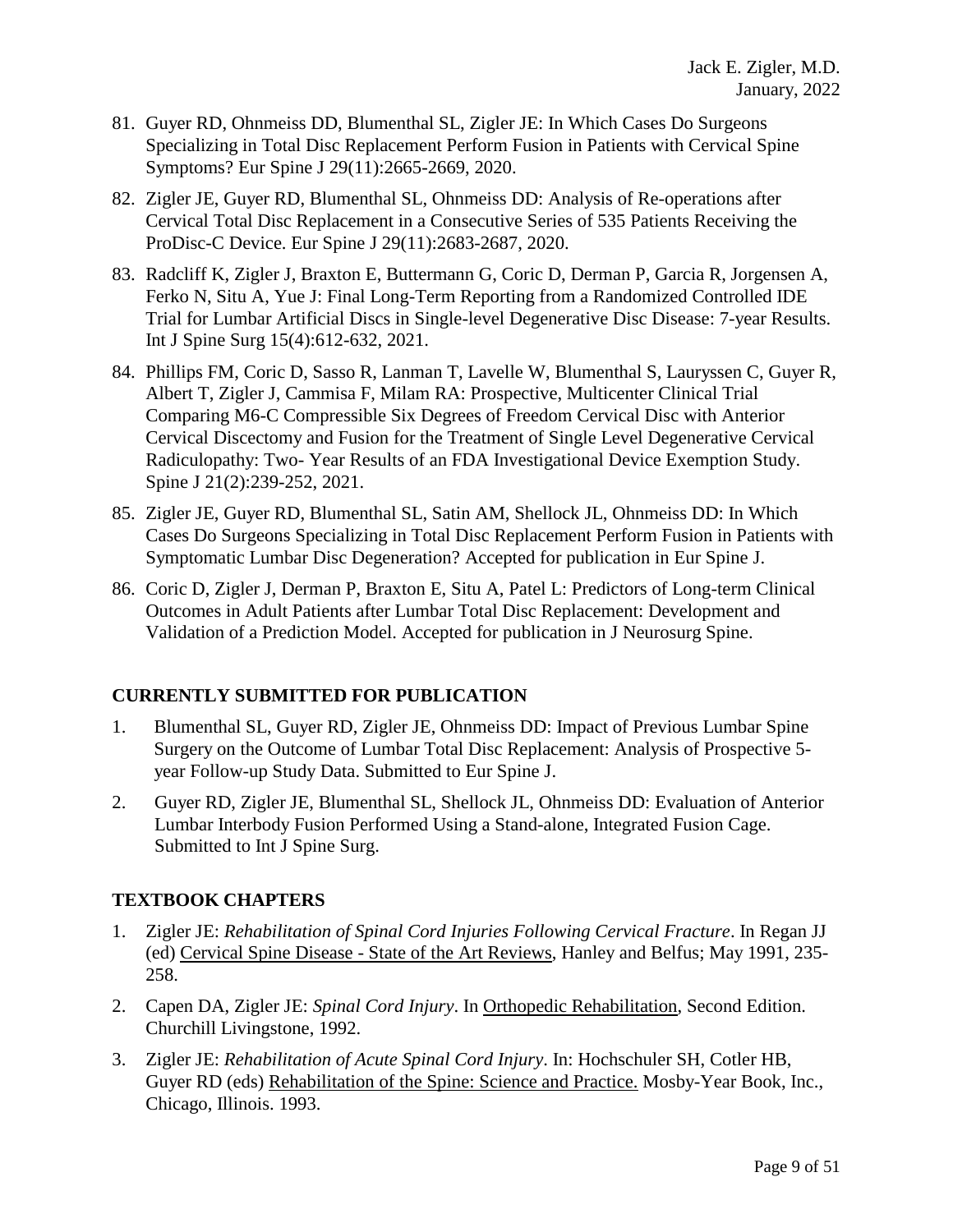- 81. Guyer RD, Ohnmeiss DD, Blumenthal SL, Zigler JE: In Which Cases Do Surgeons Specializing in Total Disc Replacement Perform Fusion in Patients with Cervical Spine Symptoms? Eur Spine J 29(11):2665-2669, 2020.
- 82. Zigler JE, Guyer RD, Blumenthal SL, Ohnmeiss DD: Analysis of Re-operations after Cervical Total Disc Replacement in a Consecutive Series of 535 Patients Receiving the ProDisc-C Device. Eur Spine J 29(11):2683-2687, 2020.
- 83. Radcliff K, Zigler J, Braxton E, Buttermann G, Coric D, Derman P, Garcia R, Jorgensen A, Ferko N, Situ A, Yue J: Final Long-Term Reporting from a Randomized Controlled IDE Trial for Lumbar Artificial Discs in Single-level Degenerative Disc Disease: 7-year Results. Int J Spine Surg 15(4):612-632, 2021.
- 84. Phillips FM, Coric D, Sasso R, Lanman T, Lavelle W, Blumenthal S, Lauryssen C, Guyer R, Albert T, Zigler J, Cammisa F, Milam RA: Prospective, Multicenter Clinical Trial Comparing M6-C Compressible Six Degrees of Freedom Cervical Disc with Anterior Cervical Discectomy and Fusion for the Treatment of Single Level Degenerative Cervical Radiculopathy: Two- Year Results of an FDA Investigational Device Exemption Study. Spine J 21(2):239-252, 2021.
- 85. Zigler JE, Guyer RD, Blumenthal SL, Satin AM, Shellock JL, Ohnmeiss DD: In Which Cases Do Surgeons Specializing in Total Disc Replacement Perform Fusion in Patients with Symptomatic Lumbar Disc Degeneration? Accepted for publication in Eur Spine J.
- 86. Coric D, Zigler J, Derman P, Braxton E, Situ A, Patel L: Predictors of Long-term Clinical Outcomes in Adult Patients after Lumbar Total Disc Replacement: Development and Validation of a Prediction Model. Accepted for publication in J Neurosurg Spine.

### **CURRENTLY SUBMITTED FOR PUBLICATION**

- 1. Blumenthal SL, Guyer RD, Zigler JE, Ohnmeiss DD: Impact of Previous Lumbar Spine Surgery on the Outcome of Lumbar Total Disc Replacement: Analysis of Prospective 5 year Follow-up Study Data. Submitted to Eur Spine J.
- 2. Guyer RD, Zigler JE, Blumenthal SL, Shellock JL, Ohnmeiss DD: Evaluation of Anterior Lumbar Interbody Fusion Performed Using a Stand-alone, Integrated Fusion Cage. Submitted to Int J Spine Surg.

### **TEXTBOOK CHAPTERS**

- 1. Zigler JE: *Rehabilitation of Spinal Cord Injuries Following Cervical Fracture*. In Regan JJ (ed) Cervical Spine Disease - State of the Art Reviews, Hanley and Belfus; May 1991, 235- 258.
- 2. Capen DA, Zigler JE: *Spinal Cord Injury*. In Orthopedic Rehabilitation, Second Edition. Churchill Livingstone, 1992.
- 3. Zigler JE: *Rehabilitation of Acute Spinal Cord Injury*. In: Hochschuler SH, Cotler HB, Guyer RD (eds) Rehabilitation of the Spine: Science and Practice. Mosby-Year Book, Inc., Chicago, Illinois. 1993.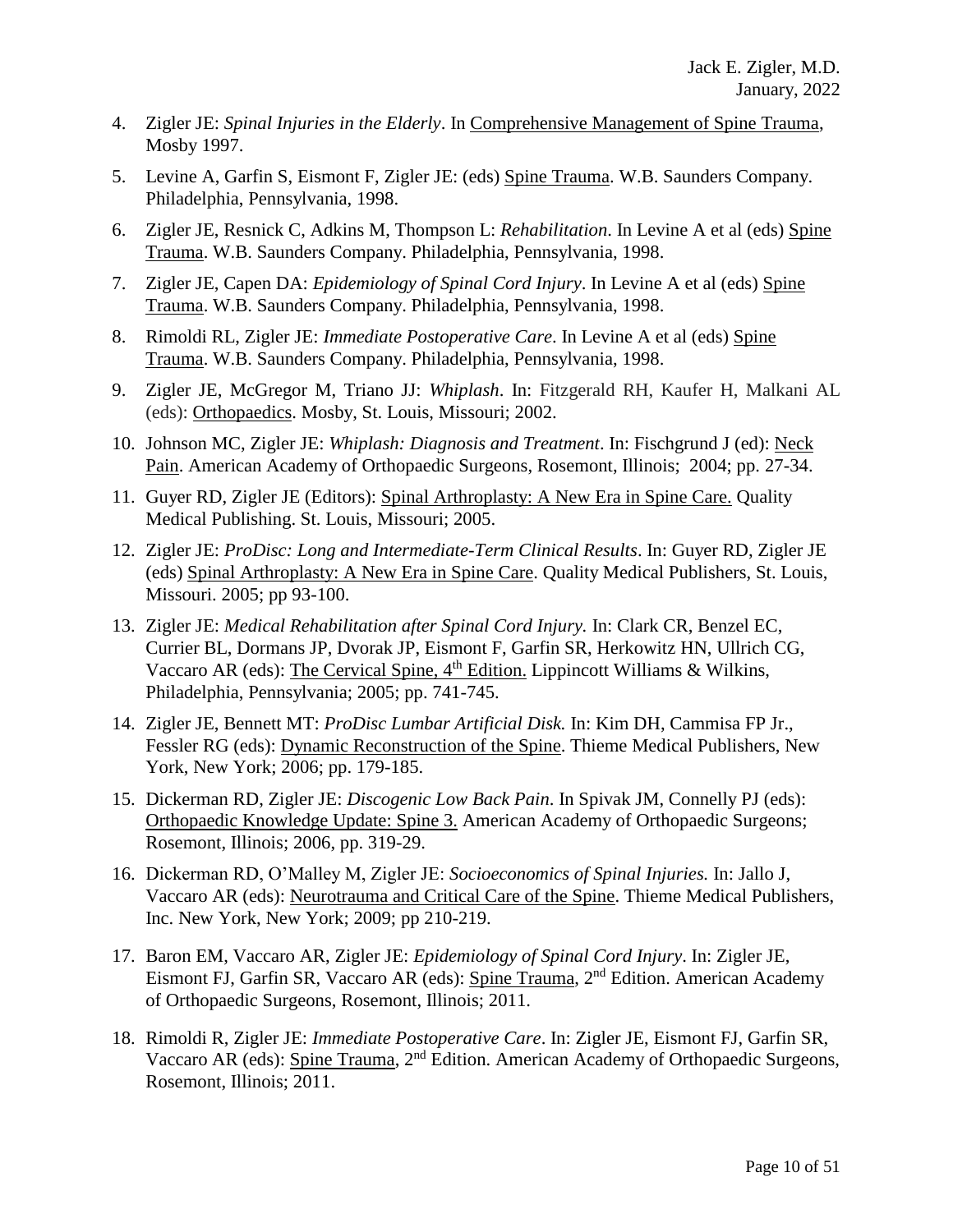- 4. Zigler JE: *Spinal Injuries in the Elderly*. In Comprehensive Management of Spine Trauma, Mosby 1997.
- 5. Levine A, Garfin S, Eismont F, Zigler JE: (eds) Spine Trauma. W.B. Saunders Company. Philadelphia, Pennsylvania, 1998.
- 6. Zigler JE, Resnick C, Adkins M, Thompson L: *Rehabilitation*. In Levine A et al (eds) Spine Trauma. W.B. Saunders Company. Philadelphia, Pennsylvania, 1998.
- 7. Zigler JE, Capen DA: *Epidemiology of Spinal Cord Injury*. In Levine A et al (eds) Spine Trauma. W.B. Saunders Company. Philadelphia, Pennsylvania, 1998.
- 8. Rimoldi RL, Zigler JE: *Immediate Postoperative Care*. In Levine A et al (eds) Spine Trauma. W.B. Saunders Company. Philadelphia, Pennsylvania, 1998.
- 9. Zigler JE, McGregor M, Triano JJ: *Whiplash*. In: Fitzgerald RH, Kaufer H, Malkani AL (eds): Orthopaedics. Mosby, St. Louis, Missouri; 2002.
- 10. Johnson MC, Zigler JE: *Whiplash: Diagnosis and Treatment*. In: Fischgrund J (ed): Neck Pain. American Academy of Orthopaedic Surgeons, Rosemont, Illinois; 2004; pp. 27-34.
- 11. Guyer RD, Zigler JE (Editors): Spinal Arthroplasty: A New Era in Spine Care. Quality Medical Publishing. St. Louis, Missouri; 2005.
- 12. Zigler JE: *ProDisc: Long and Intermediate-Term Clinical Results*. In: Guyer RD, Zigler JE (eds) Spinal Arthroplasty: A New Era in Spine Care. Quality Medical Publishers, St. Louis, Missouri. 2005; pp 93-100.
- 13. Zigler JE: *Medical Rehabilitation after Spinal Cord Injury.* In: Clark CR, Benzel EC, Currier BL, Dormans JP, Dvorak JP, Eismont F, Garfin SR, Herkowitz HN, Ullrich CG, Vaccaro AR (eds): The Cervical Spine,  $4<sup>th</sup>$  Edition. Lippincott Williams & Wilkins, Philadelphia, Pennsylvania; 2005; pp. 741-745.
- 14. Zigler JE, Bennett MT: *ProDisc Lumbar Artificial Disk.* In: Kim DH, [Cammisa](http://www.amazon.co.uk/s/ref=rdr_ext_aut?_encoding=UTF8&index=books&field-author=Frank%20P.%2C%20Jr.%20Cammisa) FP Jr., Fessler RG (eds): Dynamic Reconstruction of the Spine. Thieme Medical Publishers, New York, New York; 2006; pp. 179-185.
- 15. Dickerman RD, Zigler JE: *Discogenic Low Back Pain*. In Spivak JM, Connelly PJ (eds): Orthopaedic Knowledge Update: Spine 3. American Academy of Orthopaedic Surgeons; Rosemont, Illinois; 2006, pp. 319-29.
- 16. Dickerman RD, O'Malley M, Zigler JE: *Socioeconomics of Spinal Injuries.* In: Jallo J, Vaccaro AR (eds): Neurotrauma and Critical Care of the Spine. Thieme Medical Publishers, Inc. New York, New York; 2009; pp 210-219.
- 17. Baron EM, Vaccaro AR, Zigler JE: *Epidemiology of Spinal Cord Injury*. In: Zigler JE, Eismont FJ, Garfin SR, Vaccaro AR (eds): Spine Trauma, 2nd Edition. American Academy of Orthopaedic Surgeons, Rosemont, Illinois; 2011.
- 18. Rimoldi R, Zigler JE: *Immediate Postoperative Care*. In: Zigler JE, Eismont FJ, Garfin SR, Vaccaro AR (eds): Spine Trauma, 2nd Edition. American Academy of Orthopaedic Surgeons, Rosemont, Illinois; 2011.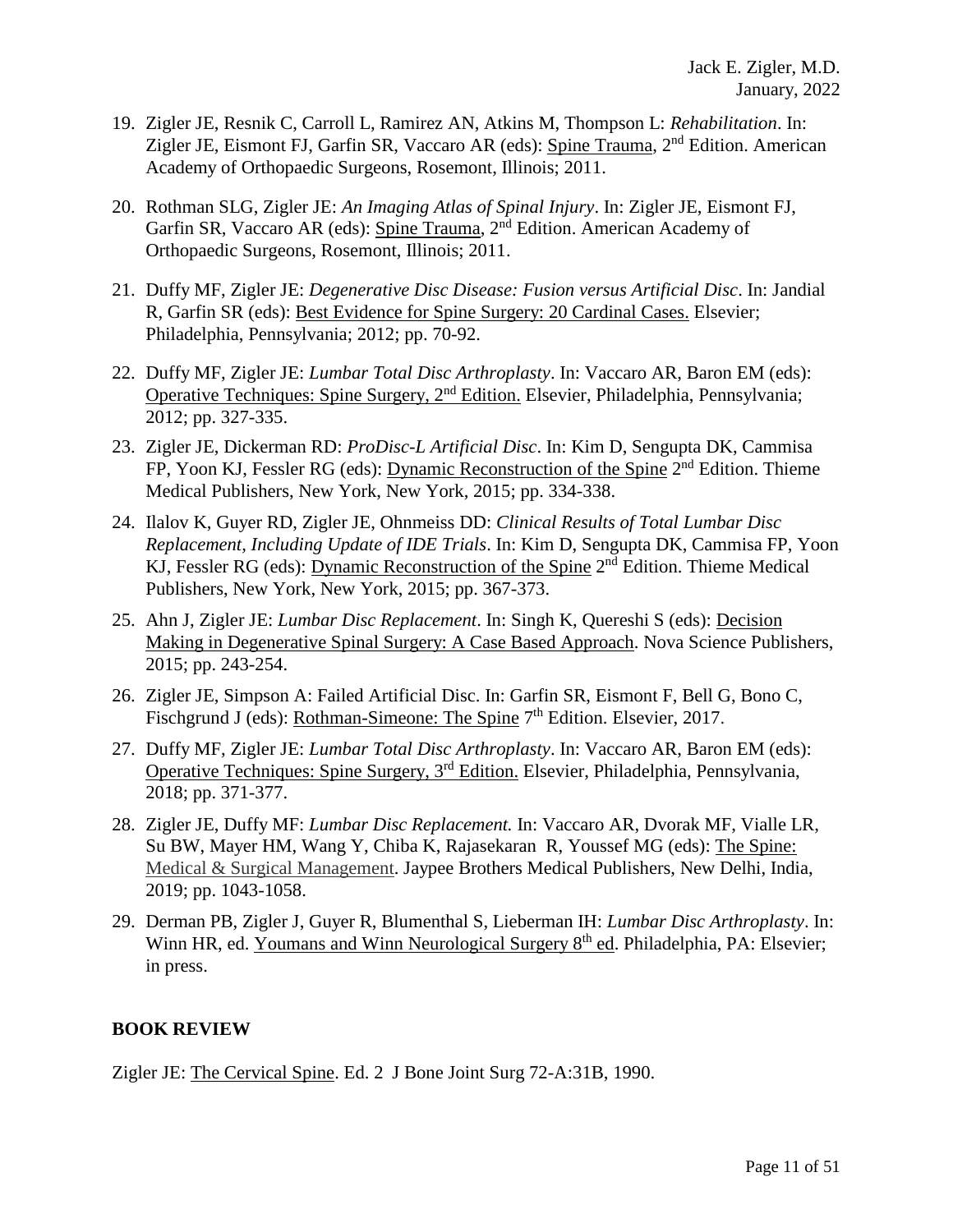- 19. Zigler JE, Resnik C, Carroll L, Ramirez AN, Atkins M, Thompson L: *Rehabilitation*. In: Zigler JE, Eismont FJ, Garfin SR, Vaccaro AR (eds): Spine Trauma, 2<sup>nd</sup> Edition. American Academy of Orthopaedic Surgeons, Rosemont, Illinois; 2011.
- 20. Rothman SLG, Zigler JE: *An Imaging Atlas of Spinal Injury*. In: Zigler JE, Eismont FJ, Garfin SR, Vaccaro AR (eds): Spine Trauma, 2nd Edition. American Academy of Orthopaedic Surgeons, Rosemont, Illinois; 2011.
- 21. Duffy MF, Zigler JE: *Degenerative Disc Disease: Fusion versus Artificial Disc*. In: Jandial R, Garfin SR (eds): Best Evidence for Spine Surgery: 20 Cardinal Cases. Elsevier; Philadelphia, Pennsylvania; 2012; pp. 70-92.
- 22. Duffy MF, Zigler JE: *Lumbar Total Disc Arthroplasty*. In: Vaccaro AR, Baron EM (eds): Operative Techniques: Spine Surgery, 2nd Edition. Elsevier, Philadelphia, Pennsylvania; 2012; pp. 327-335.
- 23. Zigler JE, Dickerman RD: *ProDisc-L Artificial Disc*. In: Kim D, Sengupta DK, Cammisa FP, Yoon KJ, Fessler RG (eds): Dynamic Reconstruction of the Spine 2<sup>nd</sup> Edition. Thieme Medical Publishers, New York, New York, 2015; pp. 334-338.
- 24. Ilalov K, Guyer RD, Zigler JE, Ohnmeiss DD: *Clinical Results of Total Lumbar Disc Replacement, Including Update of IDE Trials*. In: Kim D, Sengupta DK, Cammisa FP, Yoon KJ, Fessler RG (eds): Dynamic Reconstruction of the Spine 2<sup>nd</sup> Edition. Thieme Medical Publishers, New York, New York, 2015; pp. 367-373.
- 25. Ahn J, Zigler JE: *Lumbar Disc Replacement*. In: Singh K, Quereshi S (eds): Decision Making in Degenerative Spinal Surgery: A Case Based Approach. Nova Science Publishers, 2015; pp. 243-254.
- 26. Zigler JE, Simpson A: Failed Artificial Disc. In: Garfin SR, Eismont F, Bell G, Bono C, Fischgrund J (eds): <u>Rothman-Simeone: The Spine</u> 7<sup>th</sup> Edition. Elsevier, 2017.
- 27. Duffy MF, Zigler JE: *Lumbar Total Disc Arthroplasty*. In: Vaccaro AR, Baron EM (eds): Operative Techniques: Spine Surgery, 3rd Edition. Elsevier, Philadelphia, Pennsylvania, 2018; pp. 371-377.
- 28. Zigler JE, Duffy MF: *Lumbar Disc Replacement.* In: Vaccaro AR, Dvorak MF, Vialle LR, Su BW, Mayer HM, Wang Y, Chiba K, Rajasekaran R, Youssef MG (eds): The Spine: Medical & Surgical Management. Jaypee Brothers Medical Publishers, New Delhi, India, 2019; pp. 1043-1058.
- 29. Derman PB, Zigler J, Guyer R, Blumenthal S, Lieberman IH: *Lumbar Disc Arthroplasty*. In: Winn HR, ed. Youmans and Winn Neurological Surgery 8<sup>th</sup> ed. Philadelphia, PA: Elsevier; in press.

### **BOOK REVIEW**

Zigler JE: The Cervical Spine. Ed. 2 J Bone Joint Surg 72-A:31B, 1990.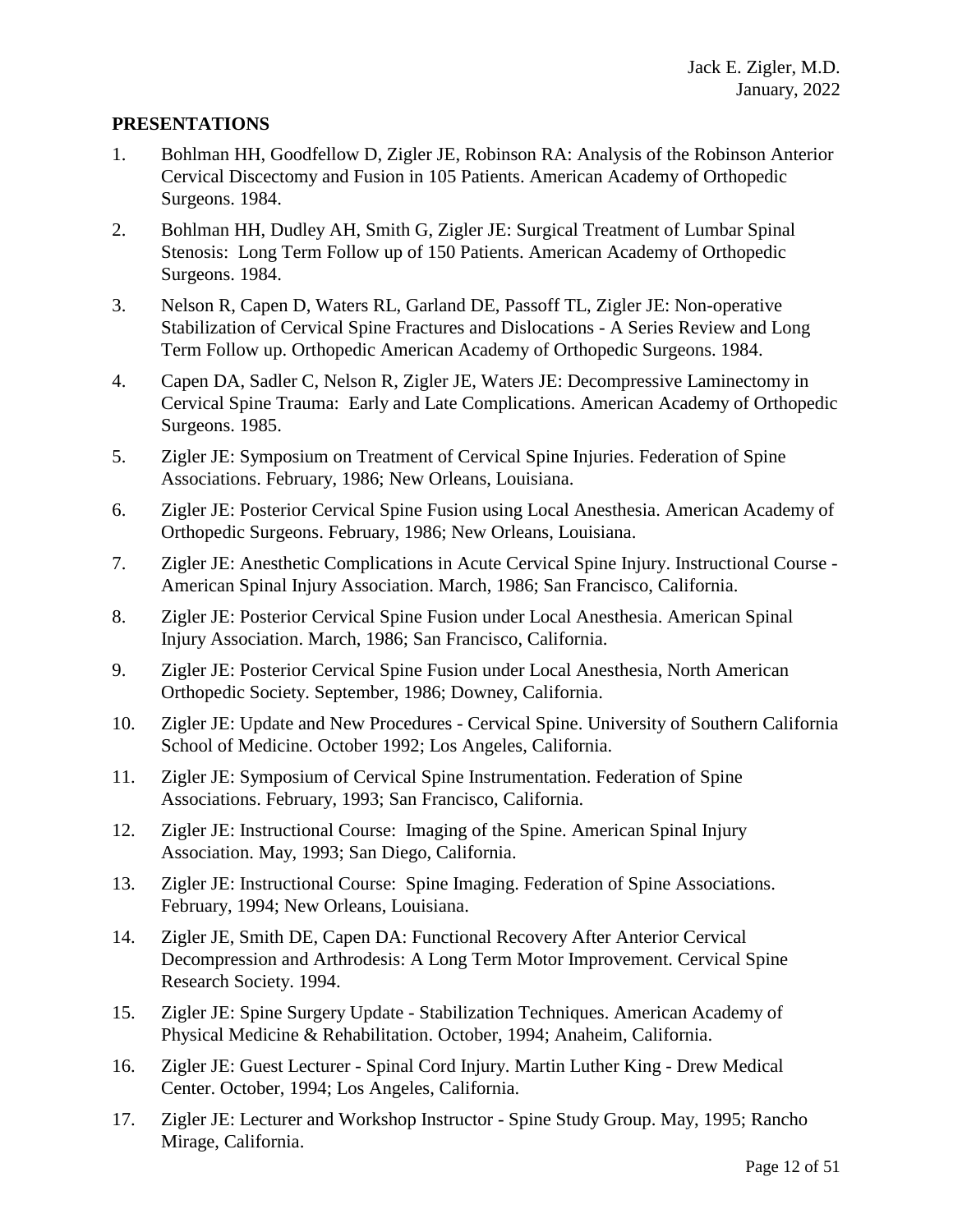#### **PRESENTATIONS**

- 1. Bohlman HH, Goodfellow D, Zigler JE, Robinson RA: Analysis of the Robinson Anterior Cervical Discectomy and Fusion in 105 Patients. American Academy of Orthopedic Surgeons. 1984.
- 2. Bohlman HH, Dudley AH, Smith G, Zigler JE: Surgical Treatment of Lumbar Spinal Stenosis: Long Term Follow up of 150 Patients. American Academy of Orthopedic Surgeons. 1984.
- 3. Nelson R, Capen D, Waters RL, Garland DE, Passoff TL, Zigler JE: Non-operative Stabilization of Cervical Spine Fractures and Dislocations - A Series Review and Long Term Follow up. Orthopedic American Academy of Orthopedic Surgeons. 1984.
- 4. Capen DA, Sadler C, Nelson R, Zigler JE, Waters JE: Decompressive Laminectomy in Cervical Spine Trauma: Early and Late Complications. American Academy of Orthopedic Surgeons. 1985.
- 5. Zigler JE: Symposium on Treatment of Cervical Spine Injuries. Federation of Spine Associations. February, 1986; New Orleans, Louisiana.
- 6. Zigler JE: Posterior Cervical Spine Fusion using Local Anesthesia. American Academy of Orthopedic Surgeons. February, 1986; New Orleans, Louisiana.
- 7. Zigler JE: Anesthetic Complications in Acute Cervical Spine Injury. Instructional Course American Spinal Injury Association. March, 1986; San Francisco, California.
- 8. Zigler JE: Posterior Cervical Spine Fusion under Local Anesthesia. American Spinal Injury Association. March, 1986; San Francisco, California.
- 9. Zigler JE: Posterior Cervical Spine Fusion under Local Anesthesia, North American Orthopedic Society. September, 1986; Downey, California.
- 10. Zigler JE: Update and New Procedures Cervical Spine. University of Southern California School of Medicine. October 1992; Los Angeles, California.
- 11. Zigler JE: Symposium of Cervical Spine Instrumentation. Federation of Spine Associations. February, 1993; San Francisco, California.
- 12. Zigler JE: Instructional Course: Imaging of the Spine. American Spinal Injury Association. May, 1993; San Diego, California.
- 13. Zigler JE: Instructional Course: Spine Imaging. Federation of Spine Associations. February, 1994; New Orleans, Louisiana.
- 14. Zigler JE, Smith DE, Capen DA: Functional Recovery After Anterior Cervical Decompression and Arthrodesis: A Long Term Motor Improvement. Cervical Spine Research Society. 1994.
- 15. Zigler JE: Spine Surgery Update Stabilization Techniques. American Academy of Physical Medicine & Rehabilitation. October, 1994; Anaheim, California.
- 16. Zigler JE: Guest Lecturer Spinal Cord Injury. Martin Luther King Drew Medical Center. October, 1994; Los Angeles, California.
- 17. Zigler JE: Lecturer and Workshop Instructor Spine Study Group. May, 1995; Rancho Mirage, California.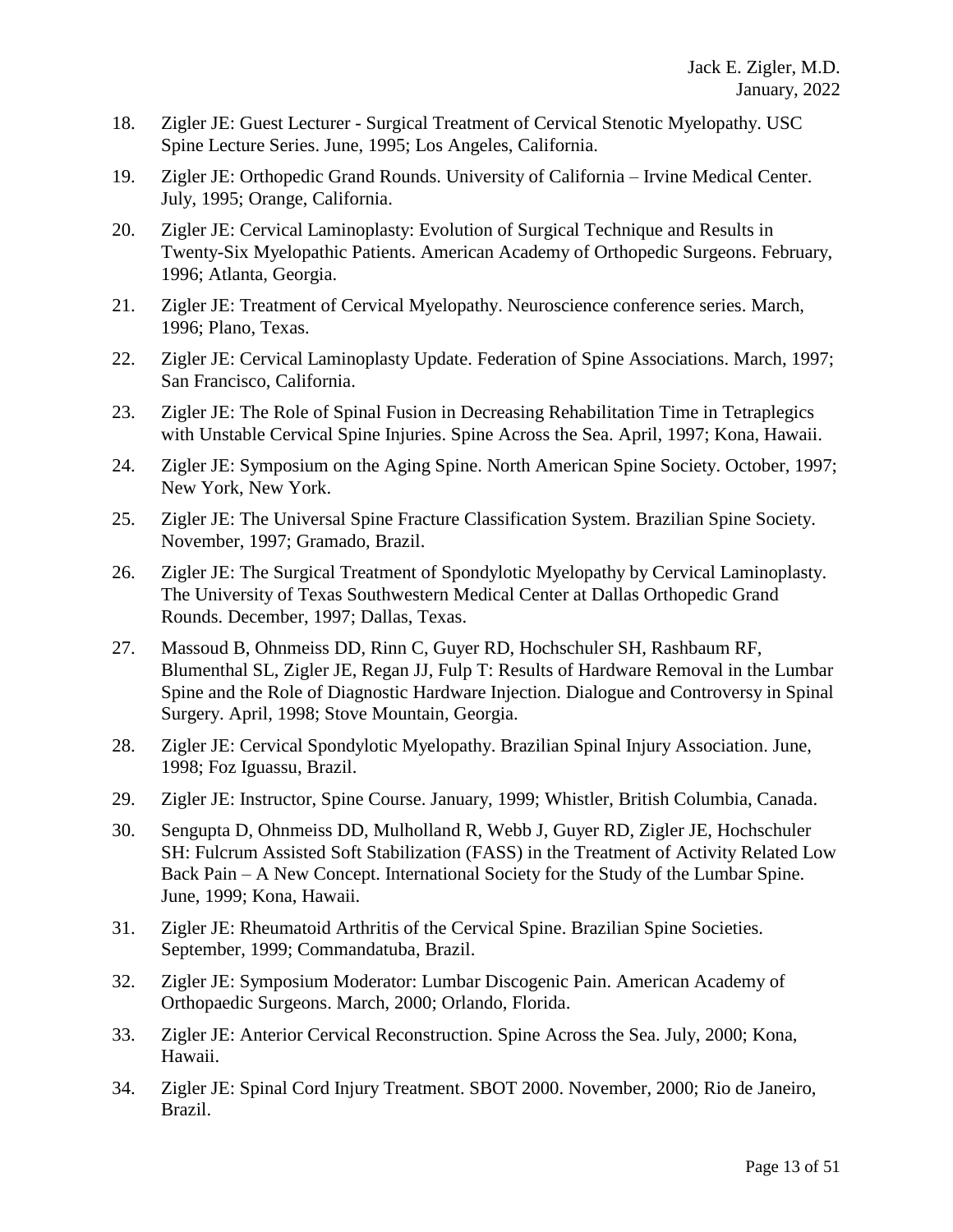- 18. Zigler JE: Guest Lecturer Surgical Treatment of Cervical Stenotic Myelopathy. USC Spine Lecture Series. June, 1995; Los Angeles, California.
- 19. Zigler JE: Orthopedic Grand Rounds. University of California Irvine Medical Center. July, 1995; Orange, California.
- 20. Zigler JE: Cervical Laminoplasty: Evolution of Surgical Technique and Results in Twenty-Six Myelopathic Patients. American Academy of Orthopedic Surgeons. February, 1996; Atlanta, Georgia.
- 21. Zigler JE: Treatment of Cervical Myelopathy. Neuroscience conference series. March, 1996; Plano, Texas.
- 22. Zigler JE: Cervical Laminoplasty Update. Federation of Spine Associations. March, 1997; San Francisco, California.
- 23. Zigler JE: The Role of Spinal Fusion in Decreasing Rehabilitation Time in Tetraplegics with Unstable Cervical Spine Injuries. Spine Across the Sea. April, 1997; Kona, Hawaii.
- 24. Zigler JE: Symposium on the Aging Spine. North American Spine Society. October, 1997; New York, New York.
- 25. Zigler JE: The Universal Spine Fracture Classification System. Brazilian Spine Society. November, 1997; Gramado, Brazil.
- 26. Zigler JE: The Surgical Treatment of Spondylotic Myelopathy by Cervical Laminoplasty. The University of Texas Southwestern Medical Center at Dallas Orthopedic Grand Rounds. December, 1997; Dallas, Texas.
- 27. Massoud B, Ohnmeiss DD, Rinn C, Guyer RD, Hochschuler SH, Rashbaum RF, Blumenthal SL, Zigler JE, Regan JJ, Fulp T: Results of Hardware Removal in the Lumbar Spine and the Role of Diagnostic Hardware Injection. Dialogue and Controversy in Spinal Surgery. April, 1998; Stove Mountain, Georgia.
- 28. Zigler JE: Cervical Spondylotic Myelopathy. Brazilian Spinal Injury Association. June, 1998; Foz Iguassu, Brazil.
- 29. Zigler JE: Instructor, Spine Course. January, 1999; Whistler, British Columbia, Canada.
- 30. Sengupta D, Ohnmeiss DD, Mulholland R, Webb J, Guyer RD, Zigler JE, Hochschuler SH: Fulcrum Assisted Soft Stabilization (FASS) in the Treatment of Activity Related Low Back Pain – A New Concept. International Society for the Study of the Lumbar Spine. June, 1999; Kona, Hawaii.
- 31. Zigler JE: Rheumatoid Arthritis of the Cervical Spine. Brazilian Spine Societies. September, 1999; Commandatuba, Brazil.
- 32. Zigler JE: Symposium Moderator: Lumbar Discogenic Pain. American Academy of Orthopaedic Surgeons. March, 2000; Orlando, Florida.
- 33. Zigler JE: Anterior Cervical Reconstruction. Spine Across the Sea. July, 2000; Kona, Hawaii.
- 34. Zigler JE: Spinal Cord Injury Treatment. SBOT 2000. November, 2000; Rio de Janeiro, Brazil.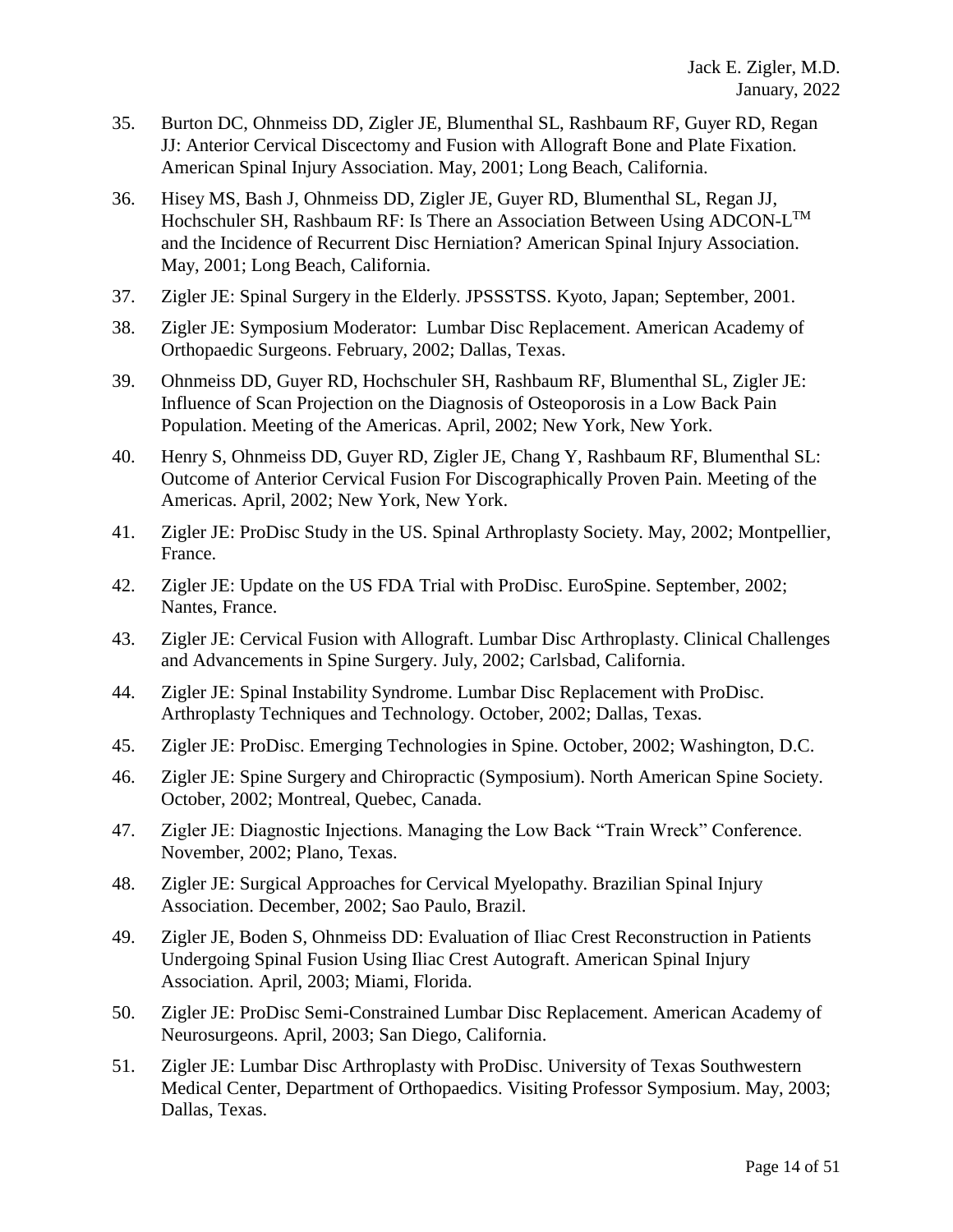- 35. Burton DC, Ohnmeiss DD, Zigler JE, Blumenthal SL, Rashbaum RF, Guyer RD, Regan JJ: Anterior Cervical Discectomy and Fusion with Allograft Bone and Plate Fixation. American Spinal Injury Association. May, 2001; Long Beach, California.
- 36. Hisey MS, Bash J, Ohnmeiss DD, Zigler JE, Guyer RD, Blumenthal SL, Regan JJ, Hochschuler SH, Rashbaum RF: Is There an Association Between Using ADCON-L<sup>TM</sup> and the Incidence of Recurrent Disc Herniation? American Spinal Injury Association. May, 2001; Long Beach, California.
- 37. Zigler JE: Spinal Surgery in the Elderly. JPSSSTSS. Kyoto, Japan; September, 2001.
- 38. Zigler JE: Symposium Moderator: Lumbar Disc Replacement. American Academy of Orthopaedic Surgeons. February, 2002; Dallas, Texas.
- 39. Ohnmeiss DD, Guyer RD, Hochschuler SH, Rashbaum RF, Blumenthal SL, Zigler JE: Influence of Scan Projection on the Diagnosis of Osteoporosis in a Low Back Pain Population. Meeting of the Americas. April, 2002; New York, New York.
- 40. Henry S, Ohnmeiss DD, Guyer RD, Zigler JE, Chang Y, Rashbaum RF, Blumenthal SL: Outcome of Anterior Cervical Fusion For Discographically Proven Pain. Meeting of the Americas. April, 2002; New York, New York.
- 41. Zigler JE: ProDisc Study in the US. Spinal Arthroplasty Society. May, 2002; Montpellier, France.
- 42. Zigler JE: Update on the US FDA Trial with ProDisc. EuroSpine. September, 2002; Nantes, France.
- 43. Zigler JE: Cervical Fusion with Allograft. Lumbar Disc Arthroplasty. Clinical Challenges and Advancements in Spine Surgery. July, 2002; Carlsbad, California.
- 44. Zigler JE: Spinal Instability Syndrome. Lumbar Disc Replacement with ProDisc. Arthroplasty Techniques and Technology. October, 2002; Dallas, Texas.
- 45. Zigler JE: ProDisc. Emerging Technologies in Spine. October, 2002; Washington, D.C.
- 46. Zigler JE: Spine Surgery and Chiropractic (Symposium). North American Spine Society. October, 2002; Montreal, Quebec, Canada.
- 47. Zigler JE: Diagnostic Injections. Managing the Low Back "Train Wreck" Conference. November, 2002; Plano, Texas.
- 48. Zigler JE: Surgical Approaches for Cervical Myelopathy. Brazilian Spinal Injury Association. December, 2002; Sao Paulo, Brazil.
- 49. Zigler JE, Boden S, Ohnmeiss DD: Evaluation of Iliac Crest Reconstruction in Patients Undergoing Spinal Fusion Using Iliac Crest Autograft. American Spinal Injury Association. April, 2003; Miami, Florida.
- 50. Zigler JE: ProDisc Semi-Constrained Lumbar Disc Replacement. American Academy of Neurosurgeons. April, 2003; San Diego, California.
- 51. Zigler JE: Lumbar Disc Arthroplasty with ProDisc. University of Texas Southwestern Medical Center, Department of Orthopaedics. Visiting Professor Symposium. May, 2003; Dallas, Texas.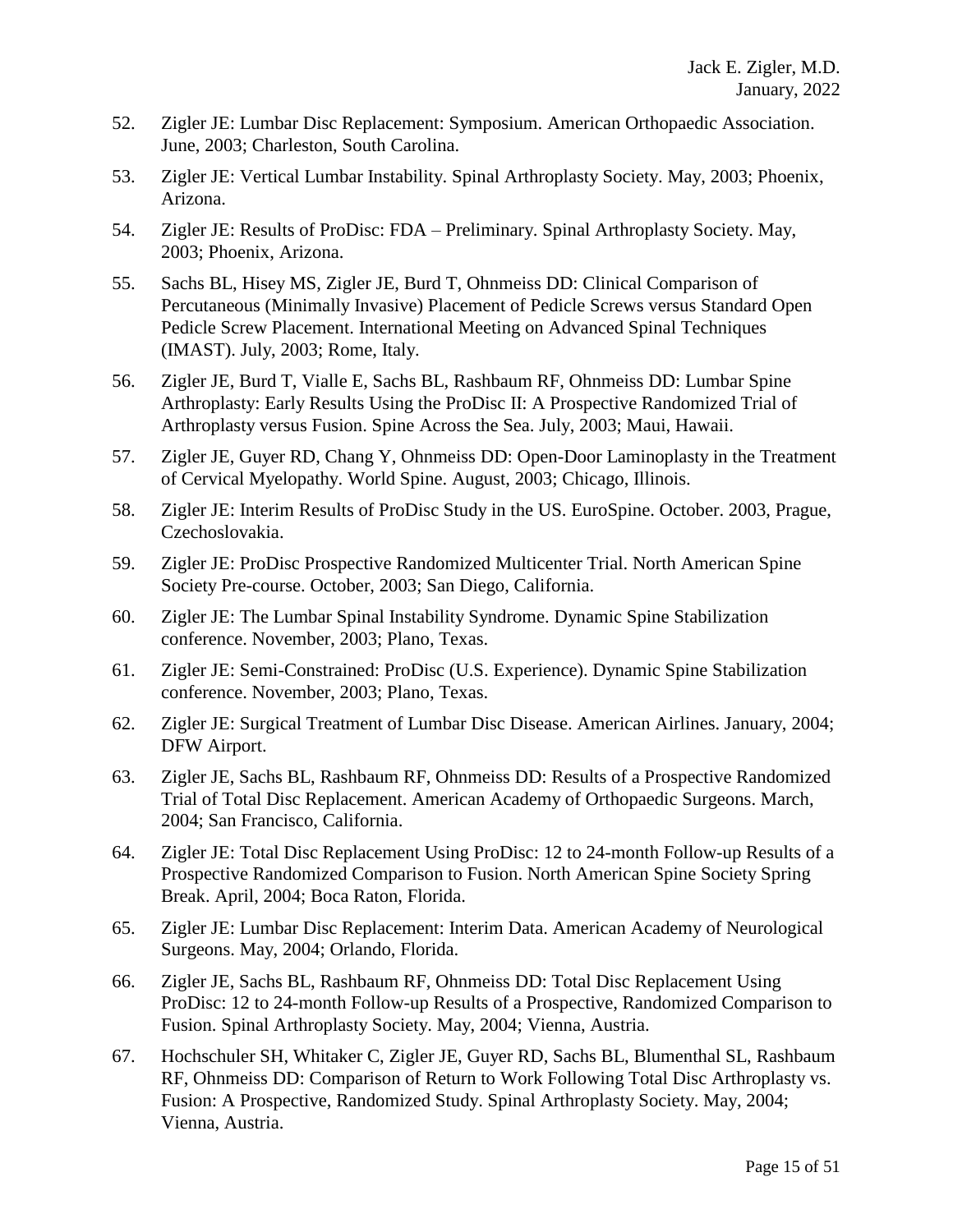- 52. Zigler JE: Lumbar Disc Replacement: Symposium. American Orthopaedic Association. June, 2003; Charleston, South Carolina.
- 53. Zigler JE: Vertical Lumbar Instability. Spinal Arthroplasty Society. May, 2003; Phoenix, Arizona.
- 54. Zigler JE: Results of ProDisc: FDA Preliminary. Spinal Arthroplasty Society. May, 2003; Phoenix, Arizona.
- 55. Sachs BL, Hisey MS, Zigler JE, Burd T, Ohnmeiss DD: Clinical Comparison of Percutaneous (Minimally Invasive) Placement of Pedicle Screws versus Standard Open Pedicle Screw Placement. International Meeting on Advanced Spinal Techniques (IMAST). July, 2003; Rome, Italy.
- 56. Zigler JE, Burd T, Vialle E, Sachs BL, Rashbaum RF, Ohnmeiss DD: Lumbar Spine Arthroplasty: Early Results Using the ProDisc II: A Prospective Randomized Trial of Arthroplasty versus Fusion. Spine Across the Sea. July, 2003; Maui, Hawaii.
- 57. Zigler JE, Guyer RD, Chang Y, Ohnmeiss DD: Open-Door Laminoplasty in the Treatment of Cervical Myelopathy. World Spine. August, 2003; Chicago, Illinois.
- 58. Zigler JE: Interim Results of ProDisc Study in the US. EuroSpine. October. 2003, Prague, Czechoslovakia.
- 59. Zigler JE: ProDisc Prospective Randomized Multicenter Trial. North American Spine Society Pre-course. October, 2003; San Diego, California.
- 60. Zigler JE: The Lumbar Spinal Instability Syndrome. Dynamic Spine Stabilization conference. November, 2003; Plano, Texas.
- 61. Zigler JE: Semi-Constrained: ProDisc (U.S. Experience). Dynamic Spine Stabilization conference. November, 2003; Plano, Texas.
- 62. Zigler JE: Surgical Treatment of Lumbar Disc Disease. American Airlines. January, 2004; DFW Airport.
- 63. Zigler JE, Sachs BL, Rashbaum RF, Ohnmeiss DD: Results of a Prospective Randomized Trial of Total Disc Replacement. American Academy of Orthopaedic Surgeons. March, 2004; San Francisco, California.
- 64. Zigler JE: Total Disc Replacement Using ProDisc: 12 to 24-month Follow-up Results of a Prospective Randomized Comparison to Fusion. North American Spine Society Spring Break. April, 2004; Boca Raton, Florida.
- 65. Zigler JE: Lumbar Disc Replacement: Interim Data. American Academy of Neurological Surgeons. May, 2004; Orlando, Florida.
- 66. Zigler JE, Sachs BL, Rashbaum RF, Ohnmeiss DD: Total Disc Replacement Using ProDisc: 12 to 24-month Follow-up Results of a Prospective, Randomized Comparison to Fusion. Spinal Arthroplasty Society. May, 2004; Vienna, Austria.
- 67. Hochschuler SH, Whitaker C, Zigler JE, Guyer RD, Sachs BL, Blumenthal SL, Rashbaum RF, Ohnmeiss DD: Comparison of Return to Work Following Total Disc Arthroplasty vs. Fusion: A Prospective, Randomized Study. Spinal Arthroplasty Society. May, 2004; Vienna, Austria.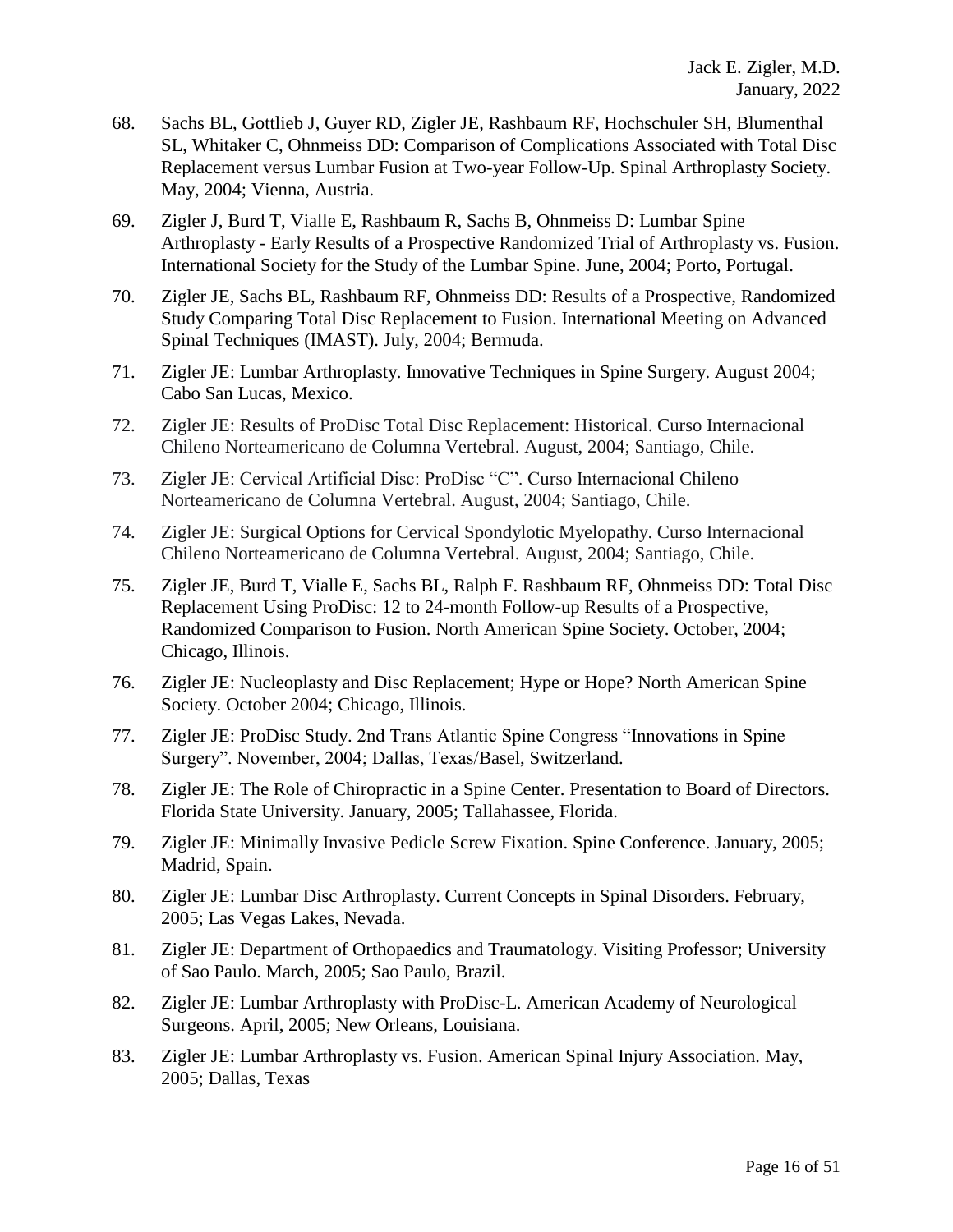- 68. Sachs BL, Gottlieb J, Guyer RD, Zigler JE, Rashbaum RF, Hochschuler SH, Blumenthal SL, Whitaker C, Ohnmeiss DD: Comparison of Complications Associated with Total Disc Replacement versus Lumbar Fusion at Two-year Follow-Up. Spinal Arthroplasty Society. May, 2004; Vienna, Austria.
- 69. Zigler J, Burd T, Vialle E, Rashbaum R, Sachs B, Ohnmeiss D: Lumbar Spine Arthroplasty - Early Results of a Prospective Randomized Trial of Arthroplasty vs. Fusion. International Society for the Study of the Lumbar Spine. June, 2004; Porto, Portugal.
- 70. Zigler JE, Sachs BL, Rashbaum RF, Ohnmeiss DD: Results of a Prospective, Randomized Study Comparing Total Disc Replacement to Fusion. International Meeting on Advanced Spinal Techniques (IMAST). July, 2004; Bermuda.
- 71. Zigler JE: Lumbar Arthroplasty. Innovative Techniques in Spine Surgery. August 2004; Cabo San Lucas, Mexico.
- 72. Zigler JE: Results of ProDisc Total Disc Replacement: Historical. Curso Internacional Chileno Norteamericano de Columna Vertebral. August, 2004; Santiago, Chile.
- 73. Zigler JE: Cervical Artificial Disc: ProDisc "C". Curso Internacional Chileno Norteamericano de Columna Vertebral. August, 2004; Santiago, Chile.
- 74. Zigler JE: Surgical Options for Cervical Spondylotic Myelopathy. Curso Internacional Chileno Norteamericano de Columna Vertebral. August, 2004; Santiago, Chile.
- 75. Zigler JE, Burd T, Vialle E, Sachs BL, Ralph F. Rashbaum RF, Ohnmeiss DD: Total Disc Replacement Using ProDisc: 12 to 24-month Follow-up Results of a Prospective, Randomized Comparison to Fusion. North American Spine Society. October, 2004; Chicago, Illinois.
- 76. Zigler JE: Nucleoplasty and Disc Replacement; Hype or Hope? North American Spine Society. October 2004; Chicago, Illinois.
- 77. Zigler JE: ProDisc Study. 2nd Trans Atlantic Spine Congress "Innovations in Spine Surgery". November, 2004; Dallas, Texas/Basel, Switzerland.
- 78. Zigler JE: The Role of Chiropractic in a Spine Center. Presentation to Board of Directors. Florida State University. January, 2005; Tallahassee, Florida.
- 79. Zigler JE: Minimally Invasive Pedicle Screw Fixation. Spine Conference. January, 2005; Madrid, Spain.
- 80. Zigler JE: Lumbar Disc Arthroplasty. Current Concepts in Spinal Disorders. February, 2005; Las Vegas Lakes, Nevada.
- 81. Zigler JE: Department of Orthopaedics and Traumatology. Visiting Professor; University of Sao Paulo. March, 2005; Sao Paulo, Brazil.
- 82. Zigler JE: Lumbar Arthroplasty with ProDisc-L. American Academy of Neurological Surgeons. April, 2005; New Orleans, Louisiana.
- 83. Zigler JE: Lumbar Arthroplasty vs. Fusion. American Spinal Injury Association. May, 2005; Dallas, Texas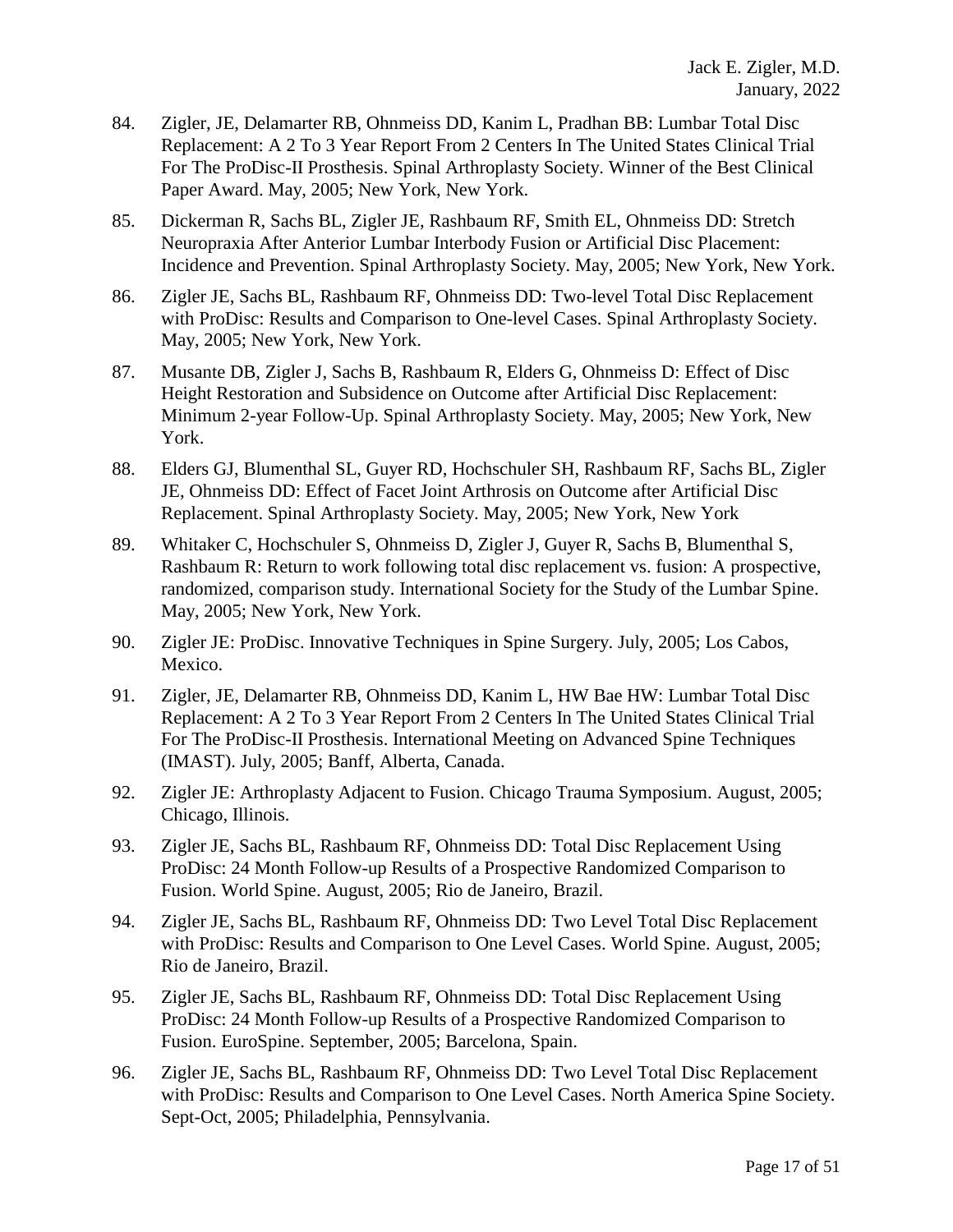- 84. Zigler, JE, Delamarter RB, Ohnmeiss DD, Kanim L, Pradhan BB: Lumbar Total Disc Replacement: A 2 To 3 Year Report From 2 Centers In The United States Clinical Trial For The ProDisc-II Prosthesis. Spinal Arthroplasty Society. Winner of the Best Clinical Paper Award. May, 2005; New York, New York.
- 85. Dickerman R, Sachs BL, Zigler JE, Rashbaum RF, Smith EL, Ohnmeiss DD: Stretch Neuropraxia After Anterior Lumbar Interbody Fusion or Artificial Disc Placement: Incidence and Prevention. Spinal Arthroplasty Society. May, 2005; New York, New York.
- 86. Zigler JE, Sachs BL, Rashbaum RF, Ohnmeiss DD: Two-level Total Disc Replacement with ProDisc: Results and Comparison to One-level Cases. Spinal Arthroplasty Society. May, 2005; New York, New York.
- 87. Musante DB, Zigler J, Sachs B, Rashbaum R, Elders G, Ohnmeiss D: Effect of Disc Height Restoration and Subsidence on Outcome after Artificial Disc Replacement: Minimum 2-year Follow-Up. Spinal Arthroplasty Society. May, 2005; New York, New York.
- 88. Elders GJ, Blumenthal SL, Guyer RD, Hochschuler SH, Rashbaum RF, Sachs BL, Zigler JE, Ohnmeiss DD: Effect of Facet Joint Arthrosis on Outcome after Artificial Disc Replacement. Spinal Arthroplasty Society. May, 2005; New York, New York
- 89. Whitaker C, Hochschuler S, Ohnmeiss D, Zigler J, Guyer R, Sachs B, Blumenthal S, Rashbaum R: Return to work following total disc replacement vs. fusion: A prospective, randomized, comparison study. International Society for the Study of the Lumbar Spine. May, 2005; New York, New York.
- 90. Zigler JE: ProDisc. Innovative Techniques in Spine Surgery. July, 2005; Los Cabos, Mexico.
- 91. Zigler, JE, Delamarter RB, Ohnmeiss DD, Kanim L, HW Bae HW: Lumbar Total Disc Replacement: A 2 To 3 Year Report From 2 Centers In The United States Clinical Trial For The ProDisc-II Prosthesis. International Meeting on Advanced Spine Techniques (IMAST). July, 2005; Banff, Alberta, Canada.
- 92. Zigler JE: Arthroplasty Adjacent to Fusion. Chicago Trauma Symposium. August, 2005; Chicago, Illinois.
- 93. Zigler JE, Sachs BL, Rashbaum RF, Ohnmeiss DD: Total Disc Replacement Using ProDisc: 24 Month Follow-up Results of a Prospective Randomized Comparison to Fusion. World Spine. August, 2005; Rio de Janeiro, Brazil.
- 94. Zigler JE, Sachs BL, Rashbaum RF, Ohnmeiss DD: [Two Level Total Disc Replacement](javascript:openPreviewWindow()  [with ProDisc: Results and Comparison to One Level Cases.](javascript:openPreviewWindow() World Spine. August, 2005; Rio de Janeiro, Brazil.
- 95. Zigler JE, Sachs BL, Rashbaum RF, Ohnmeiss DD: Total Disc Replacement Using ProDisc: 24 Month Follow-up Results of a Prospective Randomized Comparison to Fusion. EuroSpine. September, 2005; Barcelona, Spain.
- 96. Zigler JE, Sachs BL, Rashbaum RF, Ohnmeiss DD: [Two Level Total Disc Replacement](javascript:openPreviewWindow()  [with ProDisc: Results and Comparison to One Level Cases.](javascript:openPreviewWindow() North America Spine Society. Sept-Oct, 2005; Philadelphia, Pennsylvania.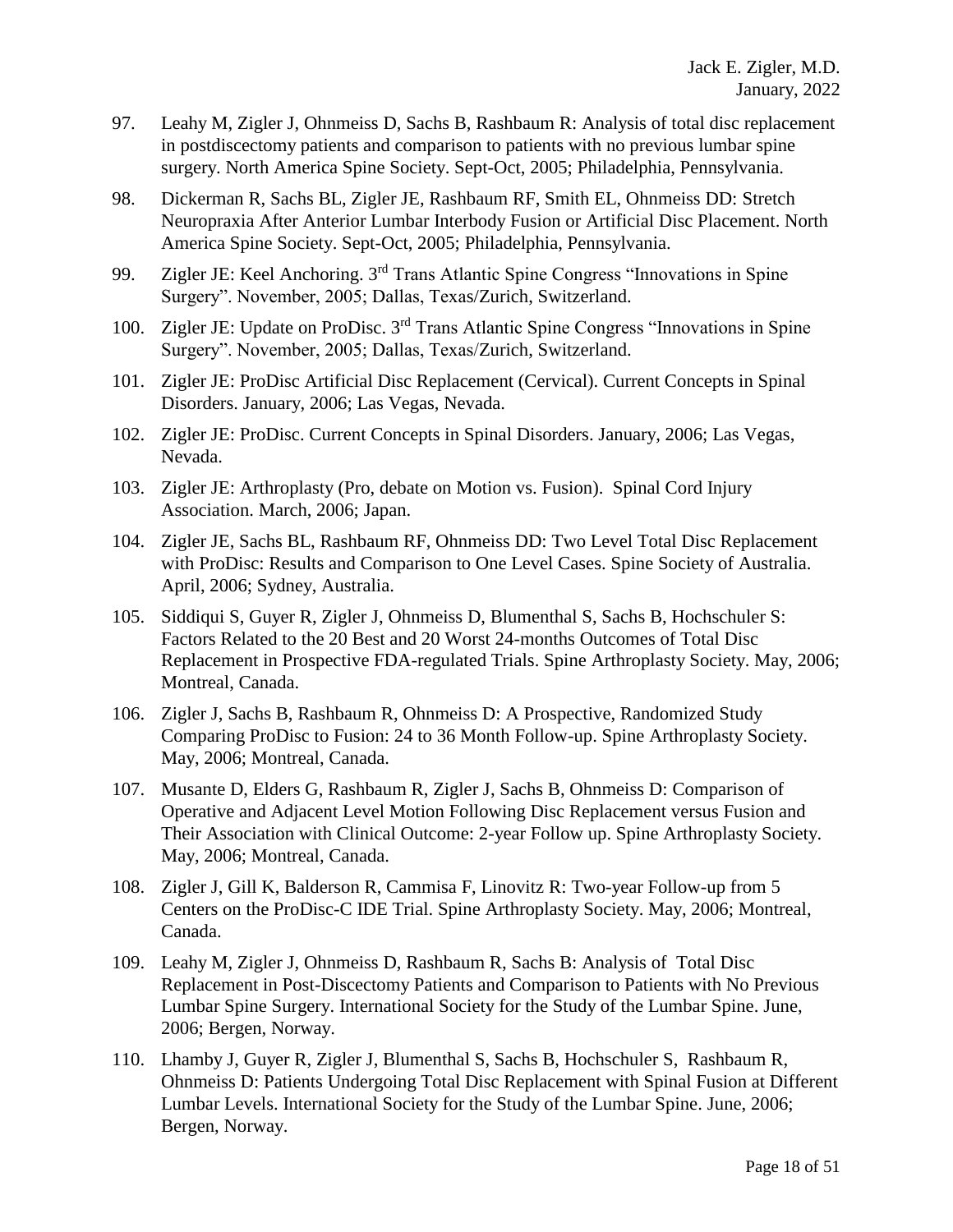- 97. Leahy M, Zigler J, Ohnmeiss D, Sachs B, Rashbaum R: Analysis of total disc replacement in postdiscectomy patients and comparison to patients with no previous lumbar spine surgery. North America Spine Society. Sept-Oct, 2005; Philadelphia, Pennsylvania.
- 98. Dickerman R, Sachs BL, Zigler JE, Rashbaum RF, Smith EL, Ohnmeiss DD: [Stretch](javascript:openPreviewWindow()  [Neuropraxia After Anterior Lumbar Interbody Fusion or Artificial Disc Placement.](javascript:openPreviewWindow() North America Spine Society. Sept-Oct, 2005; Philadelphia, Pennsylvania.
- 99. Zigler JE: Keel Anchoring. 3rd Trans Atlantic Spine Congress "Innovations in Spine Surgery". November, 2005; Dallas, Texas/Zurich, Switzerland.
- 100. Zigler JE: Update on ProDisc. 3rd Trans Atlantic Spine Congress "Innovations in Spine Surgery". November, 2005; Dallas, Texas/Zurich, Switzerland.
- 101. Zigler JE: ProDisc Artificial Disc Replacement (Cervical). Current Concepts in Spinal Disorders. January, 2006; Las Vegas, Nevada.
- 102. Zigler JE: ProDisc. Current Concepts in Spinal Disorders. January, 2006; Las Vegas, Nevada.
- 103. Zigler JE: Arthroplasty (Pro, debate on Motion vs. Fusion). Spinal Cord Injury Association. March, 2006; Japan.
- 104. Zigler JE, Sachs BL, Rashbaum RF, Ohnmeiss DD: [Two Level Total Disc Replacement](javascript:openPreviewWindow()  [with ProDisc: Results and Comparison to One Level Cases.](javascript:openPreviewWindow() Spine Society of Australia. April, 2006; Sydney, Australia.
- 105. Siddiqui S, Guyer R, Zigler J, Ohnmeiss D, Blumenthal S, Sachs B, Hochschuler S: Factors Related to the 20 Best and 20 Worst 24-months Outcomes of Total Disc Replacement in Prospective FDA-regulated Trials. Spine Arthroplasty Society. May, 2006; Montreal, Canada.
- 106. Zigler J, Sachs B, Rashbaum R, Ohnmeiss D: A Prospective, Randomized Study Comparing ProDisc to Fusion: 24 to 36 Month Follow-up. Spine Arthroplasty Society. May, 2006; Montreal, Canada.
- 107. Musante D, Elders G, Rashbaum R, Zigler J, Sachs B, Ohnmeiss D: Comparison of Operative and Adjacent Level Motion Following Disc Replacement versus Fusion and Their Association with Clinical Outcome: 2-year Follow up. Spine Arthroplasty Society. May, 2006; Montreal, Canada.
- 108. Zigler J, Gill K, Balderson R, Cammisa F, Linovitz R: Two-year Follow-up from 5 Centers on the ProDisc-C IDE Trial. Spine Arthroplasty Society. May, 2006; Montreal, Canada.
- 109. Leahy M, Zigler J, Ohnmeiss D, Rashbaum R, Sachs B: Analysis of Total Disc Replacement in Post-Discectomy Patients and Comparison to Patients with No Previous Lumbar Spine Surgery. International Society for the Study of the Lumbar Spine. June, 2006; Bergen, Norway.
- 110. Lhamby J, Guyer R, Zigler J, Blumenthal S, Sachs B, Hochschuler S, Rashbaum R, Ohnmeiss D: Patients Undergoing Total Disc Replacement with Spinal Fusion at Different Lumbar Levels. International Society for the Study of the Lumbar Spine. June, 2006; Bergen, Norway.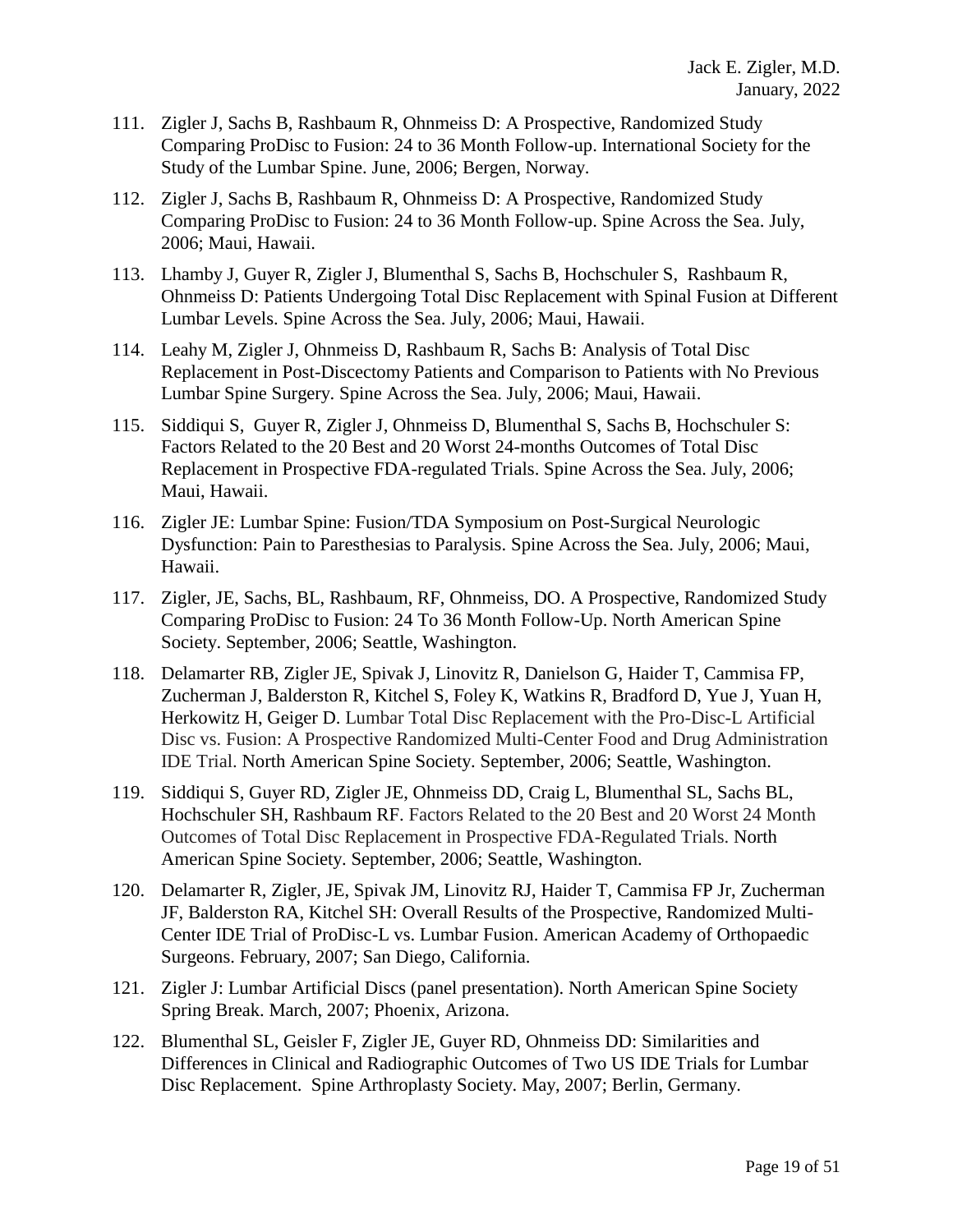- 111. Zigler J, Sachs B, Rashbaum R, Ohnmeiss D: A Prospective, Randomized Study Comparing ProDisc to Fusion: 24 to 36 Month Follow-up. International Society for the Study of the Lumbar Spine. June, 2006; Bergen, Norway.
- 112. Zigler J, Sachs B, Rashbaum R, Ohnmeiss D: A Prospective, Randomized Study Comparing ProDisc to Fusion: 24 to 36 Month Follow-up. Spine Across the Sea. July, 2006; Maui, Hawaii.
- 113. Lhamby J, Guyer R, Zigler J, Blumenthal S, Sachs B, Hochschuler S, Rashbaum R, Ohnmeiss D: Patients Undergoing Total Disc Replacement with Spinal Fusion at Different Lumbar Levels. Spine Across the Sea. July, 2006; Maui, Hawaii.
- 114. Leahy M, Zigler J, Ohnmeiss D, Rashbaum R, Sachs B: Analysis of Total Disc Replacement in Post-Discectomy Patients and Comparison to Patients with No Previous Lumbar Spine Surgery. Spine Across the Sea. July, 2006; Maui, Hawaii.
- 115. Siddiqui S, Guyer R, Zigler J, Ohnmeiss D, Blumenthal S, Sachs B, Hochschuler S: Factors Related to the 20 Best and 20 Worst 24-months Outcomes of Total Disc Replacement in Prospective FDA-regulated Trials. Spine Across the Sea. July, 2006; Maui, Hawaii.
- 116. Zigler JE: Lumbar Spine: Fusion/TDA Symposium on Post-Surgical Neurologic Dysfunction: Pain to Paresthesias to Paralysis. Spine Across the Sea. July, 2006; Maui, Hawaii.
- 117. Zigler, JE, Sachs, BL, Rashbaum, RF, Ohnmeiss, DO. A Prospective, Randomized Study Comparing ProDisc to Fusion: 24 To 36 Month Follow-Up. North American Spine Society. September, 2006; Seattle, Washington.
- 118. Delamarter RB, Zigler JE, Spivak J, Linovitz R, Danielson G, Haider T, Cammisa FP, Zucherman J, Balderston R, Kitchel S, Foley K, Watkins R, Bradford D, Yue J, Yuan H, Herkowitz H, Geiger D. Lumbar Total Disc Replacement with the Pro-Disc-L Artificial Disc vs. Fusion: A Prospective Randomized Multi-Center Food and Drug Administration IDE Trial. North American Spine Society. September, 2006; Seattle, Washington.
- 119. Siddiqui S, Guyer RD, Zigler JE, Ohnmeiss DD, Craig L, Blumenthal SL, Sachs BL, Hochschuler SH, Rashbaum RF. Factors Related to the 20 Best and 20 Worst 24 Month Outcomes of Total Disc Replacement in Prospective FDA-Regulated Trials. North American Spine Society. September, 2006; Seattle, Washington.
- 120. Delamarter R, Zigler, JE, Spivak JM, Linovitz RJ, Haider T, Cammisa FP Jr, Zucherman JF, Balderston RA, Kitchel SH: Overall Results of the Prospective, Randomized Multi-Center IDE Trial of ProDisc-L vs. Lumbar Fusion. American Academy of Orthopaedic Surgeons. February, 2007; San Diego, California.
- 121. Zigler J: Lumbar Artificial Discs (panel presentation). North American Spine Society Spring Break. March, 2007; Phoenix, Arizona.
- 122. Blumenthal SL, Geisler F, Zigler JE, Guyer RD, Ohnmeiss DD: Similarities and Differences in Clinical and Radiographic Outcomes of Two US IDE Trials for Lumbar Disc Replacement. Spine Arthroplasty Society. May, 2007; Berlin, Germany.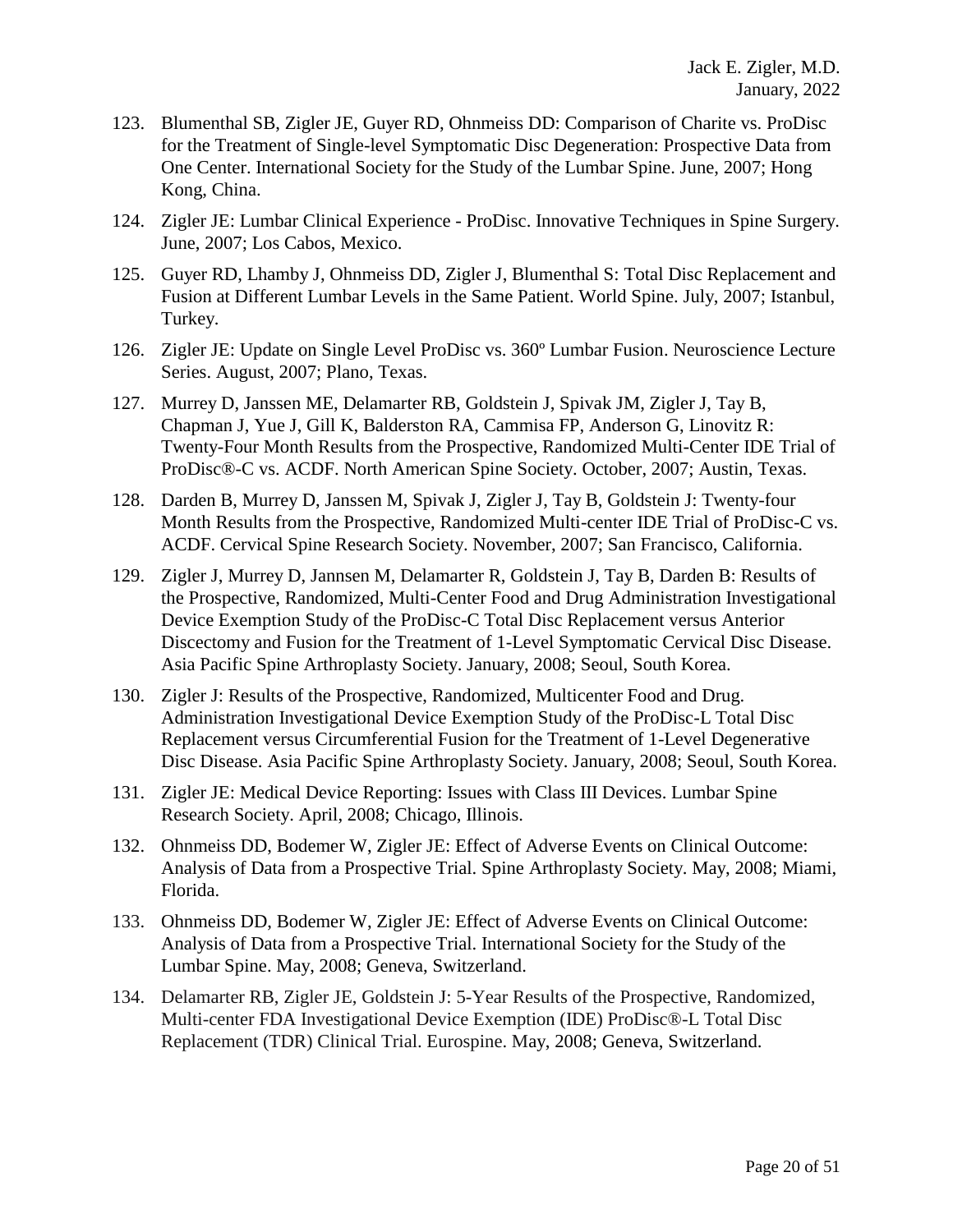- 123. Blumenthal SB, Zigler JE, Guyer RD, Ohnmeiss DD: Comparison of Charite vs. ProDisc for the Treatment of Single-level Symptomatic Disc Degeneration: Prospective Data from One Center. International Society for the Study of the Lumbar Spine. June, 2007; Hong Kong, China.
- 124. Zigler JE: Lumbar Clinical Experience ProDisc. Innovative Techniques in Spine Surgery. June, 2007; Los Cabos, Mexico.
- 125. Guyer RD, Lhamby J, Ohnmeiss DD, Zigler J, Blumenthal S: Total Disc Replacement and Fusion at Different Lumbar Levels in the Same Patient. World Spine. July, 2007; Istanbul, Turkey.
- 126. Zigler JE: Update on Single Level ProDisc vs. 360º Lumbar Fusion. Neuroscience Lecture Series. August, 2007; Plano, Texas.
- 127. Murrey D, Janssen ME, Delamarter RB, Goldstein J, Spivak JM, Zigler J, Tay B, Chapman J, Yue J, Gill K, Balderston RA, Cammisa FP, Anderson G, Linovitz R: Twenty-Four Month Results from the Prospective, Randomized Multi-Center IDE Trial of ProDisc®-C vs. ACDF. North American Spine Society. October, 2007; Austin, Texas.
- 128. Darden B, Murrey D, Janssen M, Spivak J, Zigler J, Tay B, Goldstein J: Twenty-four Month Results from the Prospective, Randomized Multi-center IDE Trial of ProDisc-C vs. ACDF. Cervical Spine Research Society. November, 2007; San Francisco, California.
- 129. Zigler J, Murrey D, Jannsen M, Delamarter R, Goldstein J, Tay B, Darden B: Results of the Prospective, Randomized, Multi-Center Food and Drug Administration Investigational Device Exemption Study of the ProDisc-C Total Disc Replacement versus Anterior Discectomy and Fusion for the Treatment of 1-Level Symptomatic Cervical Disc Disease. Asia Pacific Spine Arthroplasty Society. January, 2008; Seoul, South Korea.
- 130. Zigler J: Results of the Prospective, Randomized, Multicenter Food and Drug. Administration Investigational Device Exemption Study of the ProDisc-L Total Disc Replacement versus Circumferential Fusion for the Treatment of 1-Level Degenerative Disc Disease. Asia Pacific Spine Arthroplasty Society. January, 2008; Seoul, South Korea.
- 131. Zigler JE: Medical Device Reporting: Issues with Class III Devices. Lumbar Spine Research Society. April, 2008; Chicago, Illinois.
- 132. Ohnmeiss DD, Bodemer W, Zigler JE: Effect of Adverse Events on Clinical Outcome: Analysis of Data from a Prospective Trial. Spine Arthroplasty Society. May, 2008; Miami, Florida.
- 133. Ohnmeiss DD, Bodemer W, Zigler JE: Effect of Adverse Events on Clinical Outcome: Analysis of Data from a Prospective Trial. International Society for the Study of the Lumbar Spine. May, 2008; Geneva, Switzerland.
- 134. Delamarter RB, Zigler JE, Goldstein J: 5-Year Results of the Prospective, Randomized, Multi-center FDA Investigational Device Exemption (IDE) ProDisc®-L Total Disc Replacement (TDR) Clinical Trial. Eurospine. May, 2008; Geneva, Switzerland.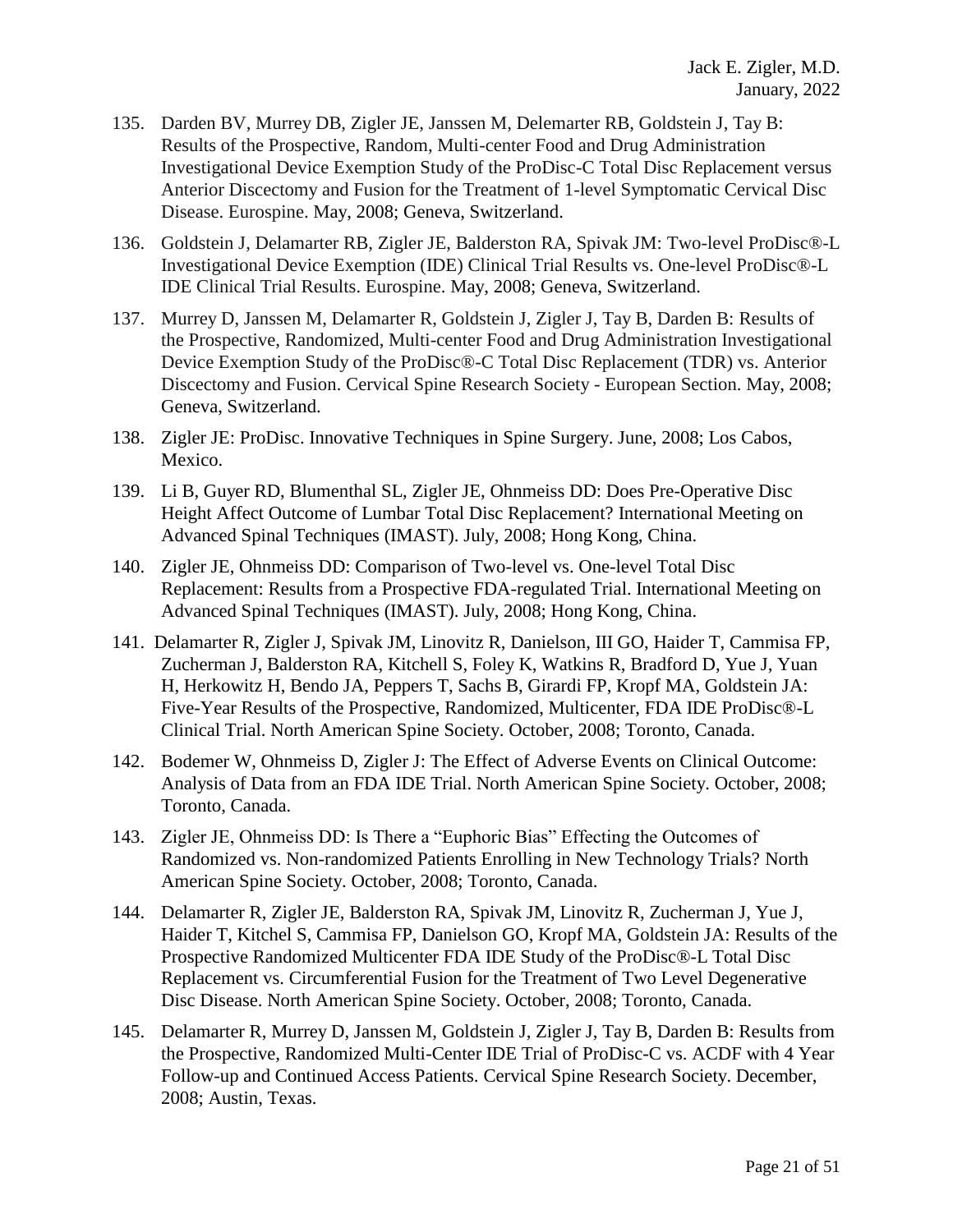- 135. Darden BV, Murrey DB, Zigler JE, Janssen M, Delemarter RB, Goldstein J, Tay B: Results of the Prospective, Random, Multi-center Food and Drug Administration Investigational Device Exemption Study of the ProDisc-C Total Disc Replacement versus Anterior Discectomy and Fusion for the Treatment of 1-level Symptomatic Cervical Disc Disease. Eurospine. May, 2008; Geneva, Switzerland.
- 136. Goldstein J, Delamarter RB, Zigler JE, Balderston RA, Spivak JM: Two-level ProDisc®-L Investigational Device Exemption (IDE) Clinical Trial Results vs. One-level ProDisc®-L IDE Clinical Trial Results. Eurospine. May, 2008; Geneva, Switzerland.
- 137. Murrey D, Janssen M, Delamarter R, Goldstein J, Zigler J, Tay B, Darden B: Results of the Prospective, Randomized, Multi-center Food and Drug Administration Investigational Device Exemption Study of the ProDisc®-C Total Disc Replacement (TDR) vs. Anterior Discectomy and Fusion. Cervical Spine Research Society - European Section. May, 2008; Geneva, Switzerland.
- 138. Zigler JE: ProDisc. Innovative Techniques in Spine Surgery. June, 2008; Los Cabos, Mexico.
- 139. Li B, Guyer RD, Blumenthal SL, Zigler JE, Ohnmeiss DD: Does Pre-Operative Disc Height Affect Outcome of Lumbar Total Disc Replacement? International Meeting on Advanced Spinal Techniques (IMAST). July, 2008; Hong Kong, China.
- 140. Zigler JE, Ohnmeiss DD: Comparison of Two-level vs. One-level Total Disc Replacement: Results from a Prospective FDA-regulated Trial. International Meeting on Advanced Spinal Techniques (IMAST). July, 2008; Hong Kong, China.
- 141. Delamarter R, Zigler J, Spivak JM, Linovitz R, Danielson, III GO, Haider T, Cammisa FP, Zucherman J, Balderston RA, Kitchell S, Foley K, Watkins R, Bradford D, Yue J, Yuan H, Herkowitz H, Bendo JA, Peppers T, Sachs B, Girardi FP, Kropf MA, Goldstein JA: Five-Year Results of the Prospective, Randomized, Multicenter, FDA IDE ProDisc®-L Clinical Trial. North American Spine Society. October, 2008; Toronto, Canada.
- 142. Bodemer W, Ohnmeiss D, Zigler J: The Effect of Adverse Events on Clinical Outcome: Analysis of Data from an FDA IDE Trial. North American Spine Society. October, 2008; Toronto, Canada.
- 143. Zigler JE, Ohnmeiss DD: Is There a "Euphoric Bias" Effecting the Outcomes of Randomized vs. Non-randomized Patients Enrolling in New Technology Trials? North American Spine Society. October, 2008; Toronto, Canada.
- 144. Delamarter R, Zigler JE, Balderston RA, Spivak JM, Linovitz R, Zucherman J, Yue J, Haider T, Kitchel S, Cammisa FP, Danielson GO, Kropf MA, Goldstein JA: Results of the Prospective Randomized Multicenter FDA IDE Study of the ProDisc®-L Total Disc Replacement vs. Circumferential Fusion for the Treatment of Two Level Degenerative Disc Disease. North American Spine Society. October, 2008; Toronto, Canada.
- 145. Delamarter R, Murrey D, Janssen M, Goldstein J, Zigler J, Tay B, Darden B: Results from the Prospective, Randomized Multi-Center IDE Trial of ProDisc-C vs. ACDF with 4 Year Follow-up and Continued Access Patients. Cervical Spine Research Society. December, 2008; Austin, Texas.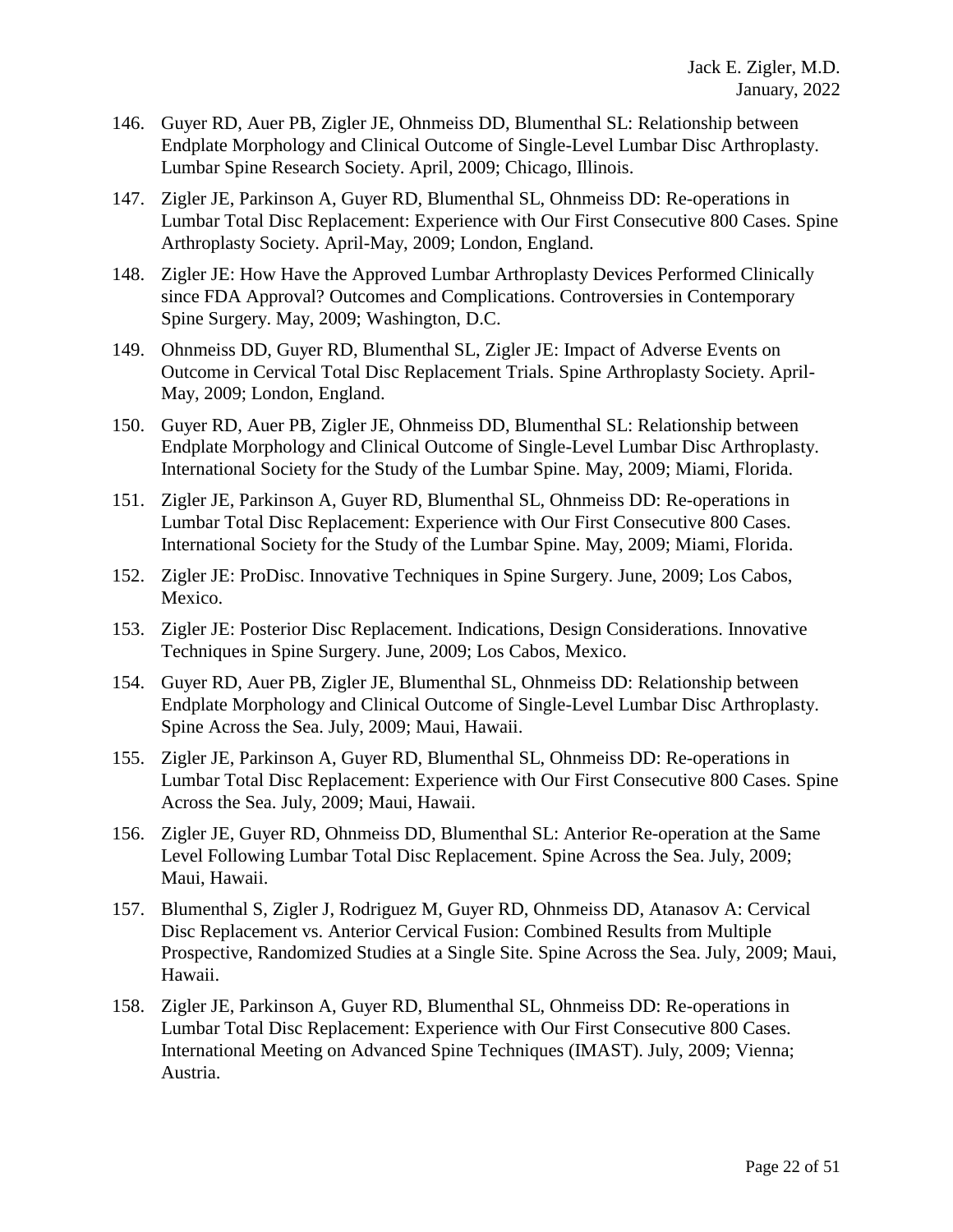- 146. Guyer RD, Auer PB, Zigler JE, Ohnmeiss DD, Blumenthal SL: Relationship between Endplate Morphology and Clinical Outcome of Single-Level Lumbar Disc Arthroplasty. Lumbar Spine Research Society. April, 2009; Chicago, Illinois.
- 147. Zigler JE, Parkinson A, Guyer RD, Blumenthal SL, Ohnmeiss DD: Re-operations in Lumbar Total Disc Replacement: Experience with Our First Consecutive 800 Cases. Spine Arthroplasty Society. April-May, 2009; London, England.
- 148. Zigler JE: How Have the Approved Lumbar Arthroplasty Devices Performed Clinically since FDA Approval? Outcomes and Complications. Controversies in Contemporary Spine Surgery. May, 2009; Washington, D.C.
- 149. Ohnmeiss DD, Guyer RD, Blumenthal SL, Zigler JE: Impact of Adverse Events on Outcome in Cervical Total Disc Replacement Trials. Spine Arthroplasty Society. April-May, 2009; London, England.
- 150. Guyer RD, Auer PB, Zigler JE, Ohnmeiss DD, Blumenthal SL: Relationship between Endplate Morphology and Clinical Outcome of Single-Level Lumbar Disc Arthroplasty. International Society for the Study of the Lumbar Spine. May, 2009; Miami, Florida.
- 151. Zigler JE, Parkinson A, Guyer RD, Blumenthal SL, Ohnmeiss DD: Re-operations in Lumbar Total Disc Replacement: Experience with Our First Consecutive 800 Cases. International Society for the Study of the Lumbar Spine. May, 2009; Miami, Florida.
- 152. Zigler JE: ProDisc. Innovative Techniques in Spine Surgery. June, 2009; Los Cabos, Mexico.
- 153. Zigler JE: Posterior Disc Replacement. Indications, Design Considerations. Innovative Techniques in Spine Surgery. June, 2009; Los Cabos, Mexico.
- 154. Guyer RD, Auer PB, Zigler JE, Blumenthal SL, Ohnmeiss DD: Relationship between Endplate Morphology and Clinical Outcome of Single-Level Lumbar Disc Arthroplasty. Spine Across the Sea. July, 2009; Maui, Hawaii.
- 155. Zigler JE, Parkinson A, Guyer RD, Blumenthal SL, Ohnmeiss DD: Re-operations in Lumbar Total Disc Replacement: Experience with Our First Consecutive 800 Cases. Spine Across the Sea. July, 2009; Maui, Hawaii.
- 156. Zigler JE, Guyer RD, Ohnmeiss DD, Blumenthal SL: Anterior Re-operation at the Same Level Following Lumbar Total Disc Replacement. Spine Across the Sea. July, 2009; Maui, Hawaii.
- 157. Blumenthal S, Zigler J, Rodriguez M, Guyer RD, Ohnmeiss DD, Atanasov A: Cervical Disc Replacement vs. Anterior Cervical Fusion: Combined Results from Multiple Prospective, Randomized Studies at a Single Site. Spine Across the Sea. July, 2009; Maui, Hawaii.
- 158. Zigler JE, Parkinson A, Guyer RD, Blumenthal SL, Ohnmeiss DD: Re-operations in Lumbar Total Disc Replacement: Experience with Our First Consecutive 800 Cases. International Meeting on Advanced Spine Techniques (IMAST). July, 2009; Vienna; Austria.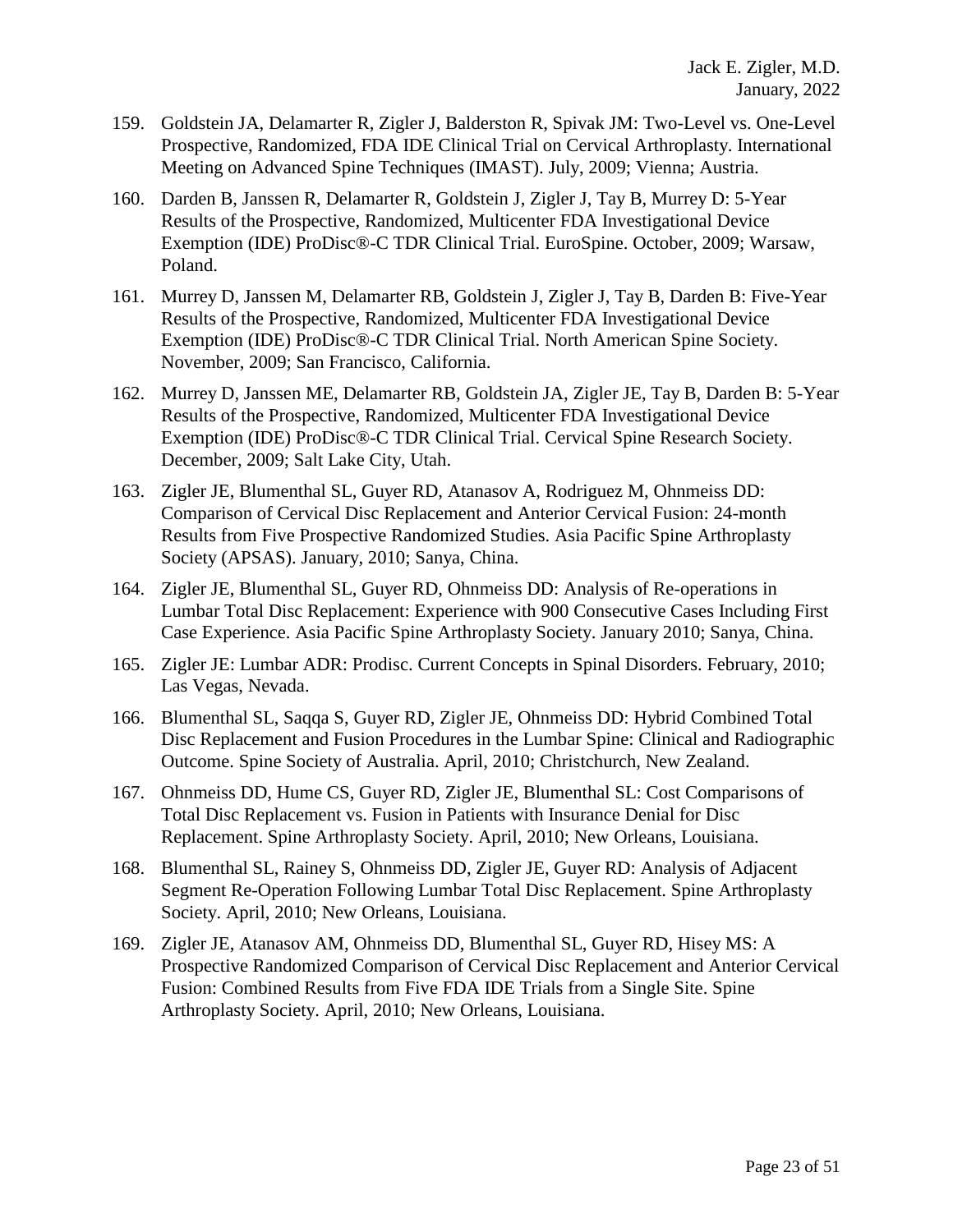- 159. Goldstein JA, Delamarter R, Zigler J, Balderston R, Spivak JM: Two-Level vs. One-Level Prospective, Randomized, FDA IDE Clinical Trial on Cervical Arthroplasty. International Meeting on Advanced Spine Techniques (IMAST). July, 2009; Vienna; Austria.
- 160. Darden B, Janssen R, Delamarter R, Goldstein J, Zigler J, Tay B, Murrey D: 5-Year Results of the Prospective, Randomized, Multicenter FDA Investigational Device Exemption (IDE) ProDisc®-C TDR Clinical Trial. EuroSpine. October, 2009; Warsaw, Poland.
- 161. Murrey D, Janssen M, Delamarter RB, Goldstein J, Zigler J, Tay B, Darden B: Five-Year Results of the Prospective, Randomized, Multicenter FDA Investigational Device Exemption (IDE) ProDisc®-C TDR Clinical Trial. North American Spine Society. November, 2009; San Francisco, California.
- 162. Murrey D, Janssen ME, Delamarter RB, Goldstein JA, Zigler JE, Tay B, Darden B: 5-Year Results of the Prospective, Randomized, Multicenter FDA Investigational Device Exemption (IDE) ProDisc®-C TDR Clinical Trial. Cervical Spine Research Society. December, 2009; Salt Lake City, Utah.
- 163. Zigler JE, Blumenthal SL, Guyer RD, Atanasov A, Rodriguez M, Ohnmeiss DD: Comparison of Cervical Disc Replacement and Anterior Cervical Fusion: 24-month Results from Five Prospective Randomized Studies. Asia Pacific Spine Arthroplasty Society (APSAS). January, 2010; Sanya, China.
- 164. Zigler JE, Blumenthal SL, Guyer RD, Ohnmeiss DD: Analysis of Re-operations in Lumbar Total Disc Replacement: Experience with 900 Consecutive Cases Including First Case Experience. Asia Pacific Spine Arthroplasty Society. January 2010; Sanya, China.
- 165. Zigler JE: Lumbar ADR: Prodisc. Current Concepts in Spinal Disorders. February, 2010; Las Vegas, Nevada.
- 166. Blumenthal SL, Saqqa S, Guyer RD, Zigler JE, Ohnmeiss DD: Hybrid Combined Total Disc Replacement and Fusion Procedures in the Lumbar Spine: Clinical and Radiographic Outcome. Spine Society of Australia. April, 2010; Christchurch, New Zealand.
- 167. Ohnmeiss DD, Hume CS, Guyer RD, Zigler JE, Blumenthal SL: Cost Comparisons of Total Disc Replacement vs. Fusion in Patients with Insurance Denial for Disc Replacement. Spine Arthroplasty Society. April, 2010; New Orleans, Louisiana.
- 168. Blumenthal SL, Rainey S, Ohnmeiss DD, Zigler JE, Guyer RD: Analysis of Adjacent Segment Re-Operation Following Lumbar Total Disc Replacement. Spine Arthroplasty Society. April, 2010; New Orleans, Louisiana.
- 169. Zigler JE, Atanasov AM, Ohnmeiss DD, Blumenthal SL, Guyer RD, Hisey MS: A Prospective Randomized Comparison of Cervical Disc Replacement and Anterior Cervical Fusion: Combined Results from Five FDA IDE Trials from a Single Site. Spine Arthroplasty Society. April, 2010; New Orleans, Louisiana.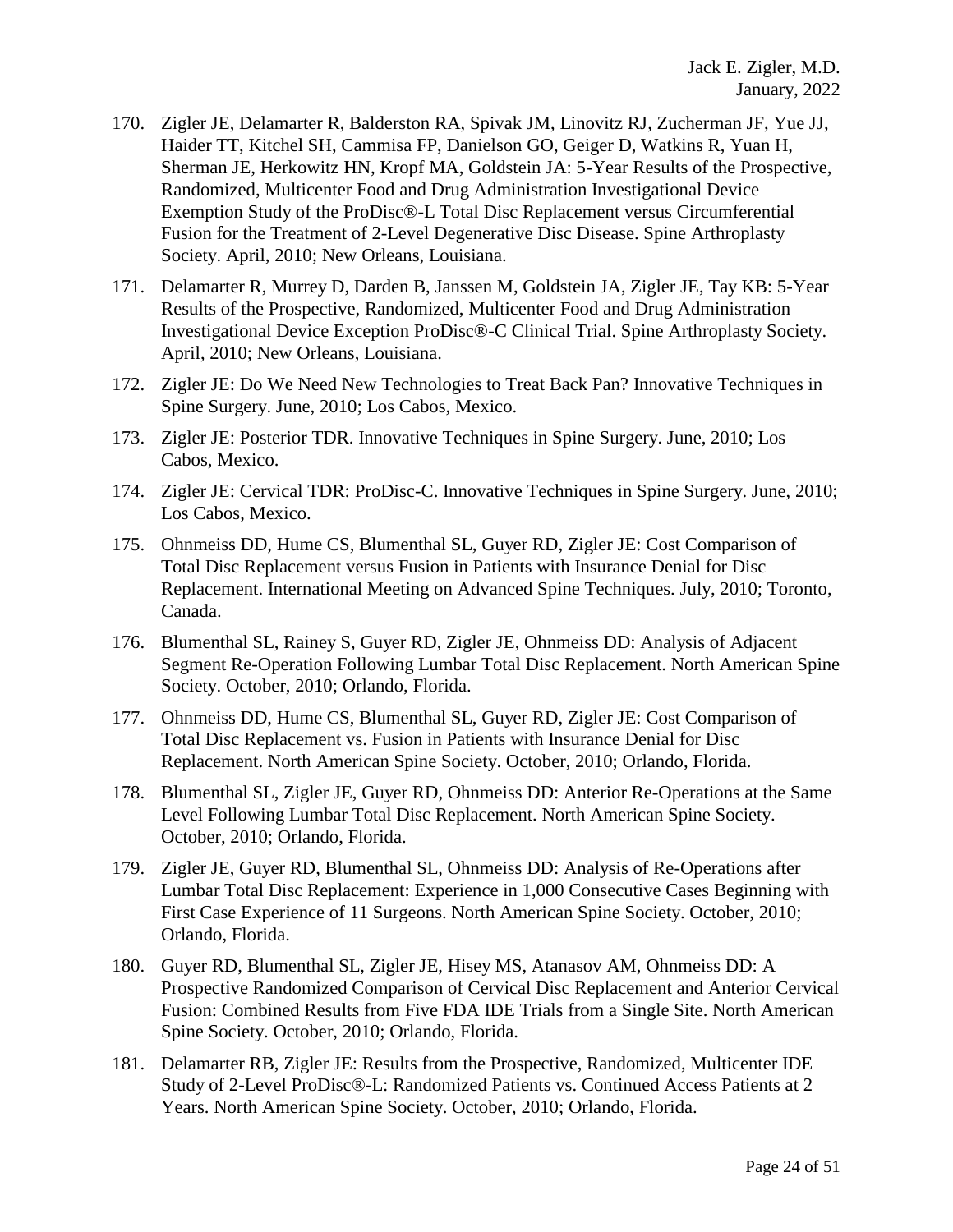- 170. Zigler JE, Delamarter R, Balderston RA, Spivak JM, Linovitz RJ, Zucherman JF, Yue JJ, Haider TT, Kitchel SH, Cammisa FP, Danielson GO, Geiger D, Watkins R, Yuan H, Sherman JE, Herkowitz HN, Kropf MA, Goldstein JA: 5-Year Results of the Prospective, Randomized, Multicenter Food and Drug Administration Investigational Device Exemption Study of the ProDisc®-L Total Disc Replacement versus Circumferential Fusion for the Treatment of 2-Level Degenerative Disc Disease. Spine Arthroplasty Society. April, 2010; New Orleans, Louisiana.
- 171. Delamarter R, Murrey D, Darden B, Janssen M, Goldstein JA, Zigler JE, Tay KB: 5-Year Results of the Prospective, Randomized, Multicenter Food and Drug Administration Investigational Device Exception ProDisc®-C Clinical Trial. Spine Arthroplasty Society. April, 2010; New Orleans, Louisiana.
- 172. Zigler JE: Do We Need New Technologies to Treat Back Pan? Innovative Techniques in Spine Surgery. June, 2010; Los Cabos, Mexico.
- 173. Zigler JE: Posterior TDR. Innovative Techniques in Spine Surgery. June, 2010; Los Cabos, Mexico.
- 174. Zigler JE: Cervical TDR: ProDisc-C. Innovative Techniques in Spine Surgery. June, 2010; Los Cabos, Mexico.
- 175. Ohnmeiss DD, Hume CS, Blumenthal SL, Guyer RD, Zigler JE: Cost Comparison of Total Disc Replacement versus Fusion in Patients with Insurance Denial for Disc Replacement. International Meeting on Advanced Spine Techniques. July, 2010; Toronto, Canada.
- 176. Blumenthal SL, Rainey S, Guyer RD, Zigler JE, Ohnmeiss DD: Analysis of Adjacent Segment Re-Operation Following Lumbar Total Disc Replacement. North American Spine Society. October, 2010; Orlando, Florida.
- 177. Ohnmeiss DD, Hume CS, Blumenthal SL, Guyer RD, Zigler JE: Cost Comparison of Total Disc Replacement vs. Fusion in Patients with Insurance Denial for Disc Replacement. North American Spine Society. October, 2010; Orlando, Florida.
- 178. Blumenthal SL, Zigler JE, Guyer RD, Ohnmeiss DD: Anterior Re-Operations at the Same Level Following Lumbar Total Disc Replacement. North American Spine Society. October, 2010; Orlando, Florida.
- 179. Zigler JE, Guyer RD, Blumenthal SL, Ohnmeiss DD: Analysis of Re-Operations after Lumbar Total Disc Replacement: Experience in 1,000 Consecutive Cases Beginning with First Case Experience of 11 Surgeons. North American Spine Society. October, 2010; Orlando, Florida.
- 180. Guyer RD, Blumenthal SL, Zigler JE, Hisey MS, Atanasov AM, Ohnmeiss DD: A Prospective Randomized Comparison of Cervical Disc Replacement and Anterior Cervical Fusion: Combined Results from Five FDA IDE Trials from a Single Site. North American Spine Society. October, 2010; Orlando, Florida.
- 181. Delamarter RB, Zigler JE: Results from the Prospective, Randomized, Multicenter IDE Study of 2-Level ProDisc®-L: Randomized Patients vs. Continued Access Patients at 2 Years. North American Spine Society. October, 2010; Orlando, Florida.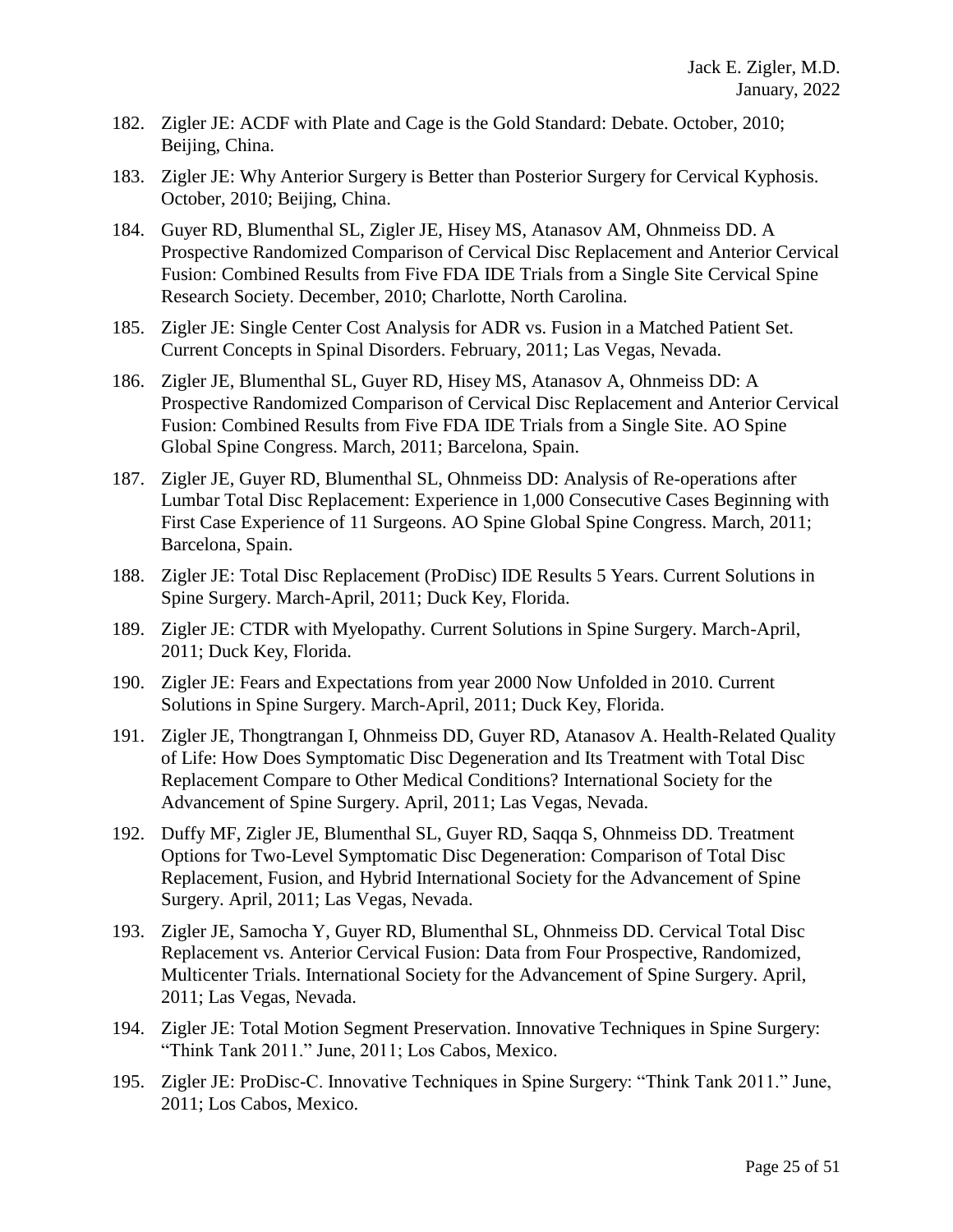- 182. Zigler JE: ACDF with Plate and Cage is the Gold Standard: Debate. October, 2010; Beijing, China.
- 183. Zigler JE: Why Anterior Surgery is Better than Posterior Surgery for Cervical Kyphosis. October, 2010; Beijing, China.
- 184. Guyer RD, Blumenthal SL, Zigler JE, Hisey MS, Atanasov AM, Ohnmeiss DD. A Prospective Randomized Comparison of Cervical Disc Replacement and Anterior Cervical Fusion: Combined Results from Five FDA IDE Trials from a Single Site Cervical Spine Research Society. December, 2010; Charlotte, North Carolina.
- 185. Zigler JE: Single Center Cost Analysis for ADR vs. Fusion in a Matched Patient Set. Current Concepts in Spinal Disorders. February, 2011; Las Vegas, Nevada.
- 186. Zigler JE, Blumenthal SL, Guyer RD, Hisey MS, Atanasov A, Ohnmeiss DD: A Prospective Randomized Comparison of Cervical Disc Replacement and Anterior Cervical Fusion: Combined Results from Five FDA IDE Trials from a Single Site. AO Spine Global Spine Congress. March, 2011; Barcelona, Spain.
- 187. Zigler JE, Guyer RD, Blumenthal SL, Ohnmeiss DD: Analysis of Re-operations after Lumbar Total Disc Replacement: Experience in 1,000 Consecutive Cases Beginning with First Case Experience of 11 Surgeons. AO Spine Global Spine Congress. March, 2011; Barcelona, Spain.
- 188. Zigler JE: Total Disc Replacement (ProDisc) IDE Results 5 Years. Current Solutions in Spine Surgery. March-April, 2011; Duck Key, Florida.
- 189. Zigler JE: CTDR with Myelopathy. Current Solutions in Spine Surgery. March-April, 2011; Duck Key, Florida.
- 190. Zigler JE: Fears and Expectations from year 2000 Now Unfolded in 2010. Current Solutions in Spine Surgery. March-April, 2011; Duck Key, Florida.
- 191. Zigler JE, Thongtrangan I, Ohnmeiss DD, Guyer RD, Atanasov A. Health-Related Quality of Life: How Does Symptomatic Disc Degeneration and Its Treatment with Total Disc Replacement Compare to Other Medical Conditions? International Society for the Advancement of Spine Surgery. April, 2011; Las Vegas, Nevada.
- 192. Duffy MF, Zigler JE, Blumenthal SL, Guyer RD, Saqqa S, Ohnmeiss DD. Treatment Options for Two-Level Symptomatic Disc Degeneration: Comparison of Total Disc Replacement, Fusion, and Hybrid International Society for the Advancement of Spine Surgery. April, 2011; Las Vegas, Nevada.
- 193. Zigler JE, Samocha Y, Guyer RD, Blumenthal SL, Ohnmeiss DD. Cervical Total Disc Replacement vs. Anterior Cervical Fusion: Data from Four Prospective, Randomized, Multicenter Trials. International Society for the Advancement of Spine Surgery. April, 2011; Las Vegas, Nevada.
- 194. Zigler JE: Total Motion Segment Preservation. Innovative Techniques in Spine Surgery: "Think Tank 2011." June, 2011; Los Cabos, Mexico.
- 195. Zigler JE: ProDisc-C. Innovative Techniques in Spine Surgery: "Think Tank 2011." June, 2011; Los Cabos, Mexico.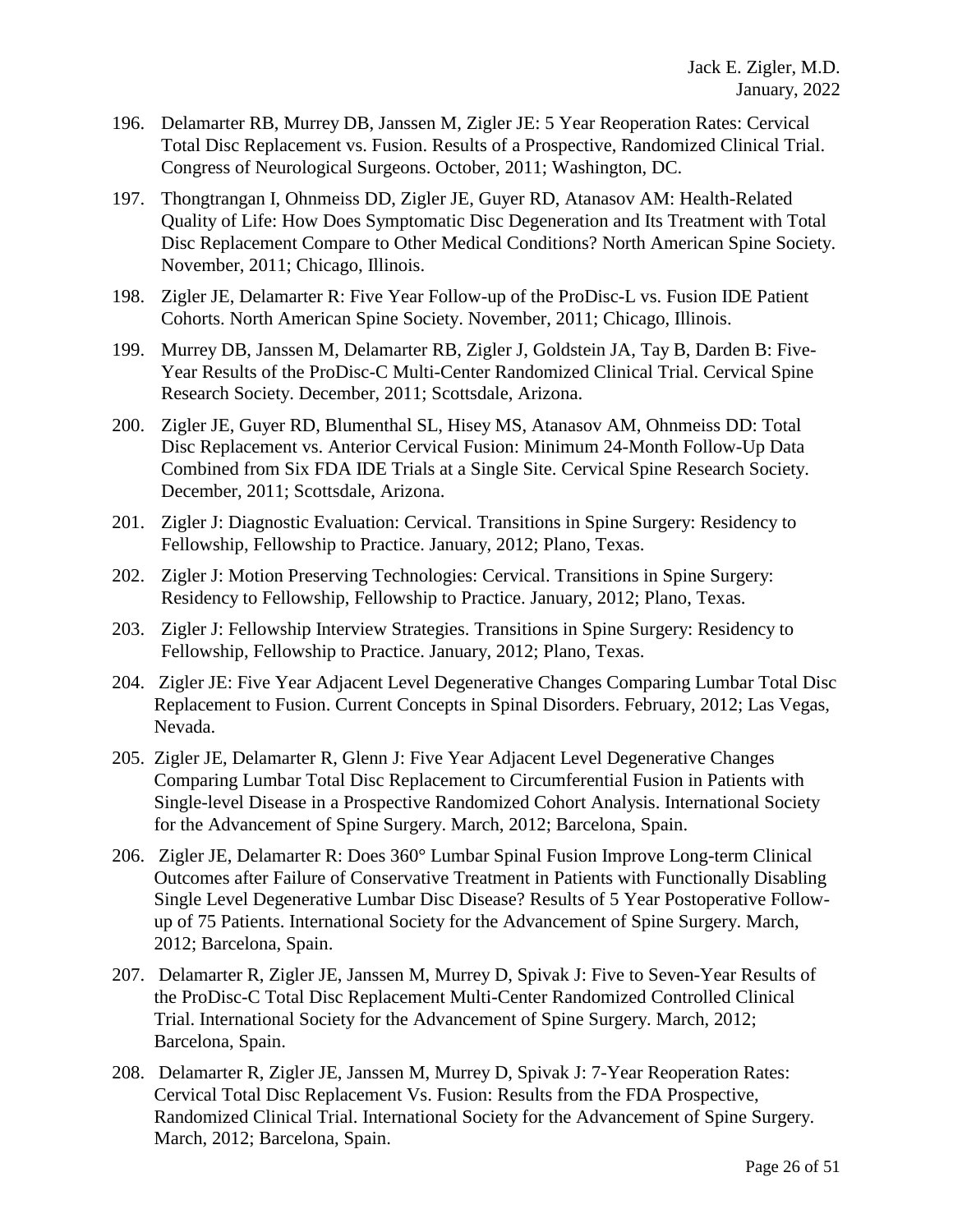- 196. Delamarter RB, Murrey DB, Janssen M, Zigler JE: 5 Year Reoperation Rates: Cervical Total Disc Replacement vs. Fusion. Results of a Prospective, Randomized Clinical Trial. Congress of Neurological Surgeons. October, 2011; Washington, DC.
- 197. Thongtrangan I, Ohnmeiss DD, Zigler JE, Guyer RD, Atanasov AM: Health-Related Quality of Life: How Does Symptomatic Disc Degeneration and Its Treatment with Total Disc Replacement Compare to Other Medical Conditions? North American Spine Society. November, 2011; Chicago, Illinois.
- 198. Zigler JE, Delamarter R: Five Year Follow-up of the ProDisc-L vs. Fusion IDE Patient Cohorts. North American Spine Society. November, 2011; Chicago, Illinois.
- 199. Murrey DB, Janssen M, Delamarter RB, Zigler J, Goldstein JA, Tay B, Darden B: Five-Year Results of the ProDisc-C Multi-Center Randomized Clinical Trial. Cervical Spine Research Society. December, 2011; Scottsdale, Arizona.
- 200. Zigler JE, Guyer RD, Blumenthal SL, Hisey MS, Atanasov AM, Ohnmeiss DD: Total Disc Replacement vs. Anterior Cervical Fusion: Minimum 24-Month Follow-Up Data Combined from Six FDA IDE Trials at a Single Site. Cervical Spine Research Society. December, 2011; Scottsdale, Arizona.
- 201. Zigler J: Diagnostic Evaluation: Cervical. Transitions in Spine Surgery: Residency to Fellowship, Fellowship to Practice. January, 2012; Plano, Texas.
- 202. Zigler J: Motion Preserving Technologies: Cervical. Transitions in Spine Surgery: Residency to Fellowship, Fellowship to Practice. January, 2012; Plano, Texas.
- 203. Zigler J: Fellowship Interview Strategies. Transitions in Spine Surgery: Residency to Fellowship, Fellowship to Practice. January, 2012; Plano, Texas.
- 204. Zigler JE: Five Year Adjacent Level Degenerative Changes Comparing Lumbar Total Disc Replacement to Fusion. Current Concepts in Spinal Disorders. February, 2012; Las Vegas, Nevada.
- 205. Zigler JE, Delamarter R, Glenn J: Five Year Adjacent Level Degenerative Changes Comparing Lumbar Total Disc Replacement to Circumferential Fusion in Patients with Single-level Disease in a Prospective Randomized Cohort Analysis. International Society for the Advancement of Spine Surgery. March, 2012; Barcelona, Spain.
- 206. Zigler JE, Delamarter R: Does 360° Lumbar Spinal Fusion Improve Long-term Clinical Outcomes after Failure of Conservative Treatment in Patients with Functionally Disabling Single Level Degenerative Lumbar Disc Disease? Results of 5 Year Postoperative Followup of 75 Patients. International Society for the Advancement of Spine Surgery. March, 2012; Barcelona, Spain.
- 207. Delamarter R, Zigler JE, Janssen M, Murrey D, Spivak J: Five to Seven-Year Results of the ProDisc-C Total Disc Replacement Multi-Center Randomized Controlled Clinical Trial. International Society for the Advancement of Spine Surgery. March, 2012; Barcelona, Spain.
- 208. Delamarter R, Zigler JE, Janssen M, Murrey D, Spivak J: 7-Year Reoperation Rates: Cervical Total Disc Replacement Vs. Fusion: Results from the FDA Prospective, Randomized Clinical Trial. International Society for the Advancement of Spine Surgery. March, 2012; Barcelona, Spain.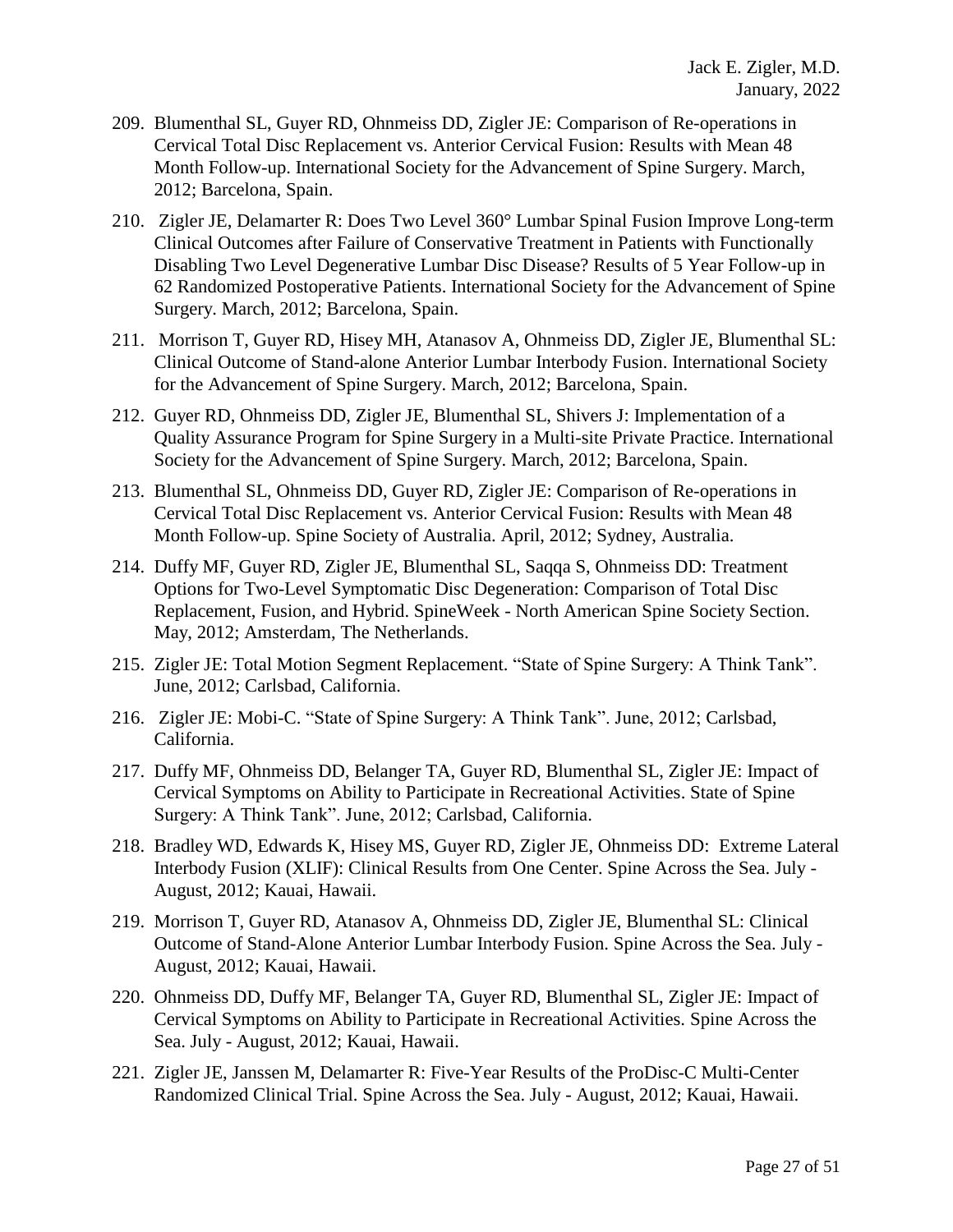- 209. Blumenthal SL, Guyer RD, Ohnmeiss DD, Zigler JE: Comparison of Re-operations in Cervical Total Disc Replacement vs. Anterior Cervical Fusion: Results with Mean 48 Month Follow-up. International Society for the Advancement of Spine Surgery. March, 2012; Barcelona, Spain.
- 210. Zigler JE, Delamarter R: Does Two Level 360° Lumbar Spinal Fusion Improve Long-term Clinical Outcomes after Failure of Conservative Treatment in Patients with Functionally Disabling Two Level Degenerative Lumbar Disc Disease? Results of 5 Year Follow-up in 62 Randomized Postoperative Patients. International Society for the Advancement of Spine Surgery. March, 2012; Barcelona, Spain.
- 211. Morrison T, Guyer RD, Hisey MH, Atanasov A, Ohnmeiss DD, Zigler JE, Blumenthal SL: Clinical Outcome of Stand-alone Anterior Lumbar Interbody Fusion. International Society for the Advancement of Spine Surgery. March, 2012; Barcelona, Spain.
- 212. Guyer RD, Ohnmeiss DD, Zigler JE, Blumenthal SL, Shivers J: Implementation of a Quality Assurance Program for Spine Surgery in a Multi-site Private Practice. International Society for the Advancement of Spine Surgery. March, 2012; Barcelona, Spain.
- 213. Blumenthal SL, Ohnmeiss DD, Guyer RD, Zigler JE: Comparison of Re-operations in Cervical Total Disc Replacement vs. Anterior Cervical Fusion: Results with Mean 48 Month Follow-up. Spine Society of Australia. April, 2012; Sydney, Australia.
- 214. Duffy MF, Guyer RD, Zigler JE, Blumenthal SL, Saqqa S, Ohnmeiss DD: Treatment Options for Two-Level Symptomatic Disc Degeneration: Comparison of Total Disc Replacement, Fusion, and Hybrid. SpineWeek - North American Spine Society Section. May, 2012; Amsterdam, The Netherlands.
- 215. Zigler JE: Total Motion Segment Replacement. "State of Spine Surgery: A Think Tank". June, 2012; Carlsbad, California.
- 216. Zigler JE: Mobi-C. "State of Spine Surgery: A Think Tank". June, 2012; Carlsbad, California.
- 217. Duffy MF, Ohnmeiss DD, Belanger TA, Guyer RD, Blumenthal SL, Zigler JE: Impact of Cervical Symptoms on Ability to Participate in Recreational Activities. State of Spine Surgery: A Think Tank". June, 2012; Carlsbad, California.
- 218. Bradley WD, Edwards K, Hisey MS, Guyer RD, Zigler JE, Ohnmeiss DD: Extreme Lateral Interbody Fusion (XLIF): Clinical Results from One Center. Spine Across the Sea. July - August, 2012; Kauai, Hawaii.
- 219. Morrison T, Guyer RD, Atanasov A, Ohnmeiss DD, Zigler JE, Blumenthal SL: Clinical Outcome of Stand-Alone Anterior Lumbar Interbody Fusion. Spine Across the Sea. July - August, 2012; Kauai, Hawaii.
- 220. Ohnmeiss DD, Duffy MF, Belanger TA, Guyer RD, Blumenthal SL, Zigler JE: Impact of Cervical Symptoms on Ability to Participate in Recreational Activities. Spine Across the Sea. July - August, 2012; Kauai, Hawaii.
- 221. Zigler JE, Janssen M, Delamarter R: Five-Year Results of the ProDisc-C Multi-Center Randomized Clinical Trial. Spine Across the Sea. July - August, 2012; Kauai, Hawaii.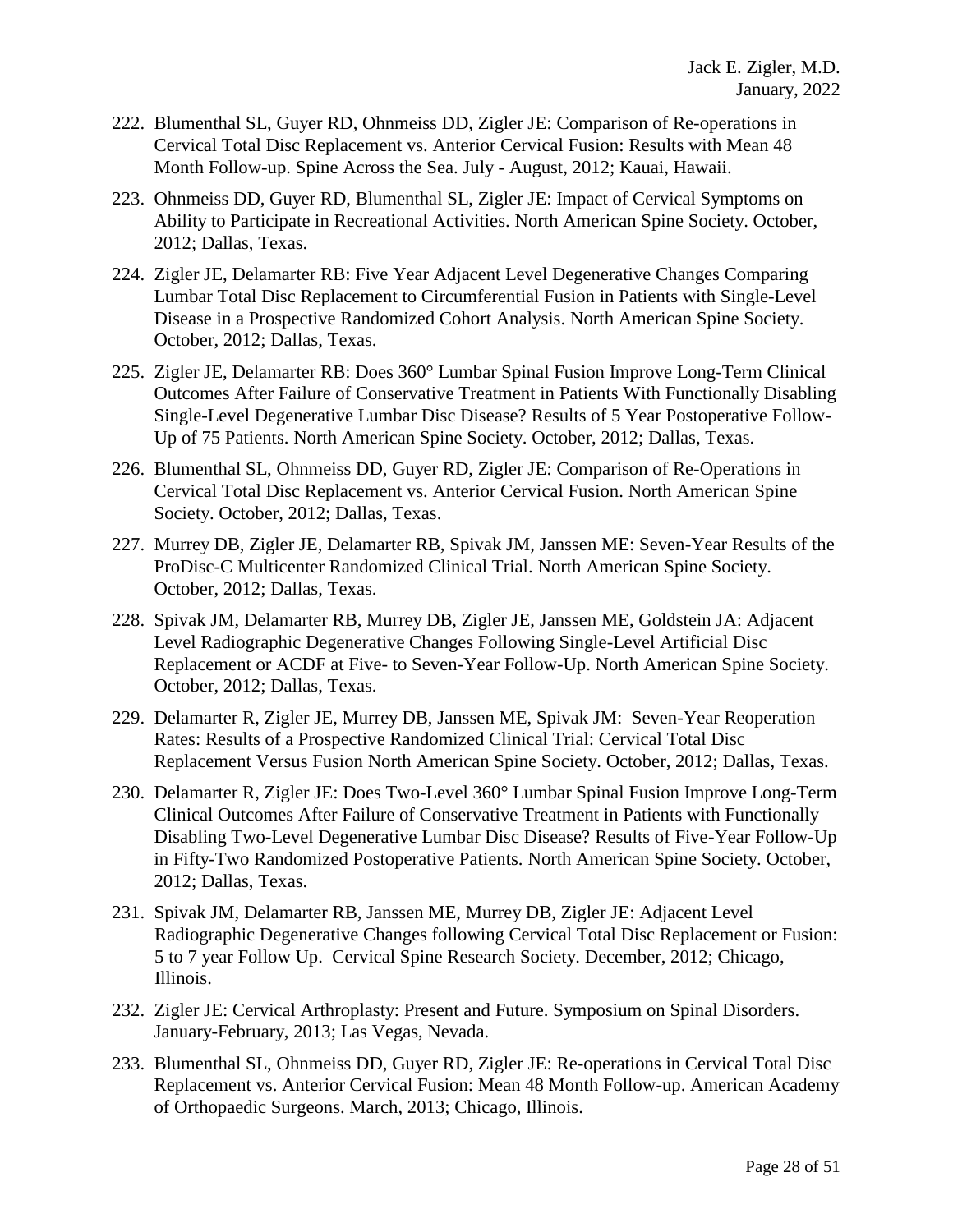- 222. Blumenthal SL, Guyer RD, Ohnmeiss DD, Zigler JE: Comparison of Re-operations in Cervical Total Disc Replacement vs. Anterior Cervical Fusion: Results with Mean 48 Month Follow-up. Spine Across the Sea. July - August, 2012; Kauai, Hawaii.
- 223. Ohnmeiss DD, Guyer RD, Blumenthal SL, Zigler JE: Impact of Cervical Symptoms on Ability to Participate in Recreational Activities. North American Spine Society. October, 2012; Dallas, Texas.
- 224. Zigler JE, Delamarter RB: Five Year Adjacent Level Degenerative Changes Comparing Lumbar Total Disc Replacement to Circumferential Fusion in Patients with Single-Level Disease in a Prospective Randomized Cohort Analysis. North American Spine Society. October, 2012; Dallas, Texas.
- 225. Zigler JE, Delamarter RB: Does 360° Lumbar Spinal Fusion Improve Long-Term Clinical Outcomes After Failure of Conservative Treatment in Patients With Functionally Disabling Single-Level Degenerative Lumbar Disc Disease? Results of 5 Year Postoperative Follow-Up of 75 Patients. North American Spine Society. October, 2012; Dallas, Texas.
- 226. Blumenthal SL, Ohnmeiss DD, Guyer RD, Zigler JE: Comparison of Re-Operations in Cervical Total Disc Replacement vs. Anterior Cervical Fusion. North American Spine Society. October, 2012; Dallas, Texas.
- 227. Murrey DB, Zigler JE, Delamarter RB, Spivak JM, Janssen ME: Seven-Year Results of the ProDisc-C Multicenter Randomized Clinical Trial. North American Spine Society. October, 2012; Dallas, Texas.
- 228. Spivak JM, Delamarter RB, Murrey DB, Zigler JE, Janssen ME, Goldstein JA: Adjacent Level Radiographic Degenerative Changes Following Single-Level Artificial Disc Replacement or ACDF at Five- to Seven-Year Follow-Up. North American Spine Society. October, 2012; Dallas, Texas.
- 229. Delamarter R, Zigler JE, Murrey DB, Janssen ME, Spivak JM: Seven-Year Reoperation Rates: Results of a Prospective Randomized Clinical Trial: Cervical Total Disc Replacement Versus Fusion North American Spine Society. October, 2012; Dallas, Texas.
- 230. Delamarter R, Zigler JE: Does Two-Level 360° Lumbar Spinal Fusion Improve Long-Term Clinical Outcomes After Failure of Conservative Treatment in Patients with Functionally Disabling Two-Level Degenerative Lumbar Disc Disease? Results of Five-Year Follow-Up in Fifty-Two Randomized Postoperative Patients. North American Spine Society. October, 2012; Dallas, Texas.
- 231. Spivak JM, Delamarter RB, Janssen ME, Murrey DB, Zigler JE: Adjacent Level Radiographic Degenerative Changes following Cervical Total Disc Replacement or Fusion: 5 to 7 year Follow Up. Cervical Spine Research Society. December, 2012; Chicago, Illinois.
- 232. Zigler JE: Cervical Arthroplasty: Present and Future. Symposium on Spinal Disorders. January-February, 2013; Las Vegas, Nevada.
- 233. Blumenthal SL, Ohnmeiss DD, Guyer RD, Zigler JE: Re-operations in Cervical Total Disc Replacement vs. Anterior Cervical Fusion: Mean 48 Month Follow-up. American Academy of Orthopaedic Surgeons. March, 2013; Chicago, Illinois.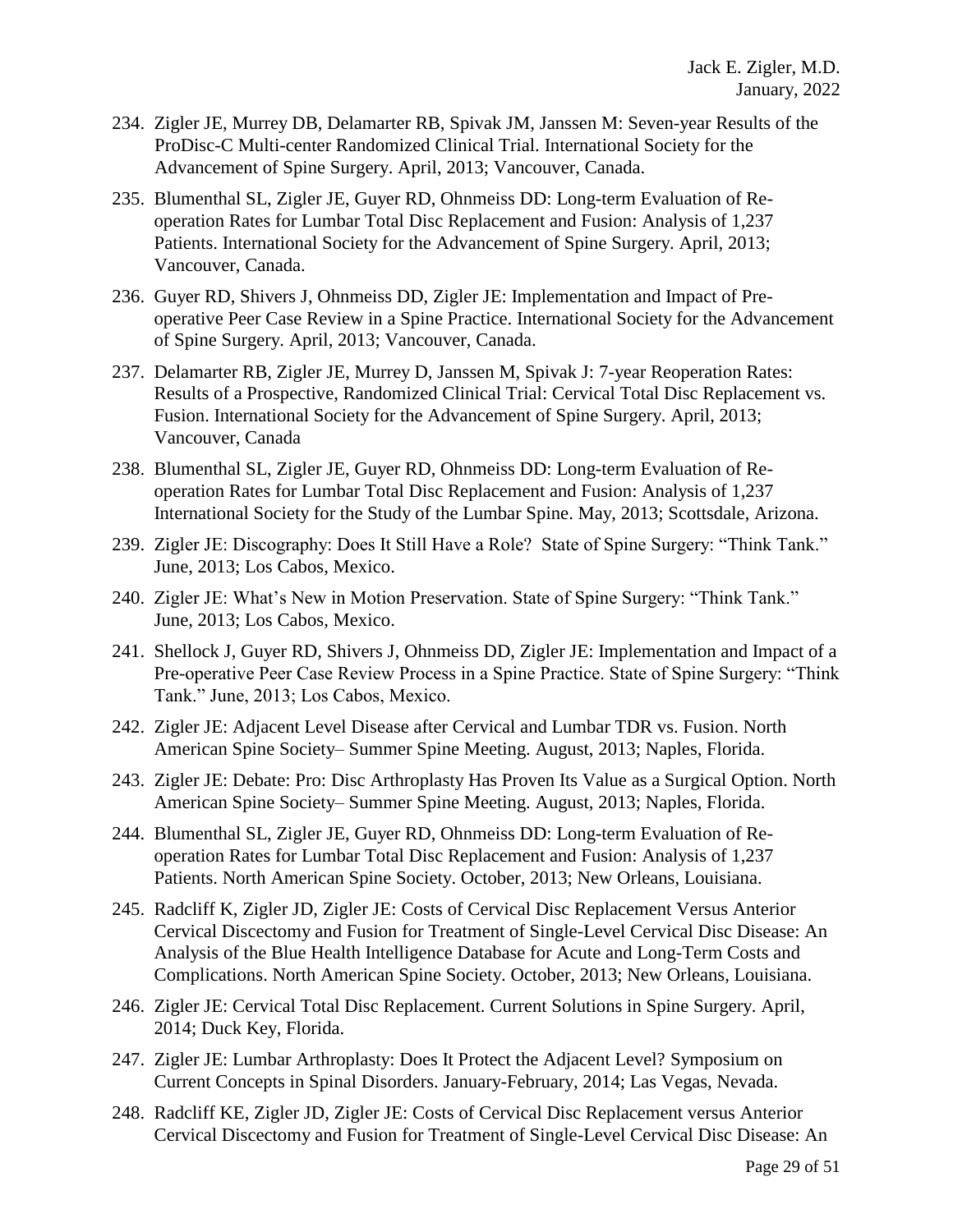- 234. Zigler JE, Murrey DB, Delamarter RB, Spivak JM, Janssen M: Seven-year Results of the ProDisc-C Multi-center Randomized Clinical Trial. International Society for the Advancement of Spine Surgery. April, 2013; Vancouver, Canada.
- 235. Blumenthal SL, Zigler JE, Guyer RD, Ohnmeiss DD: Long-term Evaluation of Reoperation Rates for Lumbar Total Disc Replacement and Fusion: Analysis of 1,237 Patients. International Society for the Advancement of Spine Surgery. April, 2013; Vancouver, Canada.
- 236. Guyer RD, Shivers J, Ohnmeiss DD, Zigler JE: Implementation and Impact of Preoperative Peer Case Review in a Spine Practice. International Society for the Advancement of Spine Surgery. April, 2013; Vancouver, Canada.
- 237. Delamarter RB, Zigler JE, Murrey D, Janssen M, Spivak J: 7-year Reoperation Rates: Results of a Prospective, Randomized Clinical Trial: Cervical Total Disc Replacement vs. Fusion. International Society for the Advancement of Spine Surgery. April, 2013; Vancouver, Canada
- 238. Blumenthal SL, Zigler JE, Guyer RD, Ohnmeiss DD: Long-term Evaluation of Reoperation Rates for Lumbar Total Disc Replacement and Fusion: Analysis of 1,237 International Society for the Study of the Lumbar Spine. May, 2013; Scottsdale, Arizona.
- 239. Zigler JE: Discography: Does It Still Have a Role? State of Spine Surgery: "Think Tank." June, 2013; Los Cabos, Mexico.
- 240. Zigler JE: What's New in Motion Preservation. State of Spine Surgery: "Think Tank." June, 2013; Los Cabos, Mexico.
- 241. Shellock J, Guyer RD, Shivers J, Ohnmeiss DD, Zigler JE: Implementation and Impact of a Pre-operative Peer Case Review Process in a Spine Practice. State of Spine Surgery: "Think Tank." June, 2013; Los Cabos, Mexico.
- 242. Zigler JE: Adjacent Level Disease after Cervical and Lumbar TDR vs. Fusion. North American Spine Society– Summer Spine Meeting. August, 2013; Naples, Florida.
- 243. Zigler JE: Debate: Pro: Disc Arthroplasty Has Proven Its Value as a Surgical Option. North American Spine Society– Summer Spine Meeting. August, 2013; Naples, Florida.
- 244. Blumenthal SL, Zigler JE, Guyer RD, Ohnmeiss DD: Long-term Evaluation of Reoperation Rates for Lumbar Total Disc Replacement and Fusion: Analysis of 1,237 Patients. North American Spine Society. October, 2013; New Orleans, Louisiana.
- 245. Radcliff K, Zigler JD, Zigler JE: Costs of Cervical Disc Replacement Versus Anterior Cervical Discectomy and Fusion for Treatment of Single-Level Cervical Disc Disease: An Analysis of the Blue Health Intelligence Database for Acute and Long-Term Costs and Complications. North American Spine Society. October, 2013; New Orleans, Louisiana.
- 246. Zigler JE: Cervical Total Disc Replacement. Current Solutions in Spine Surgery. April, 2014; Duck Key, Florida.
- 247. Zigler JE: Lumbar Arthroplasty: Does It Protect the Adjacent Level? Symposium on Current Concepts in Spinal Disorders. January-February, 2014; Las Vegas, Nevada.
- 248. Radcliff KE, Zigler JD, Zigler JE: Costs of Cervical Disc Replacement versus Anterior Cervical Discectomy and Fusion for Treatment of Single-Level Cervical Disc Disease: An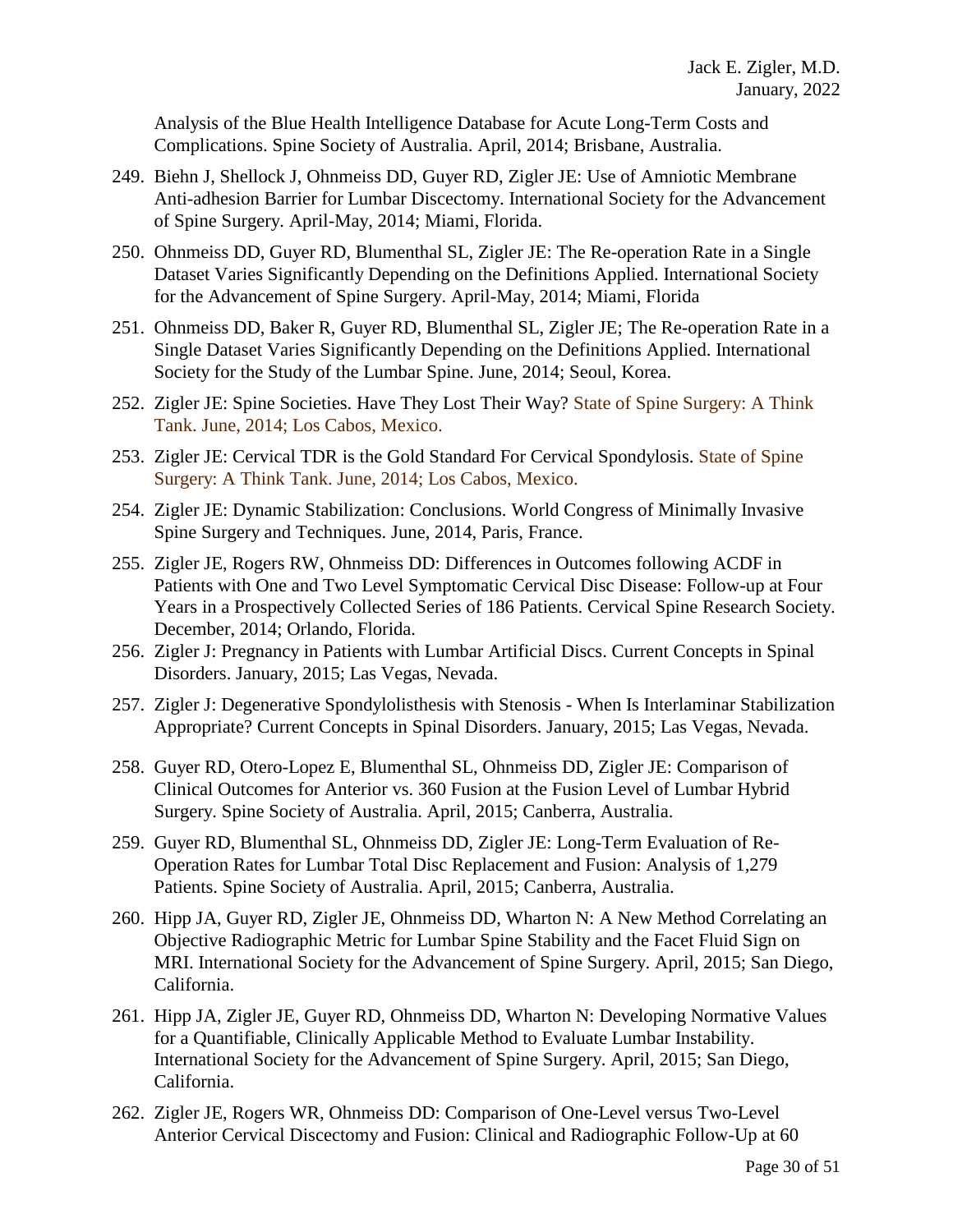Analysis of the Blue Health Intelligence Database for Acute Long-Term Costs and Complications. Spine Society of Australia. April, 2014; Brisbane, Australia.

- 249. Biehn J, Shellock J, Ohnmeiss DD, Guyer RD, Zigler JE: Use of Amniotic Membrane Anti-adhesion Barrier for Lumbar Discectomy. International Society for the Advancement of Spine Surgery. April-May, 2014; Miami, Florida.
- 250. Ohnmeiss DD, Guyer RD, Blumenthal SL, Zigler JE: The Re-operation Rate in a Single Dataset Varies Significantly Depending on the Definitions Applied. International Society for the Advancement of Spine Surgery. April-May, 2014; Miami, Florida
- 251. Ohnmeiss DD, Baker R, Guyer RD, Blumenthal SL, Zigler JE; The Re-operation Rate in a Single Dataset Varies Significantly Depending on the Definitions Applied. International Society for the Study of the Lumbar Spine. June, 2014; Seoul, Korea.
- 252. Zigler JE: Spine Societies. Have They Lost Their Way? State of Spine Surgery: A Think Tank. June, 2014; Los Cabos, Mexico.
- 253. Zigler JE: Cervical TDR is the Gold Standard For Cervical Spondylosis. State of Spine Surgery: A Think Tank. June, 2014; Los Cabos, Mexico.
- 254. Zigler JE: Dynamic Stabilization: Conclusions. World Congress of Minimally Invasive Spine Surgery and Techniques. June, 2014, Paris, France.
- 255. Zigler JE, Rogers RW, Ohnmeiss DD: Differences in Outcomes following ACDF in Patients with One and Two Level Symptomatic Cervical Disc Disease: Follow-up at Four Years in a Prospectively Collected Series of 186 Patients. Cervical Spine Research Society. December, 2014; Orlando, Florida.
- 256. Zigler J: Pregnancy in Patients with Lumbar Artificial Discs. Current Concepts in Spinal Disorders. January, 2015; Las Vegas, Nevada.
- 257. Zigler J: Degenerative Spondylolisthesis with Stenosis When Is Interlaminar Stabilization Appropriate? Current Concepts in Spinal Disorders. January, 2015; Las Vegas, Nevada.
- 258. Guyer RD, Otero-Lopez E, Blumenthal SL, Ohnmeiss DD, Zigler JE: Comparison of Clinical Outcomes for Anterior vs. 360 Fusion at the Fusion Level of Lumbar Hybrid Surgery. Spine Society of Australia. April, 2015; Canberra, Australia.
- 259. Guyer RD, Blumenthal SL, Ohnmeiss DD, Zigler JE: Long-Term Evaluation of Re-Operation Rates for Lumbar Total Disc Replacement and Fusion: Analysis of 1,279 Patients. Spine Society of Australia. April, 2015; Canberra, Australia.
- 260. Hipp JA, Guyer RD, Zigler JE, Ohnmeiss DD, Wharton N: A New Method Correlating an Objective Radiographic Metric for Lumbar Spine Stability and the Facet Fluid Sign on MRI. International Society for the Advancement of Spine Surgery. April, 2015; San Diego, California.
- 261. Hipp JA, Zigler JE, Guyer RD, Ohnmeiss DD, Wharton N: Developing Normative Values for a Quantifiable, Clinically Applicable Method to Evaluate Lumbar Instability. International Society for the Advancement of Spine Surgery. April, 2015; San Diego, California.
- 262. Zigler JE, Rogers WR, Ohnmeiss DD: Comparison of One-Level versus Two-Level Anterior Cervical Discectomy and Fusion: Clinical and Radiographic Follow-Up at 60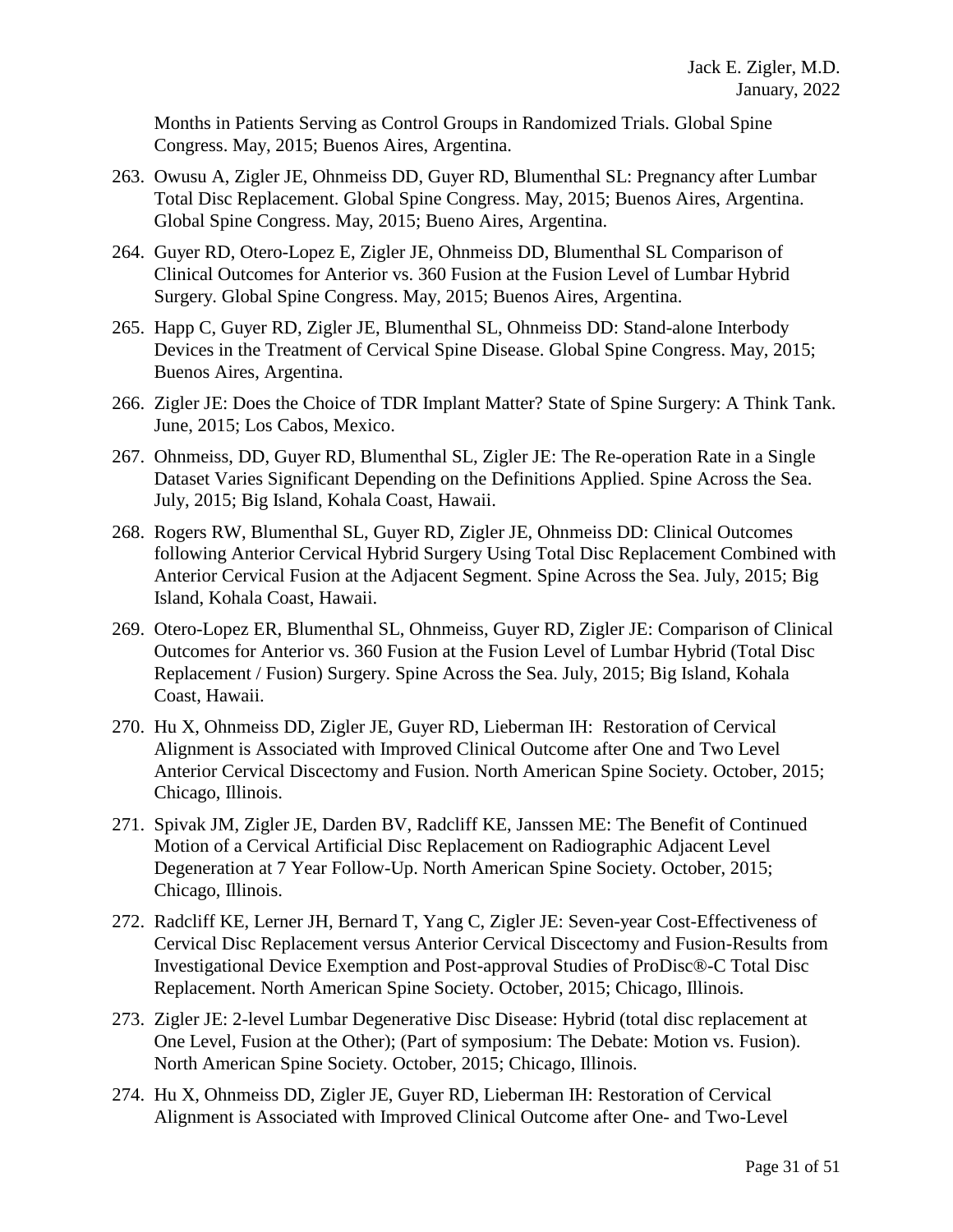Months in Patients Serving as Control Groups in Randomized Trials. Global Spine Congress. May, 2015; Buenos Aires, Argentina.

- 263. Owusu A, Zigler JE, Ohnmeiss DD, Guyer RD, Blumenthal SL: Pregnancy after Lumbar Total Disc Replacement. Global Spine Congress. May, 2015; Buenos Aires, Argentina. Global Spine Congress. May, 2015; Bueno Aires, Argentina.
- 264. Guyer RD, Otero-Lopez E, Zigler JE, Ohnmeiss DD, Blumenthal SL Comparison of Clinical Outcomes for Anterior vs. 360 Fusion at the Fusion Level of Lumbar Hybrid Surgery. Global Spine Congress. May, 2015; Buenos Aires, Argentina.
- 265. Happ C, Guyer RD, Zigler JE, Blumenthal SL, Ohnmeiss DD: Stand-alone Interbody Devices in the Treatment of Cervical Spine Disease. Global Spine Congress. May, 2015; Buenos Aires, Argentina.
- 266. Zigler JE: Does the Choice of TDR Implant Matter? State of Spine Surgery: A Think Tank. June, 2015; Los Cabos, Mexico.
- 267. Ohnmeiss, DD, Guyer RD, Blumenthal SL, Zigler JE: The Re-operation Rate in a Single Dataset Varies Significant Depending on the Definitions Applied. Spine Across the Sea. July, 2015; Big Island, Kohala Coast, Hawaii.
- 268. Rogers RW, Blumenthal SL, Guyer RD, Zigler JE, Ohnmeiss DD: Clinical Outcomes following Anterior Cervical Hybrid Surgery Using Total Disc Replacement Combined with Anterior Cervical Fusion at the Adjacent Segment. Spine Across the Sea. July, 2015; Big Island, Kohala Coast, Hawaii.
- 269. Otero-Lopez ER, Blumenthal SL, Ohnmeiss, Guyer RD, Zigler JE: Comparison of Clinical Outcomes for Anterior vs. 360 Fusion at the Fusion Level of Lumbar Hybrid (Total Disc Replacement / Fusion) Surgery. Spine Across the Sea. July, 2015; Big Island, Kohala Coast, Hawaii.
- 270. Hu X, Ohnmeiss DD, Zigler JE, Guyer RD, Lieberman IH: Restoration of Cervical Alignment is Associated with Improved Clinical Outcome after One and Two Level Anterior Cervical Discectomy and Fusion. North American Spine Society. October, 2015; Chicago, Illinois.
- 271. Spivak JM, Zigler JE, Darden BV, Radcliff KE, Janssen ME: The Benefit of Continued Motion of a Cervical Artificial Disc Replacement on Radiographic Adjacent Level Degeneration at 7 Year Follow-Up. North American Spine Society. October, 2015; Chicago, Illinois.
- 272. Radcliff KE, Lerner JH, Bernard T, Yang C, Zigler JE: Seven-year Cost-Effectiveness of Cervical Disc Replacement versus Anterior Cervical Discectomy and Fusion-Results from Investigational Device Exemption and Post-approval Studies of ProDisc®-C Total Disc Replacement. North American Spine Society. October, 2015; Chicago, Illinois.
- 273. Zigler JE: 2-level Lumbar Degenerative Disc Disease: Hybrid (total disc replacement at One Level, Fusion at the Other); (Part of symposium: The Debate: Motion vs. Fusion). North American Spine Society. October, 2015; Chicago, Illinois.
- 274. Hu X, Ohnmeiss DD, Zigler JE, Guyer RD, Lieberman IH: Restoration of Cervical Alignment is Associated with Improved Clinical Outcome after One- and Two-Level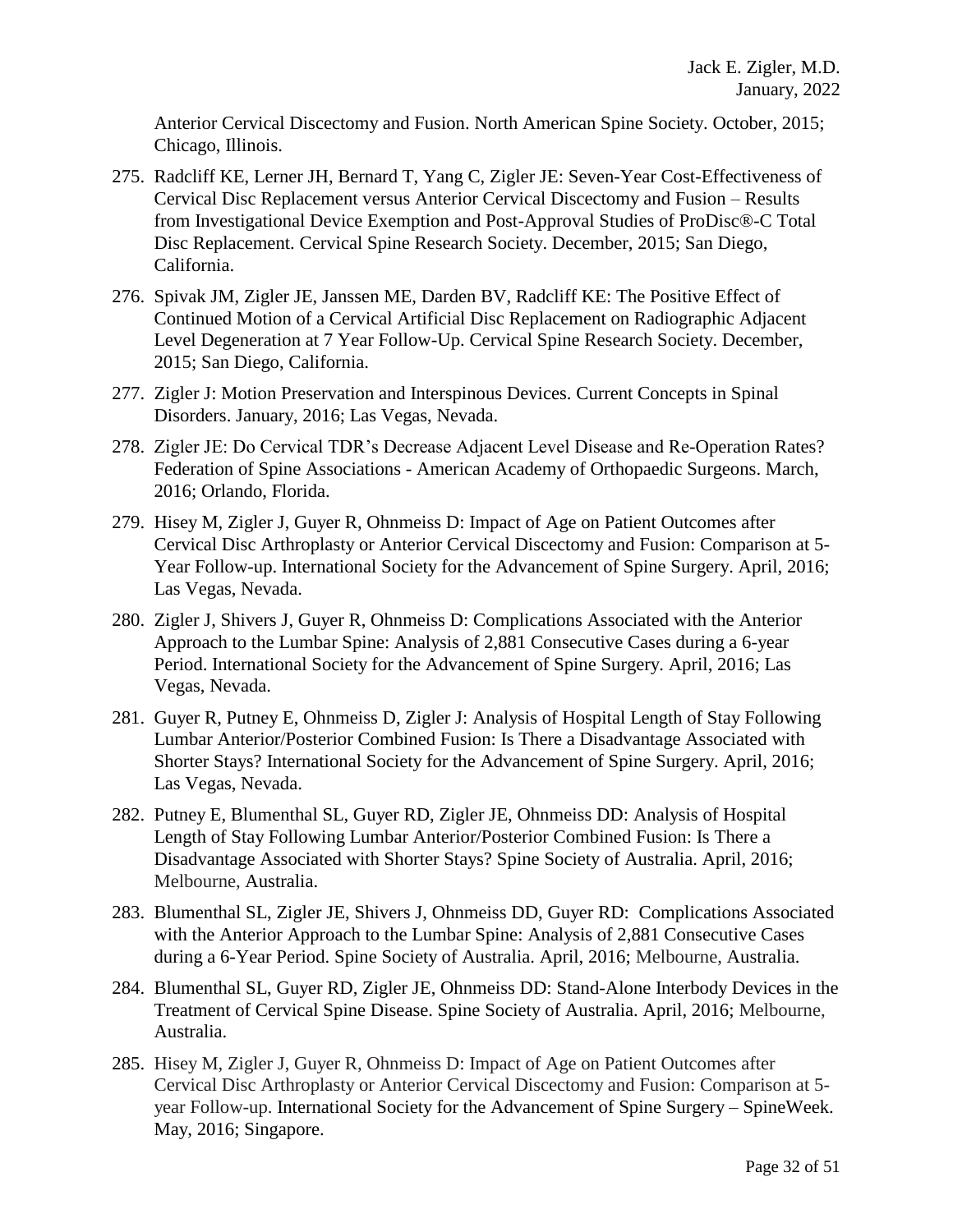Anterior Cervical Discectomy and Fusion. North American Spine Society. October, 2015; Chicago, Illinois.

- 275. Radcliff KE, Lerner JH, Bernard T, Yang C, Zigler JE: Seven-Year Cost-Effectiveness of Cervical Disc Replacement versus Anterior Cervical Discectomy and Fusion – Results from Investigational Device Exemption and Post-Approval Studies of ProDisc®-C Total Disc Replacement. Cervical Spine Research Society. December, 2015; San Diego, California.
- 276. Spivak JM, Zigler JE, Janssen ME, Darden BV, Radcliff KE: The Positive Effect of Continued Motion of a Cervical Artificial Disc Replacement on Radiographic Adjacent Level Degeneration at 7 Year Follow-Up. Cervical Spine Research Society. December, 2015; San Diego, California.
- 277. Zigler J: Motion Preservation and Interspinous Devices. Current Concepts in Spinal Disorders. January, 2016; Las Vegas, Nevada.
- 278. Zigler JE: Do Cervical TDR's Decrease Adjacent Level Disease and Re-Operation Rates? Federation of Spine Associations - American Academy of Orthopaedic Surgeons. March, 2016; Orlando, Florida.
- 279. Hisey M, Zigler J, Guyer R, Ohnmeiss D: Impact of Age on Patient Outcomes after Cervical Disc Arthroplasty or Anterior Cervical Discectomy and Fusion: Comparison at 5- Year Follow-up. International Society for the Advancement of Spine Surgery. April, 2016; Las Vegas, Nevada.
- 280. Zigler J, Shivers J, Guyer R, Ohnmeiss D: Complications Associated with the Anterior Approach to the Lumbar Spine: Analysis of 2,881 Consecutive Cases during a 6-year Period. International Society for the Advancement of Spine Surgery. April, 2016; Las Vegas, Nevada.
- 281. Guyer R, Putney E, Ohnmeiss D, Zigler J: Analysis of Hospital Length of Stay Following Lumbar Anterior/Posterior Combined Fusion: Is There a Disadvantage Associated with Shorter Stays? International Society for the Advancement of Spine Surgery. April, 2016; Las Vegas, Nevada.
- 282. Putney E, Blumenthal SL, Guyer RD, Zigler JE, Ohnmeiss DD: Analysis of Hospital Length of Stay Following Lumbar Anterior/Posterior Combined Fusion: Is There a Disadvantage Associated with Shorter Stays? Spine Society of Australia. April, 2016; Melbourne, Australia.
- 283. Blumenthal SL, Zigler JE, Shivers J, Ohnmeiss DD, Guyer RD: Complications Associated with the Anterior Approach to the Lumbar Spine: Analysis of 2,881 Consecutive Cases during a 6-Year Period. Spine Society of Australia. April, 2016; Melbourne, Australia.
- 284. Blumenthal SL, Guyer RD, Zigler JE, Ohnmeiss DD: Stand-Alone Interbody Devices in the Treatment of Cervical Spine Disease. Spine Society of Australia. April, 2016; Melbourne, Australia.
- 285. Hisey M, Zigler J, Guyer R, Ohnmeiss D: Impact of Age on Patient Outcomes after Cervical Disc Arthroplasty or Anterior Cervical Discectomy and Fusion: Comparison at 5 year Follow-up. International Society for the Advancement of Spine Surgery – SpineWeek. May, 2016; Singapore.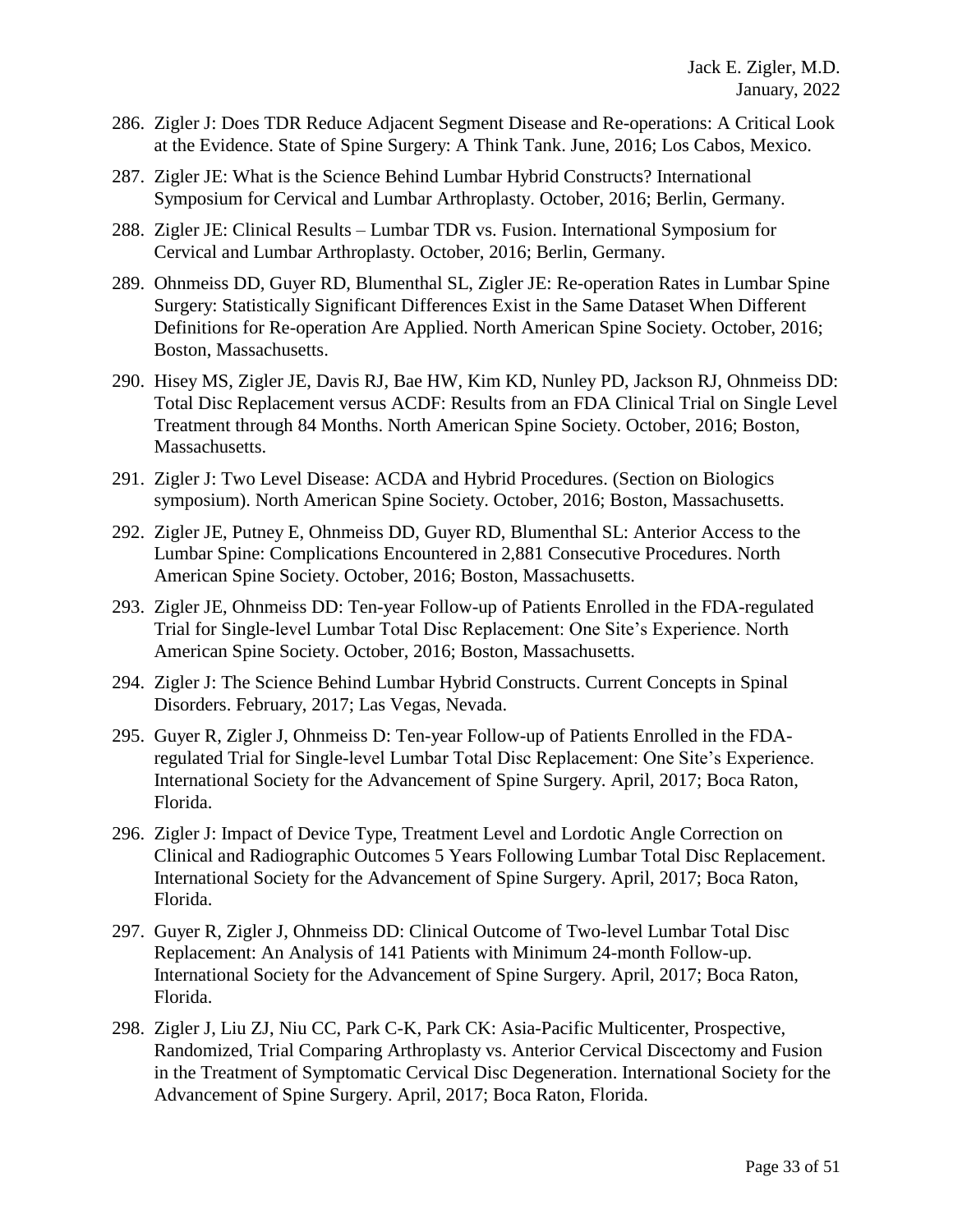- 286. Zigler J: Does TDR Reduce Adjacent Segment Disease and Re-operations: A Critical Look at the Evidence. State of Spine Surgery: A Think Tank. June, 2016; Los Cabos, Mexico.
- 287. Zigler JE: What is the Science Behind Lumbar Hybrid Constructs? International Symposium for Cervical and Lumbar Arthroplasty. October, 2016; Berlin, Germany.
- 288. Zigler JE: Clinical Results Lumbar TDR vs. Fusion. International Symposium for Cervical and Lumbar Arthroplasty. October, 2016; Berlin, Germany.
- 289. Ohnmeiss DD, Guyer RD, Blumenthal SL, Zigler JE: Re-operation Rates in Lumbar Spine Surgery: Statistically Significant Differences Exist in the Same Dataset When Different Definitions for Re-operation Are Applied. North American Spine Society. October, 2016; Boston, Massachusetts.
- 290. Hisey MS, Zigler JE, Davis RJ, Bae HW, Kim KD, Nunley PD, Jackson RJ, Ohnmeiss DD: Total Disc Replacement versus ACDF: Results from an FDA Clinical Trial on Single Level Treatment through 84 Months. North American Spine Society. October, 2016; Boston, Massachusetts.
- 291. Zigler J: Two Level Disease: ACDA and Hybrid Procedures. (Section on Biologics symposium). North American Spine Society. October, 2016; Boston, Massachusetts.
- 292. Zigler JE, Putney E, Ohnmeiss DD, Guyer RD, Blumenthal SL: Anterior Access to the Lumbar Spine: Complications Encountered in 2,881 Consecutive Procedures. North American Spine Society. October, 2016; Boston, Massachusetts.
- 293. Zigler JE, Ohnmeiss DD: Ten-year Follow-up of Patients Enrolled in the FDA-regulated Trial for Single-level Lumbar Total Disc Replacement: One Site's Experience. North American Spine Society. October, 2016; Boston, Massachusetts.
- 294. Zigler J: The Science Behind Lumbar Hybrid Constructs. Current Concepts in Spinal Disorders. February, 2017; Las Vegas, Nevada.
- 295. Guyer R, Zigler J, Ohnmeiss D: Ten-year Follow-up of Patients Enrolled in the FDAregulated Trial for Single-level Lumbar Total Disc Replacement: One Site's Experience. International Society for the Advancement of Spine Surgery. April, 2017; Boca Raton, Florida.
- 296. Zigler J: Impact of Device Type, Treatment Level and Lordotic Angle Correction on Clinical and Radiographic Outcomes 5 Years Following Lumbar Total Disc Replacement. International Society for the Advancement of Spine Surgery. April, 2017; Boca Raton, Florida.
- 297. Guyer R, Zigler J, Ohnmeiss DD: Clinical Outcome of Two-level Lumbar Total Disc Replacement: An Analysis of 141 Patients with Minimum 24-month Follow-up. International Society for the Advancement of Spine Surgery. April, 2017; Boca Raton, Florida.
- 298. Zigler J, Liu ZJ, Niu CC, Park C-K, Park CK: Asia-Pacific Multicenter, Prospective, Randomized, Trial Comparing Arthroplasty vs. Anterior Cervical Discectomy and Fusion in the Treatment of Symptomatic Cervical Disc Degeneration. International Society for the Advancement of Spine Surgery. April, 2017; Boca Raton, Florida.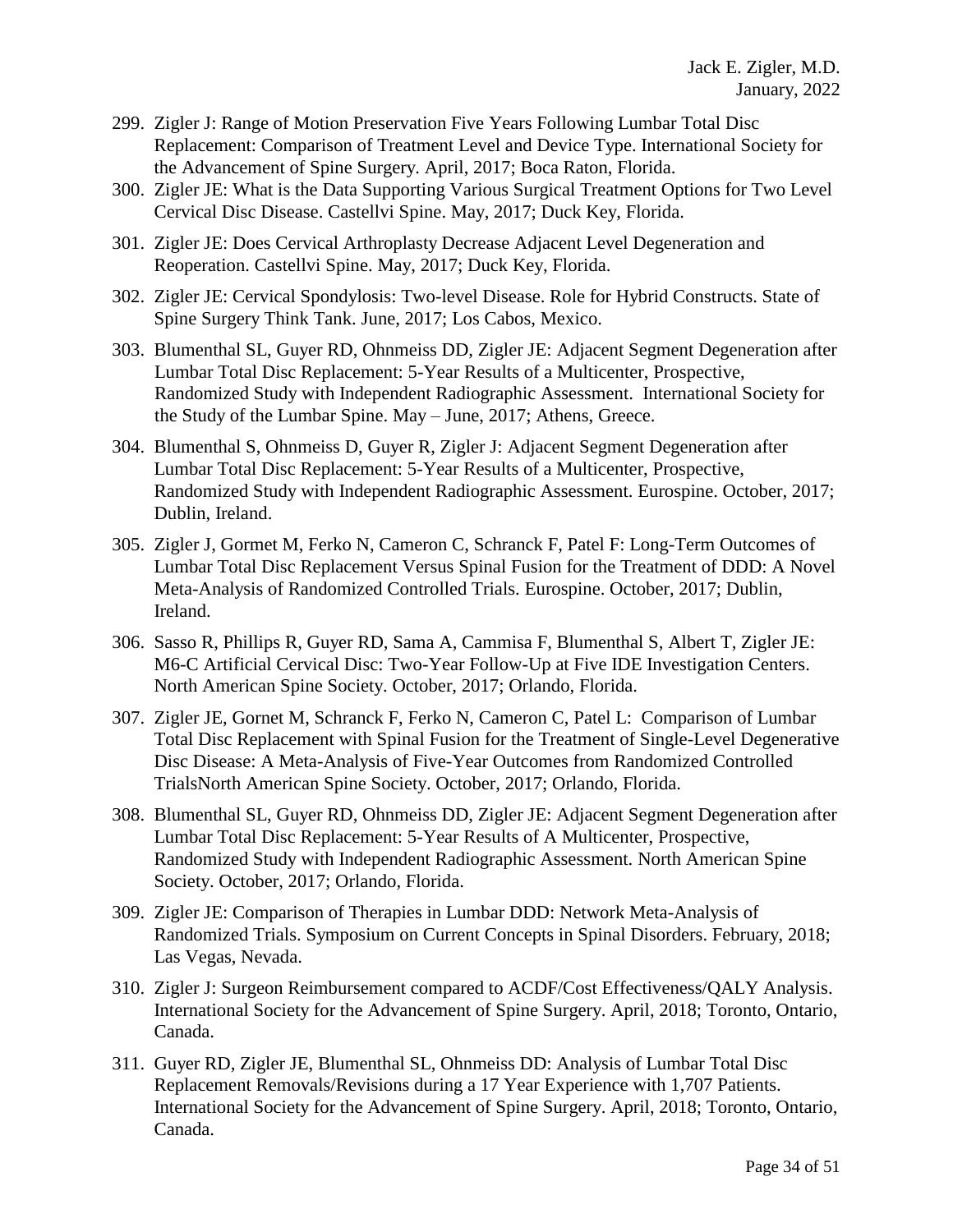- 299. Zigler J: Range of Motion Preservation Five Years Following Lumbar Total Disc Replacement: Comparison of Treatment Level and Device Type. International Society for the Advancement of Spine Surgery. April, 2017; Boca Raton, Florida.
- 300. Zigler JE: What is the Data Supporting Various Surgical Treatment Options for Two Level Cervical Disc Disease. Castellvi Spine. May, 2017; Duck Key, Florida.
- 301. Zigler JE: Does Cervical Arthroplasty Decrease Adjacent Level Degeneration and Reoperation. Castellvi Spine. May, 2017; Duck Key, Florida.
- 302. Zigler JE: Cervical Spondylosis: Two-level Disease. Role for Hybrid Constructs. State of Spine Surgery Think Tank. June, 2017; Los Cabos, Mexico.
- 303. Blumenthal SL, Guyer RD, Ohnmeiss DD, Zigler JE: Adjacent Segment Degeneration after Lumbar Total Disc Replacement: 5-Year Results of a Multicenter, Prospective, Randomized Study with Independent Radiographic Assessment. International Society for the Study of the Lumbar Spine. May – June, 2017; Athens, Greece.
- 304. Blumenthal S, Ohnmeiss D, Guyer R, Zigler J: Adjacent Segment Degeneration after Lumbar Total Disc Replacement: 5-Year Results of a Multicenter, Prospective, Randomized Study with Independent Radiographic Assessment. Eurospine. October, 2017; Dublin, Ireland.
- 305. Zigler J, Gormet M, Ferko N, Cameron C, Schranck F, Patel F: Long-Term Outcomes of Lumbar Total Disc Replacement Versus Spinal Fusion for the Treatment of DDD: A Novel Meta-Analysis of Randomized Controlled Trials. Eurospine. October, 2017; Dublin, Ireland.
- 306. Sasso R, Phillips R, Guyer RD, Sama A, Cammisa F, Blumenthal S, Albert T, Zigler JE: M6-C Artificial Cervical Disc: Two-Year Follow-Up at Five IDE Investigation Centers. North American Spine Society. October, 2017; Orlando, Florida.
- 307. Zigler JE, Gornet M, Schranck F, Ferko N, Cameron C, Patel L: Comparison of Lumbar Total Disc Replacement with Spinal Fusion for the Treatment of Single-Level Degenerative Disc Disease: A Meta-Analysis of Five-Year Outcomes from Randomized Controlled TrialsNorth American Spine Society. October, 2017; Orlando, Florida.
- 308. Blumenthal SL, Guyer RD, Ohnmeiss DD, Zigler JE: Adjacent Segment Degeneration after Lumbar Total Disc Replacement: 5-Year Results of A Multicenter, Prospective, Randomized Study with Independent Radiographic Assessment. North American Spine Society. October, 2017; Orlando, Florida.
- 309. Zigler JE: Comparison of Therapies in Lumbar DDD: Network Meta-Analysis of Randomized Trials. Symposium on Current Concepts in Spinal Disorders. February, 2018; Las Vegas, Nevada.
- 310. Zigler J: Surgeon Reimbursement compared to ACDF/Cost Effectiveness/QALY Analysis. International Society for the Advancement of Spine Surgery. April, 2018; Toronto, Ontario, Canada.
- 311. Guyer RD, Zigler JE, Blumenthal SL, Ohnmeiss DD: Analysis of Lumbar Total Disc Replacement Removals/Revisions during a 17 Year Experience with 1,707 Patients. International Society for the Advancement of Spine Surgery. April, 2018; Toronto, Ontario, Canada.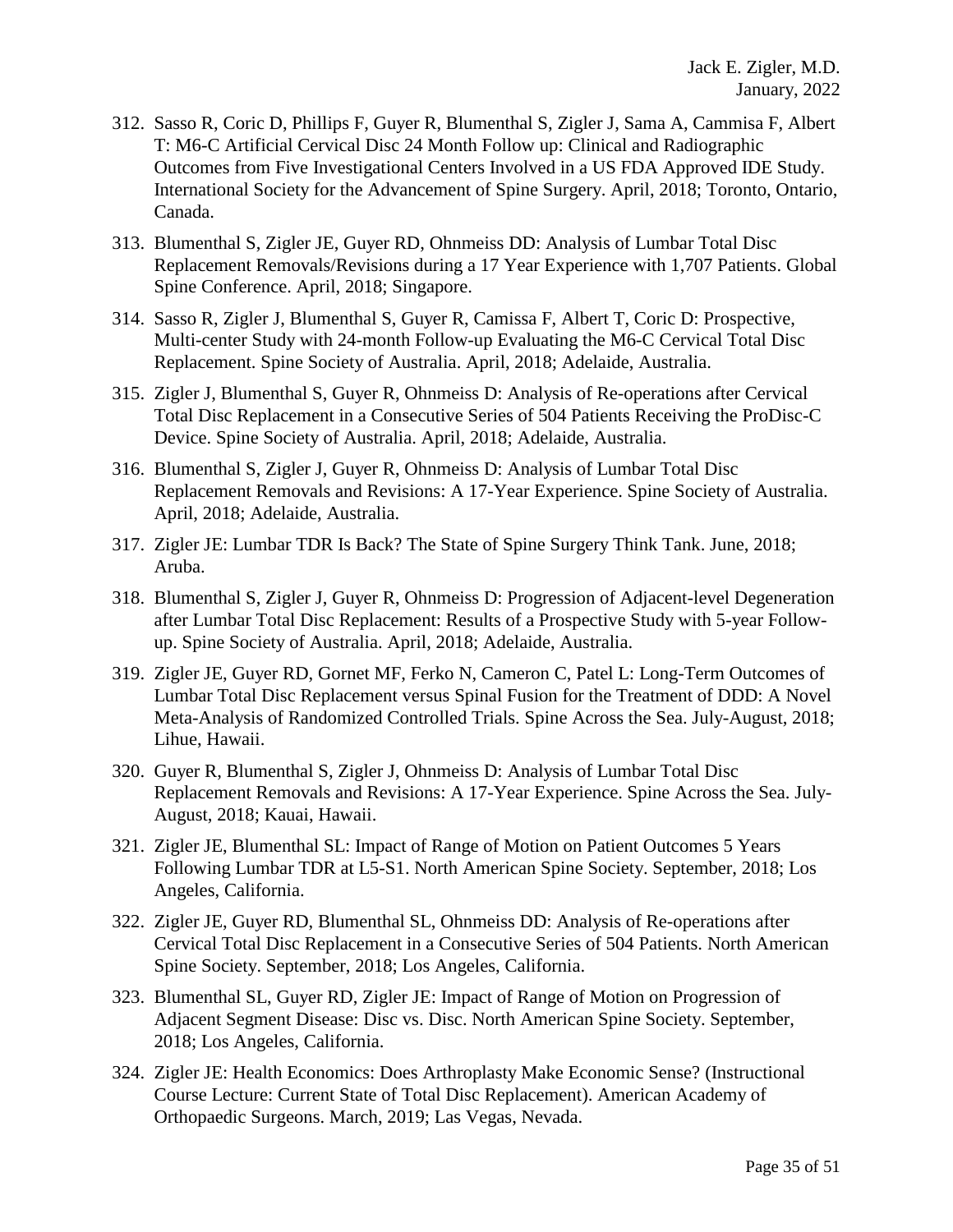- 312. Sasso R, Coric D, Phillips F, Guyer R, Blumenthal S, Zigler J, Sama A, Cammisa F, Albert T: M6-C Artificial Cervical Disc 24 Month Follow up: Clinical and Radiographic Outcomes from Five Investigational Centers Involved in a US FDA Approved IDE Study. International Society for the Advancement of Spine Surgery. April, 2018; Toronto, Ontario, Canada.
- 313. Blumenthal S, Zigler JE, Guyer RD, Ohnmeiss DD: Analysis of Lumbar Total Disc Replacement Removals/Revisions during a 17 Year Experience with 1,707 Patients. Global Spine Conference. April, 2018; Singapore.
- 314. Sasso R, Zigler J, Blumenthal S, Guyer R, Camissa F, Albert T, Coric D: Prospective, Multi-center Study with 24-month Follow-up Evaluating the M6-C Cervical Total Disc Replacement. Spine Society of Australia. April, 2018; Adelaide, Australia.
- 315. Zigler J, Blumenthal S, Guyer R, Ohnmeiss D: Analysis of Re-operations after Cervical Total Disc Replacement in a Consecutive Series of 504 Patients Receiving the ProDisc-C Device. Spine Society of Australia. April, 2018; Adelaide, Australia.
- 316. Blumenthal S, Zigler J, Guyer R, Ohnmeiss D: Analysis of Lumbar Total Disc Replacement Removals and Revisions: A 17-Year Experience. Spine Society of Australia. April, 2018; Adelaide, Australia.
- 317. Zigler JE: Lumbar TDR Is Back? The State of Spine Surgery Think Tank. June, 2018; Aruba.
- 318. Blumenthal S, Zigler J, Guyer R, Ohnmeiss D: Progression of Adjacent-level Degeneration after Lumbar Total Disc Replacement: Results of a Prospective Study with 5-year Followup. Spine Society of Australia. April, 2018; Adelaide, Australia.
- 319. Zigler JE, Guyer RD, Gornet MF, Ferko N, Cameron C, Patel L: Long-Term Outcomes of Lumbar Total Disc Replacement versus Spinal Fusion for the Treatment of DDD: A Novel Meta-Analysis of Randomized Controlled Trials. Spine Across the Sea. July-August, 2018; Lihue, Hawaii.
- 320. Guyer R, Blumenthal S, Zigler J, Ohnmeiss D: Analysis of Lumbar Total Disc Replacement Removals and Revisions: A 17-Year Experience. Spine Across the Sea. July-August, 2018; Kauai, Hawaii.
- 321. Zigler JE, Blumenthal SL: Impact of Range of Motion on Patient Outcomes 5 Years Following Lumbar TDR at L5-S1. North American Spine Society. September, 2018; Los Angeles, California.
- 322. Zigler JE, Guyer RD, Blumenthal SL, Ohnmeiss DD: Analysis of Re-operations after Cervical Total Disc Replacement in a Consecutive Series of 504 Patients. North American Spine Society. September, 2018; Los Angeles, California.
- 323. Blumenthal SL, Guyer RD, Zigler JE: Impact of Range of Motion on Progression of Adjacent Segment Disease: Disc vs. Disc. North American Spine Society. September, 2018; Los Angeles, California.
- 324. Zigler JE: Health Economics: Does Arthroplasty Make Economic Sense? (Instructional Course Lecture: Current State of Total Disc Replacement). American Academy of Orthopaedic Surgeons. March, 2019; Las Vegas, Nevada.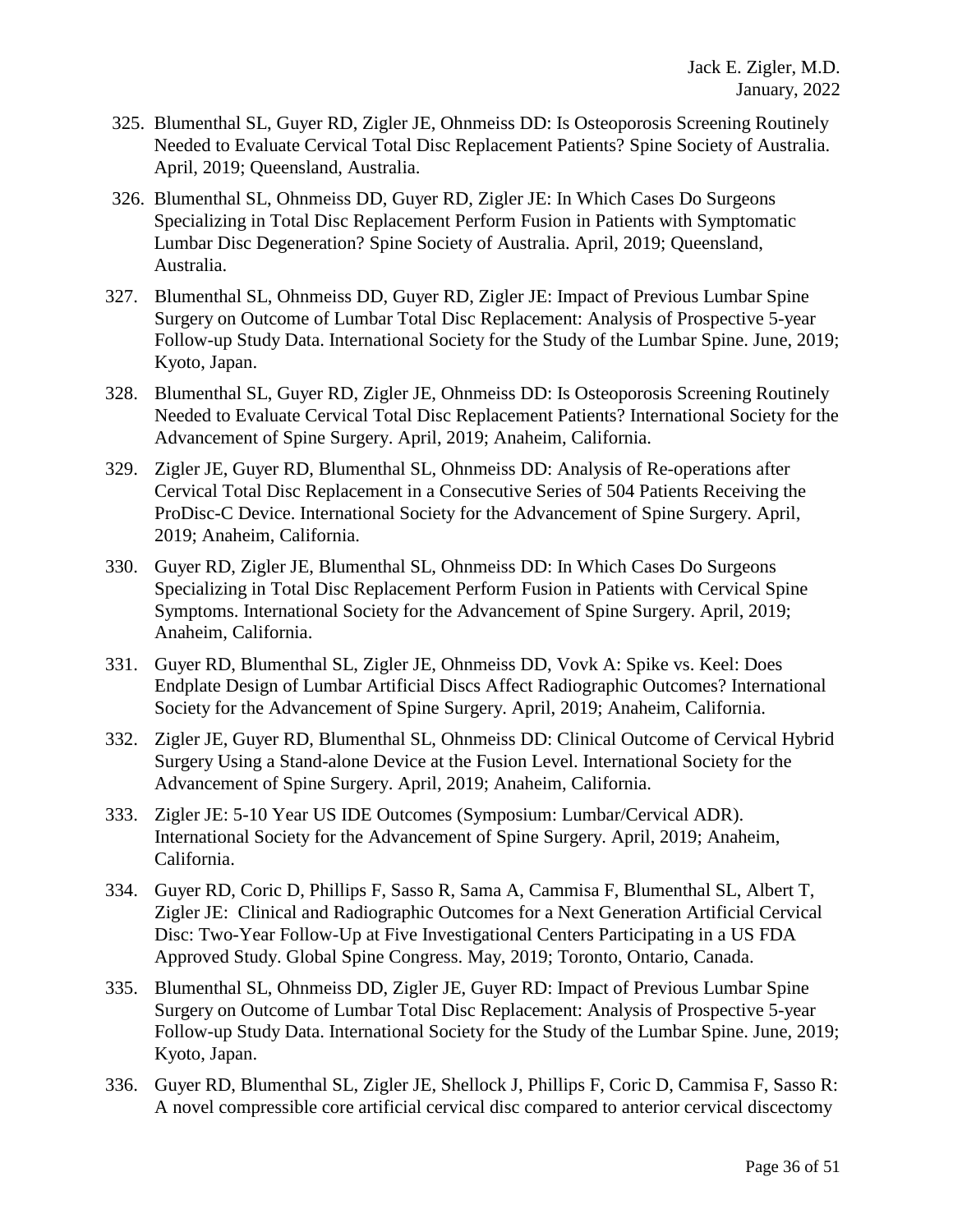- 325. Blumenthal SL, Guyer RD, Zigler JE, Ohnmeiss DD: Is Osteoporosis Screening Routinely Needed to Evaluate Cervical Total Disc Replacement Patients? Spine Society of Australia. April, 2019; Queensland, Australia.
- 326. Blumenthal SL, Ohnmeiss DD, Guyer RD, Zigler JE: In Which Cases Do Surgeons Specializing in Total Disc Replacement Perform Fusion in Patients with Symptomatic Lumbar Disc Degeneration? Spine Society of Australia. April, 2019; Queensland, Australia.
- 327. Blumenthal SL, Ohnmeiss DD, Guyer RD, Zigler JE: Impact of Previous Lumbar Spine Surgery on Outcome of Lumbar Total Disc Replacement: Analysis of Prospective 5-year Follow-up Study Data. International Society for the Study of the Lumbar Spine. June, 2019; Kyoto, Japan.
- 328. Blumenthal SL, Guyer RD, Zigler JE, Ohnmeiss DD: Is Osteoporosis Screening Routinely Needed to Evaluate Cervical Total Disc Replacement Patients? International Society for the Advancement of Spine Surgery. April, 2019; Anaheim, California.
- 329. Zigler JE, Guyer RD, Blumenthal SL, Ohnmeiss DD: Analysis of Re-operations after Cervical Total Disc Replacement in a Consecutive Series of 504 Patients Receiving the ProDisc-C Device. International Society for the Advancement of Spine Surgery. April, 2019; Anaheim, California.
- 330. Guyer RD, Zigler JE, Blumenthal SL, Ohnmeiss DD: In Which Cases Do Surgeons Specializing in Total Disc Replacement Perform Fusion in Patients with Cervical Spine Symptoms. International Society for the Advancement of Spine Surgery. April, 2019; Anaheim, California.
- 331. Guyer RD, Blumenthal SL, Zigler JE, Ohnmeiss DD, Vovk A: Spike vs. Keel: Does Endplate Design of Lumbar Artificial Discs Affect Radiographic Outcomes? International Society for the Advancement of Spine Surgery. April, 2019; Anaheim, California.
- 332. Zigler JE, Guyer RD, Blumenthal SL, Ohnmeiss DD: Clinical Outcome of Cervical Hybrid Surgery Using a Stand-alone Device at the Fusion Level. International Society for the Advancement of Spine Surgery. April, 2019; Anaheim, California.
- 333. Zigler JE: 5-10 Year US IDE Outcomes (Symposium: Lumbar/Cervical ADR). International Society for the Advancement of Spine Surgery. April, 2019; Anaheim, California.
- 334. Guyer RD, Coric D, Phillips F, Sasso R, Sama A, Cammisa F, Blumenthal SL, Albert T, Zigler JE: Clinical and Radiographic Outcomes for a Next Generation Artificial Cervical Disc: Two-Year Follow-Up at Five Investigational Centers Participating in a US FDA Approved Study. Global Spine Congress. May, 2019; Toronto, Ontario, Canada.
- 335. Blumenthal SL, Ohnmeiss DD, Zigler JE, Guyer RD: Impact of Previous Lumbar Spine Surgery on Outcome of Lumbar Total Disc Replacement: Analysis of Prospective 5-year Follow-up Study Data. International Society for the Study of the Lumbar Spine. June, 2019; Kyoto, Japan.
- 336. Guyer RD, Blumenthal SL, Zigler JE, Shellock J, Phillips F, Coric D, Cammisa F, Sasso R: A novel compressible core artificial cervical disc compared to anterior cervical discectomy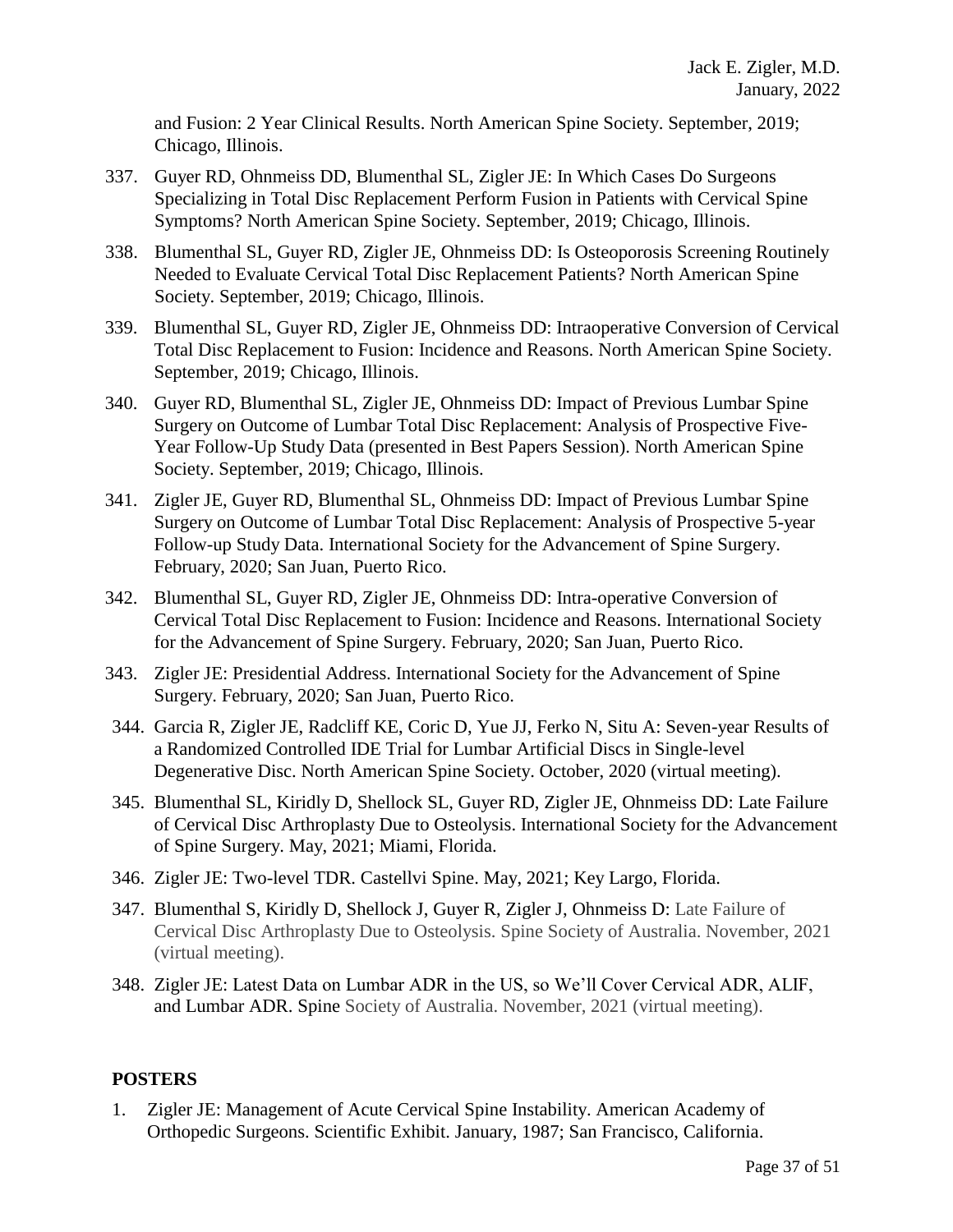and Fusion: 2 Year Clinical Results. North American Spine Society. September, 2019; Chicago, Illinois.

- 337. Guyer RD, Ohnmeiss DD, Blumenthal SL, Zigler JE: In Which Cases Do Surgeons Specializing in Total Disc Replacement Perform Fusion in Patients with Cervical Spine Symptoms? North American Spine Society. September, 2019; Chicago, Illinois.
- 338. Blumenthal SL, Guyer RD, Zigler JE, Ohnmeiss DD: Is Osteoporosis Screening Routinely Needed to Evaluate Cervical Total Disc Replacement Patients? North American Spine Society. September, 2019; Chicago, Illinois.
- 339. Blumenthal SL, Guyer RD, Zigler JE, Ohnmeiss DD: Intraoperative Conversion of Cervical Total Disc Replacement to Fusion: Incidence and Reasons. North American Spine Society. September, 2019; Chicago, Illinois.
- 340. Guyer RD, Blumenthal SL, Zigler JE, Ohnmeiss DD: Impact of Previous Lumbar Spine Surgery on Outcome of Lumbar Total Disc Replacement: Analysis of Prospective Five-Year Follow-Up Study Data (presented in Best Papers Session). North American Spine Society. September, 2019; Chicago, Illinois.
- 341. Zigler JE, Guyer RD, Blumenthal SL, Ohnmeiss DD: Impact of Previous Lumbar Spine Surgery on Outcome of Lumbar Total Disc Replacement: Analysis of Prospective 5-year Follow-up Study Data. International Society for the Advancement of Spine Surgery. February, 2020; San Juan, Puerto Rico.
- 342. Blumenthal SL, Guyer RD, Zigler JE, Ohnmeiss DD: Intra-operative Conversion of Cervical Total Disc Replacement to Fusion: Incidence and Reasons. International Society for the Advancement of Spine Surgery. February, 2020; San Juan, Puerto Rico.
- 343. Zigler JE: Presidential Address. International Society for the Advancement of Spine Surgery. February, 2020; San Juan, Puerto Rico.
- 344. Garcia R, Zigler JE, Radcliff KE, Coric D, Yue JJ, Ferko N, Situ A: Seven-year Results of a Randomized Controlled IDE Trial for Lumbar Artificial Discs in Single-level Degenerative Disc. North American Spine Society. October, 2020 (virtual meeting).
- 345. Blumenthal SL, Kiridly D, Shellock SL, Guyer RD, Zigler JE, Ohnmeiss DD: Late Failure of Cervical Disc Arthroplasty Due to Osteolysis. International Society for the Advancement of Spine Surgery. May, 2021; Miami, Florida.
- 346. Zigler JE: Two-level TDR. Castellvi Spine. May, 2021; Key Largo, Florida.
- 347. Blumenthal S, Kiridly D, Shellock J, Guyer R, Zigler J, Ohnmeiss D: Late Failure of Cervical Disc Arthroplasty Due to Osteolysis. Spine Society of Australia. November, 2021 (virtual meeting).
- 348. Zigler JE: Latest Data on Lumbar ADR in the US, so We'll Cover Cervical ADR, ALIF, and Lumbar ADR. Spine Society of Australia. November, 2021 (virtual meeting).

### **POSTERS**

1. Zigler JE: Management of Acute Cervical Spine Instability. American Academy of Orthopedic Surgeons. Scientific Exhibit. January, 1987; San Francisco, California.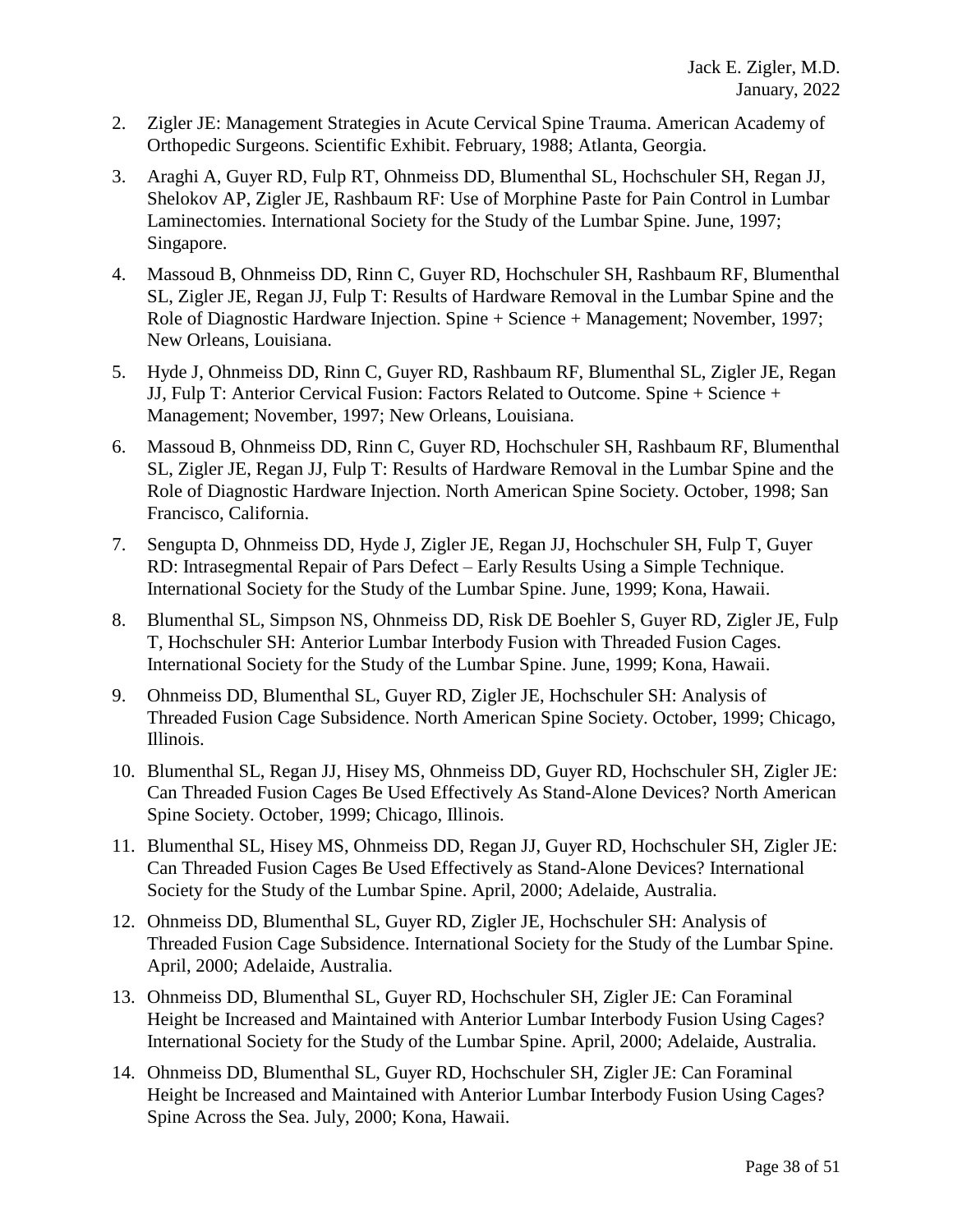- 2. Zigler JE: Management Strategies in Acute Cervical Spine Trauma. American Academy of Orthopedic Surgeons. Scientific Exhibit. February, 1988; Atlanta, Georgia.
- 3. Araghi A, Guyer RD, Fulp RT, Ohnmeiss DD, Blumenthal SL, Hochschuler SH, Regan JJ, Shelokov AP, Zigler JE, Rashbaum RF: Use of Morphine Paste for Pain Control in Lumbar Laminectomies. International Society for the Study of the Lumbar Spine. June, 1997; Singapore.
- 4. Massoud B, Ohnmeiss DD, Rinn C, Guyer RD, Hochschuler SH, Rashbaum RF, Blumenthal SL, Zigler JE, Regan JJ, Fulp T: Results of Hardware Removal in the Lumbar Spine and the Role of Diagnostic Hardware Injection. Spine + Science + Management; November, 1997; New Orleans, Louisiana.
- 5. Hyde J, Ohnmeiss DD, Rinn C, Guyer RD, Rashbaum RF, Blumenthal SL, Zigler JE, Regan JJ, Fulp T: Anterior Cervical Fusion: Factors Related to Outcome. Spine + Science + Management; November, 1997; New Orleans, Louisiana.
- 6. Massoud B, Ohnmeiss DD, Rinn C, Guyer RD, Hochschuler SH, Rashbaum RF, Blumenthal SL, Zigler JE, Regan JJ, Fulp T: Results of Hardware Removal in the Lumbar Spine and the Role of Diagnostic Hardware Injection. North American Spine Society. October, 1998; San Francisco, California.
- 7. Sengupta D, Ohnmeiss DD, Hyde J, Zigler JE, Regan JJ, Hochschuler SH, Fulp T, Guyer RD: Intrasegmental Repair of Pars Defect – Early Results Using a Simple Technique. International Society for the Study of the Lumbar Spine. June, 1999; Kona, Hawaii.
- 8. Blumenthal SL, Simpson NS, Ohnmeiss DD, Risk DE Boehler S, Guyer RD, Zigler JE, Fulp T, Hochschuler SH: Anterior Lumbar Interbody Fusion with Threaded Fusion Cages. International Society for the Study of the Lumbar Spine. June, 1999; Kona, Hawaii.
- 9. Ohnmeiss DD, Blumenthal SL, Guyer RD, Zigler JE, Hochschuler SH: Analysis of Threaded Fusion Cage Subsidence. North American Spine Society. October, 1999; Chicago, Illinois.
- 10. Blumenthal SL, Regan JJ, Hisey MS, Ohnmeiss DD, Guyer RD, Hochschuler SH, Zigler JE: Can Threaded Fusion Cages Be Used Effectively As Stand-Alone Devices? North American Spine Society. October, 1999; Chicago, Illinois.
- 11. Blumenthal SL, Hisey MS, Ohnmeiss DD, Regan JJ, Guyer RD, Hochschuler SH, Zigler JE: Can Threaded Fusion Cages Be Used Effectively as Stand-Alone Devices? International Society for the Study of the Lumbar Spine. April, 2000; Adelaide, Australia.
- 12. Ohnmeiss DD, Blumenthal SL, Guyer RD, Zigler JE, Hochschuler SH: Analysis of Threaded Fusion Cage Subsidence. International Society for the Study of the Lumbar Spine. April, 2000; Adelaide, Australia.
- 13. Ohnmeiss DD, Blumenthal SL, Guyer RD, Hochschuler SH, Zigler JE: Can Foraminal Height be Increased and Maintained with Anterior Lumbar Interbody Fusion Using Cages? International Society for the Study of the Lumbar Spine. April, 2000; Adelaide, Australia.
- 14. Ohnmeiss DD, Blumenthal SL, Guyer RD, Hochschuler SH, Zigler JE: Can Foraminal Height be Increased and Maintained with Anterior Lumbar Interbody Fusion Using Cages? Spine Across the Sea. July, 2000; Kona, Hawaii.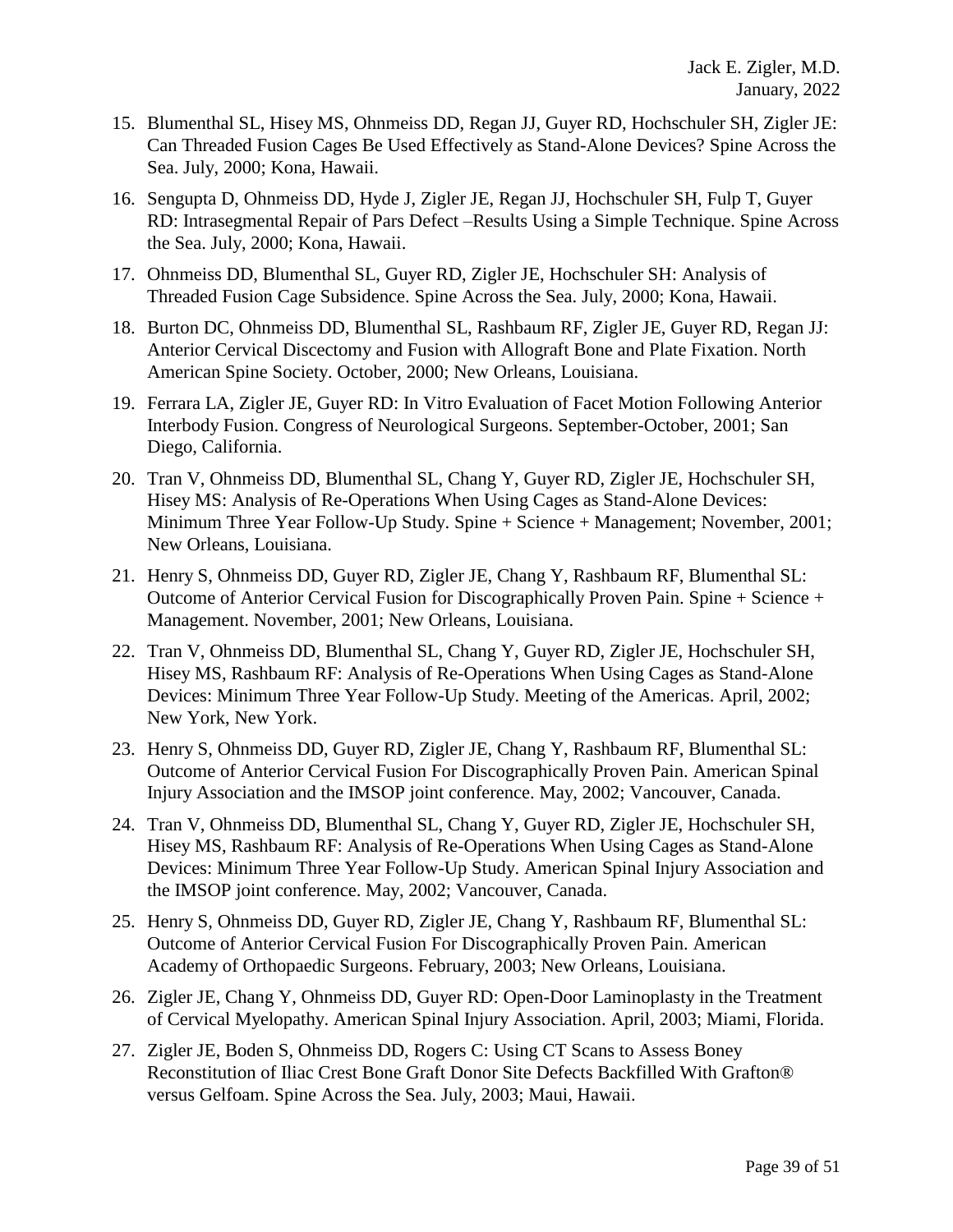- 15. Blumenthal SL, Hisey MS, Ohnmeiss DD, Regan JJ, Guyer RD, Hochschuler SH, Zigler JE: Can Threaded Fusion Cages Be Used Effectively as Stand-Alone Devices? Spine Across the Sea. July, 2000; Kona, Hawaii.
- 16. Sengupta D, Ohnmeiss DD, Hyde J, Zigler JE, Regan JJ, Hochschuler SH, Fulp T, Guyer RD: Intrasegmental Repair of Pars Defect –Results Using a Simple Technique. Spine Across the Sea. July, 2000; Kona, Hawaii.
- 17. Ohnmeiss DD, Blumenthal SL, Guyer RD, Zigler JE, Hochschuler SH: Analysis of Threaded Fusion Cage Subsidence. Spine Across the Sea. July, 2000; Kona, Hawaii.
- 18. Burton DC, Ohnmeiss DD, Blumenthal SL, Rashbaum RF, Zigler JE, Guyer RD, Regan JJ: Anterior Cervical Discectomy and Fusion with Allograft Bone and Plate Fixation. North American Spine Society. October, 2000; New Orleans, Louisiana.
- 19. Ferrara LA, Zigler JE, Guyer RD: In Vitro Evaluation of Facet Motion Following Anterior Interbody Fusion. Congress of Neurological Surgeons. September-October, 2001; San Diego, California.
- 20. Tran V, Ohnmeiss DD, Blumenthal SL, Chang Y, Guyer RD, Zigler JE, Hochschuler SH, Hisey MS: Analysis of Re-Operations When Using Cages as Stand-Alone Devices: Minimum Three Year Follow-Up Study. Spine + Science + Management; November, 2001; New Orleans, Louisiana.
- 21. Henry S, Ohnmeiss DD, Guyer RD, Zigler JE, Chang Y, Rashbaum RF, Blumenthal SL: Outcome of Anterior Cervical Fusion for Discographically Proven Pain. Spine + Science + Management. November, 2001; New Orleans, Louisiana.
- 22. Tran V, Ohnmeiss DD, Blumenthal SL, Chang Y, Guyer RD, Zigler JE, Hochschuler SH, Hisey MS, Rashbaum RF: Analysis of Re-Operations When Using Cages as Stand-Alone Devices: Minimum Three Year Follow-Up Study. Meeting of the Americas. April, 2002; New York, New York.
- 23. Henry S, Ohnmeiss DD, Guyer RD, Zigler JE, Chang Y, Rashbaum RF, Blumenthal SL: Outcome of Anterior Cervical Fusion For Discographically Proven Pain. American Spinal Injury Association and the IMSOP joint conference. May, 2002; Vancouver, Canada.
- 24. Tran V, Ohnmeiss DD, Blumenthal SL, Chang Y, Guyer RD, Zigler JE, Hochschuler SH, Hisey MS, Rashbaum RF: Analysis of Re-Operations When Using Cages as Stand-Alone Devices: Minimum Three Year Follow-Up Study. American Spinal Injury Association and the IMSOP joint conference. May, 2002; Vancouver, Canada.
- 25. Henry S, Ohnmeiss DD, Guyer RD, Zigler JE, Chang Y, Rashbaum RF, Blumenthal SL: Outcome of Anterior Cervical Fusion For Discographically Proven Pain. American Academy of Orthopaedic Surgeons. February, 2003; New Orleans, Louisiana.
- 26. Zigler JE, Chang Y, Ohnmeiss DD, Guyer RD: Open-Door Laminoplasty in the Treatment of Cervical Myelopathy. American Spinal Injury Association. April, 2003; Miami, Florida.
- 27. Zigler JE, Boden S, Ohnmeiss DD, Rogers C: Using CT Scans to Assess Boney Reconstitution of Iliac Crest Bone Graft Donor Site Defects Backfilled With Grafton® versus Gelfoam. Spine Across the Sea. July, 2003; Maui, Hawaii.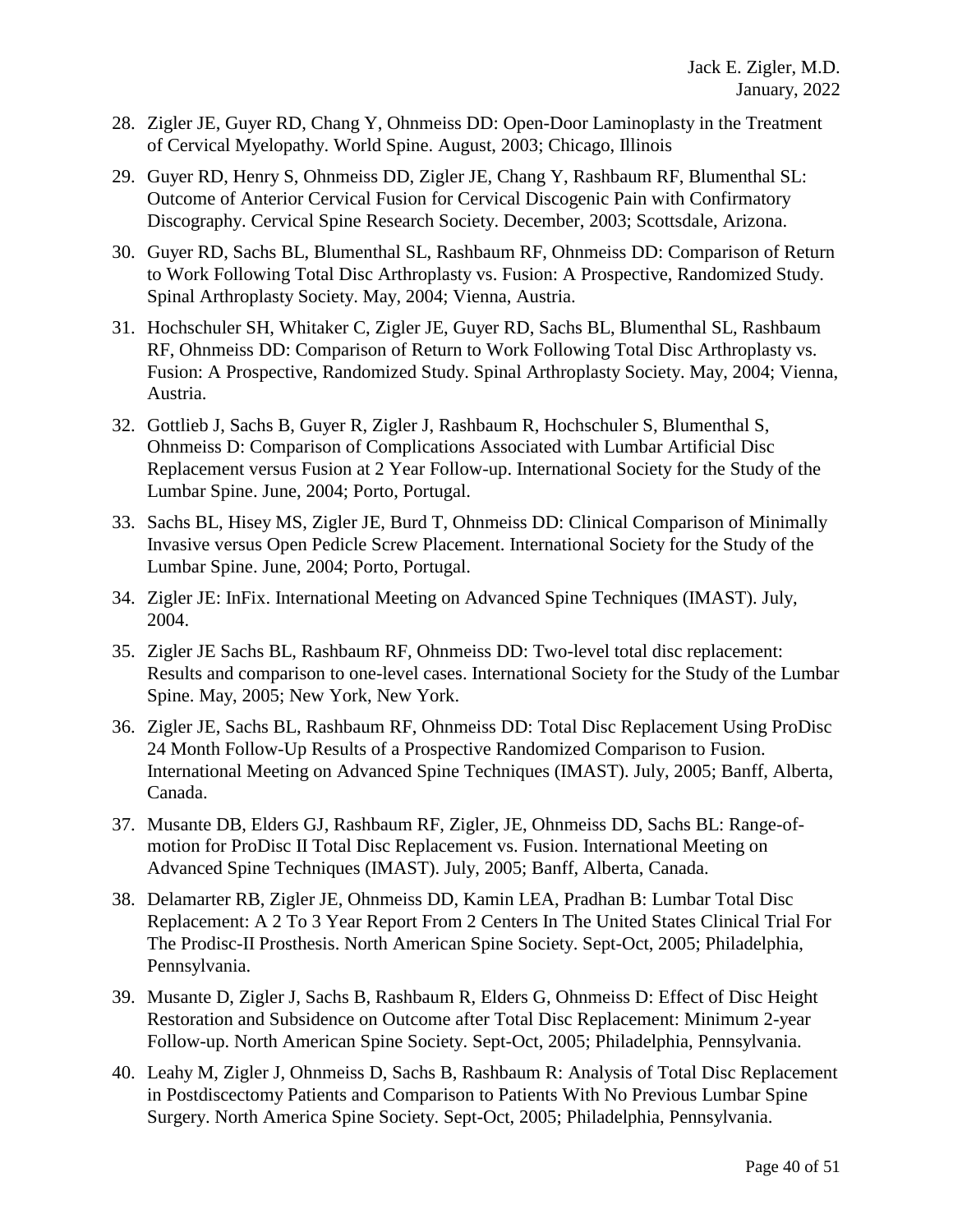- 28. Zigler JE, Guyer RD, Chang Y, Ohnmeiss DD: Open-Door Laminoplasty in the Treatment of Cervical Myelopathy. World Spine. August, 2003; Chicago, Illinois
- 29. Guyer RD, Henry S, Ohnmeiss DD, Zigler JE, Chang Y, Rashbaum RF, Blumenthal SL: Outcome of Anterior Cervical Fusion for Cervical Discogenic Pain with Confirmatory Discography. Cervical Spine Research Society. December, 2003; Scottsdale, Arizona.
- 30. Guyer RD, Sachs BL, Blumenthal SL, Rashbaum RF, Ohnmeiss DD: Comparison of Return to Work Following Total Disc Arthroplasty vs. Fusion: A Prospective, Randomized Study. Spinal Arthroplasty Society. May, 2004; Vienna, Austria.
- 31. Hochschuler SH, Whitaker C, Zigler JE, Guyer RD, Sachs BL, Blumenthal SL, Rashbaum RF, Ohnmeiss DD: Comparison of Return to Work Following Total Disc Arthroplasty vs. Fusion: A Prospective, Randomized Study. Spinal Arthroplasty Society. May, 2004; Vienna, Austria.
- 32. Gottlieb J, Sachs B, Guyer R, Zigler J, Rashbaum R, Hochschuler S, Blumenthal S, Ohnmeiss D: Comparison of Complications Associated with Lumbar Artificial Disc Replacement versus Fusion at 2 Year Follow-up. International Society for the Study of the Lumbar Spine. June, 2004; Porto, Portugal.
- 33. Sachs BL, Hisey MS, Zigler JE, Burd T, Ohnmeiss DD: Clinical Comparison of Minimally Invasive versus Open Pedicle Screw Placement. International Society for the Study of the Lumbar Spine. June, 2004; Porto, Portugal.
- 34. Zigler JE: InFix. International Meeting on Advanced Spine Techniques (IMAST). July, 2004.
- 35. Zigler JE Sachs BL, Rashbaum RF, Ohnmeiss DD: Two-level total disc replacement: Results and comparison to one-level cases. International Society for the Study of the Lumbar Spine. May, 2005; New York, New York.
- 36. Zigler JE, Sachs BL, Rashbaum RF, Ohnmeiss DD: Total Disc Replacement Using ProDisc 24 Month Follow-Up Results of a Prospective Randomized Comparison to Fusion. International Meeting on Advanced Spine Techniques (IMAST). July, 2005; Banff, Alberta, Canada.
- 37. Musante DB, Elders GJ, Rashbaum RF, Zigler, JE, Ohnmeiss DD, Sachs BL: Range-ofmotion for ProDisc II Total Disc Replacement vs. Fusion. International Meeting on Advanced Spine Techniques (IMAST). July, 2005; Banff, Alberta, Canada.
- 38. Delamarter RB, Zigler JE, Ohnmeiss DD, Kamin LEA, Pradhan B: [Lumbar Total Disc](javascript:openPreviewWindow()  [Replacement: A 2 To 3 Year Report From 2 Centers In The United States Clinical Trial For](javascript:openPreviewWindow()  [The Prodisc-II Prosthesis.](javascript:openPreviewWindow() North American Spine Society. Sept-Oct, 2005; Philadelphia, Pennsylvania.
- 39. Musante D, Zigler J, Sachs B, Rashbaum R, Elders G, Ohnmeiss D: [Effect of Disc Height](javascript:openPreviewWindow()  [Restoration and Subsidence on Outcome after Total Disc Replacement: Minimum 2-year](javascript:openPreviewWindow()  [Follow-up.](javascript:openPreviewWindow() North American Spine Society. Sept-Oct, 2005; Philadelphia, Pennsylvania.
- 40. Leahy M, Zigler J, Ohnmeiss D, Sachs B, Rashbaum R: Analysis of Total Disc Replacement in Postdiscectomy Patients and Comparison to Patients With No Previous Lumbar Spine Surgery. North America Spine Society. Sept-Oct, 2005; Philadelphia, Pennsylvania.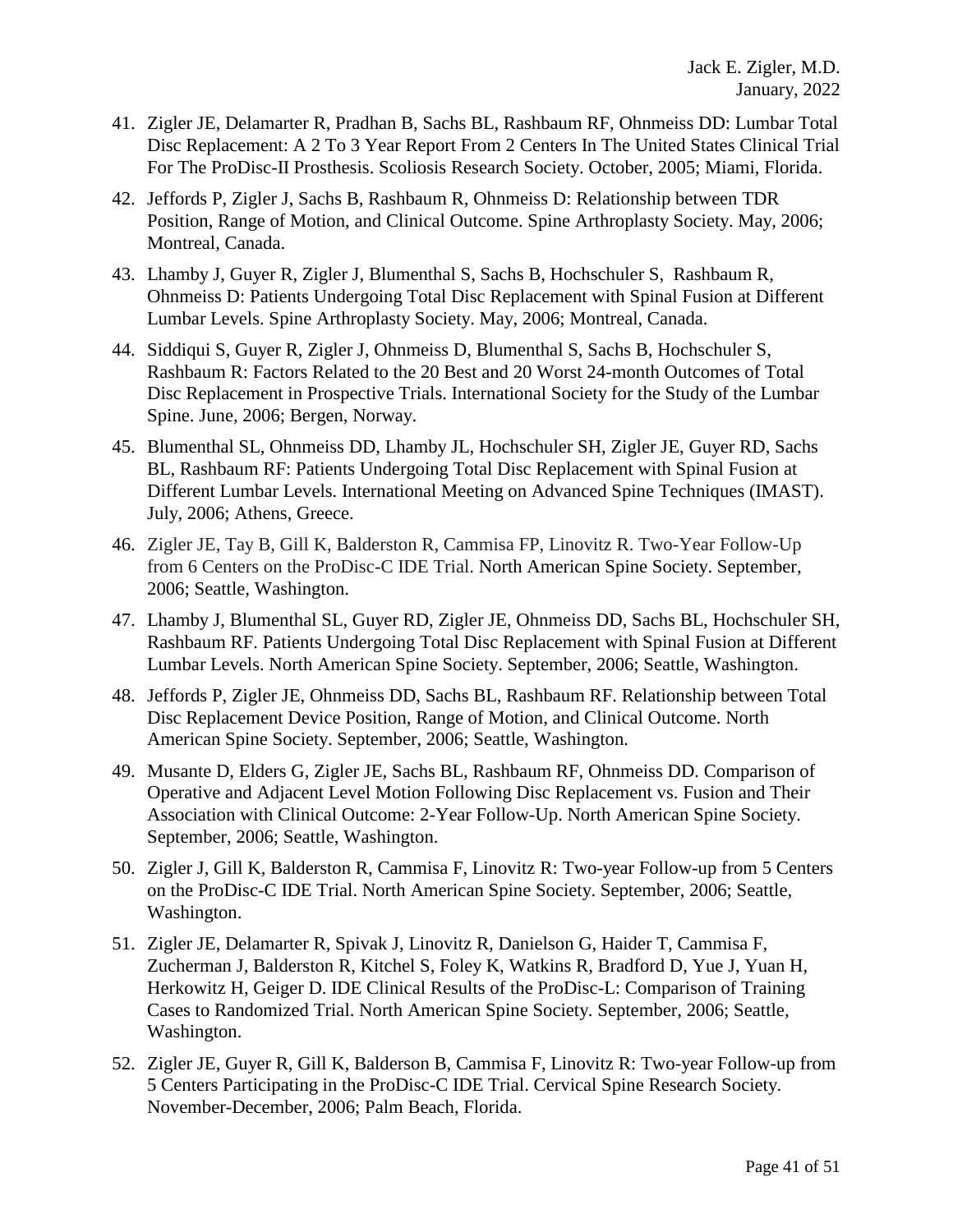- 41. Zigler JE, Delamarter R, Pradhan B, Sachs BL, Rashbaum RF, Ohnmeiss DD: Lumbar Total Disc Replacement: A 2 To 3 Year Report From 2 Centers In The United States Clinical Trial For The ProDisc-II Prosthesis. Scoliosis Research Society. October, 2005; Miami, Florida.
- 42. Jeffords P, Zigler J, Sachs B, Rashbaum R, Ohnmeiss D: Relationship between TDR Position, Range of Motion, and Clinical Outcome. Spine Arthroplasty Society. May, 2006; Montreal, Canada.
- 43. Lhamby J, Guyer R, Zigler J, Blumenthal S, Sachs B, Hochschuler S, Rashbaum R, Ohnmeiss D: Patients Undergoing Total Disc Replacement with Spinal Fusion at Different Lumbar Levels. Spine Arthroplasty Society. May, 2006; Montreal, Canada.
- 44. Siddiqui S, Guyer R, Zigler J, Ohnmeiss D, Blumenthal S, Sachs B, Hochschuler S, Rashbaum R: Factors Related to the 20 Best and 20 Worst 24-month Outcomes of Total Disc Replacement in Prospective Trials. International Society for the Study of the Lumbar Spine. June, 2006; Bergen, Norway.
- 45. Blumenthal SL, Ohnmeiss DD, Lhamby JL, Hochschuler SH, Zigler JE, Guyer RD, Sachs BL, Rashbaum RF: Patients Undergoing Total Disc Replacement with Spinal Fusion at Different Lumbar Levels. International Meeting on Advanced Spine Techniques (IMAST). July, 2006; Athens, Greece.
- 46. Zigler JE, Tay B, Gill K, Balderston R, Cammisa FP, Linovitz R. Two-Year Follow-Up from 6 Centers on the ProDisc-C IDE Trial. North American Spine Society. September, 2006; Seattle, Washington.
- 47. Lhamby J, Blumenthal SL, Guyer RD, Zigler JE, Ohnmeiss DD, Sachs BL, Hochschuler SH, Rashbaum RF. Patients Undergoing Total Disc Replacement with Spinal Fusion at Different Lumbar Levels. North American Spine Society. September, 2006; Seattle, Washington.
- 48. Jeffords P, Zigler JE, Ohnmeiss DD, Sachs BL, Rashbaum RF. Relationship between Total Disc Replacement Device Position, Range of Motion, and Clinical Outcome. North American Spine Society. September, 2006; Seattle, Washington.
- 49. Musante D, Elders G, Zigler JE, Sachs BL, Rashbaum RF, Ohnmeiss DD. Comparison of Operative and Adjacent Level Motion Following Disc Replacement vs. Fusion and Their Association with Clinical Outcome: 2-Year Follow-Up. North American Spine Society. September, 2006; Seattle, Washington.
- 50. Zigler J, Gill K, Balderston R, Cammisa F, Linovitz R: Two-year Follow-up from 5 Centers on the ProDisc-C IDE Trial. North American Spine Society. September, 2006; Seattle, Washington.
- 51. Zigler JE, Delamarter R, Spivak J, Linovitz R, Danielson G, Haider T, Cammisa F, Zucherman J, Balderston R, Kitchel S, Foley K, Watkins R, Bradford D, Yue J, Yuan H, Herkowitz H, Geiger D. IDE Clinical Results of the ProDisc-L: Comparison of Training Cases to Randomized Trial. North American Spine Society. September, 2006; Seattle, Washington.
- 52. Zigler JE, Guyer R, Gill K, Balderson B, Cammisa F, Linovitz R: Two-year Follow-up from 5 Centers Participating in the ProDisc-C IDE Trial. Cervical Spine Research Society. November-December, 2006; Palm Beach, Florida.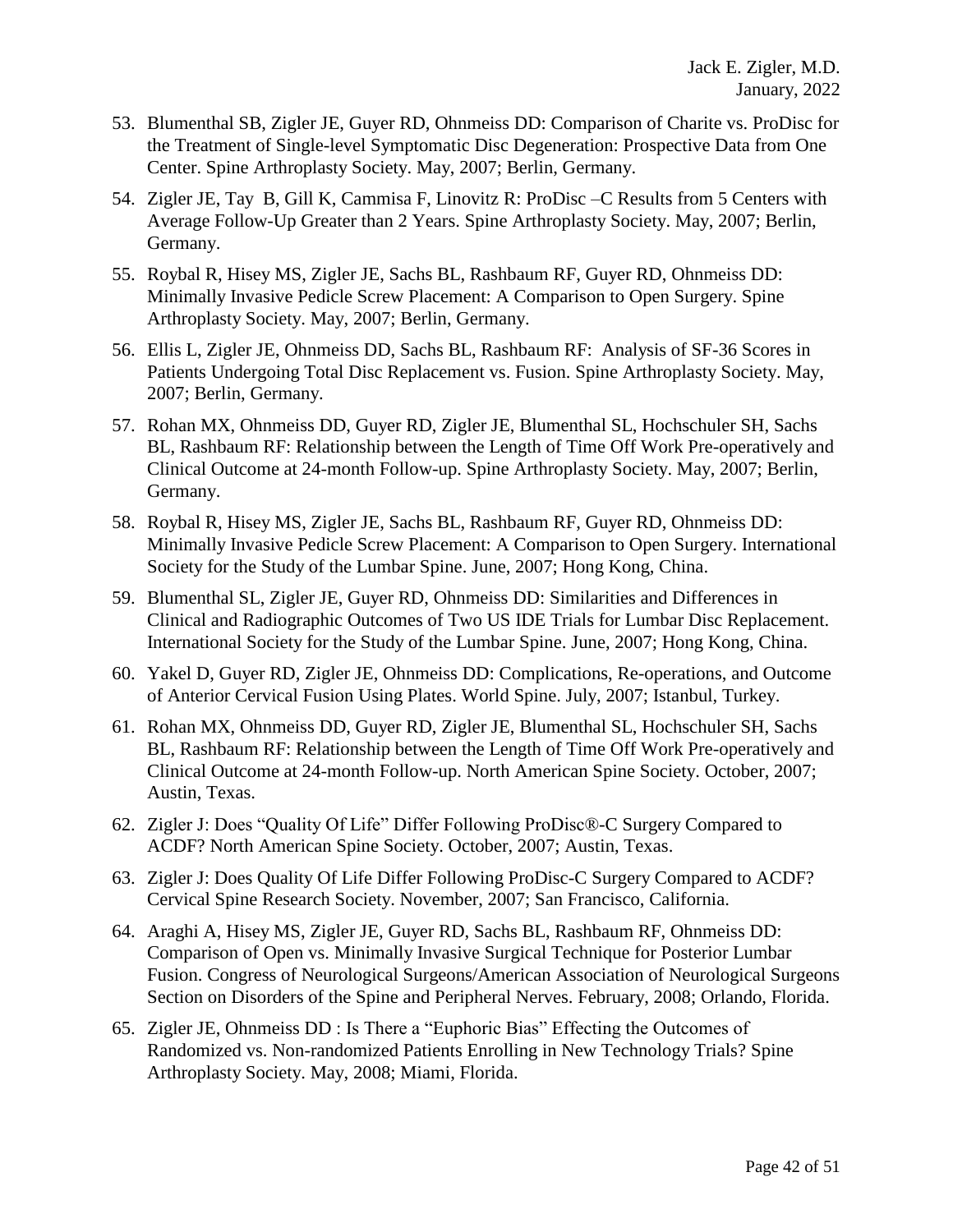- 53. Blumenthal SB, Zigler JE, Guyer RD, Ohnmeiss DD: Comparison of Charite vs. ProDisc for the Treatment of Single-level Symptomatic Disc Degeneration: Prospective Data from One Center. Spine Arthroplasty Society. May, 2007; Berlin, Germany.
- 54. Zigler JE, Tay B, Gill K, Cammisa F, Linovitz R: ProDisc –C Results from 5 Centers with Average Follow-Up Greater than 2 Years. Spine Arthroplasty Society. May, 2007; Berlin, Germany.
- 55. Roybal R, Hisey MS, Zigler JE, Sachs BL, Rashbaum RF, Guyer RD, Ohnmeiss DD: Minimally Invasive Pedicle Screw Placement: A Comparison to Open Surgery. Spine Arthroplasty Society. May, 2007; Berlin, Germany.
- 56. Ellis L, Zigler JE, Ohnmeiss DD, Sachs BL, Rashbaum RF: Analysis of SF-36 Scores in Patients Undergoing Total Disc Replacement vs. Fusion. Spine Arthroplasty Society. May, 2007; Berlin, Germany.
- 57. Rohan MX, Ohnmeiss DD, Guyer RD, Zigler JE, Blumenthal SL, Hochschuler SH, Sachs BL, Rashbaum RF: Relationship between the Length of Time Off Work Pre-operatively and Clinical Outcome at 24-month Follow-up. Spine Arthroplasty Society. May, 2007; Berlin, Germany.
- 58. Roybal R, Hisey MS, Zigler JE, Sachs BL, Rashbaum RF, Guyer RD, Ohnmeiss DD: Minimally Invasive Pedicle Screw Placement: A Comparison to Open Surgery. International Society for the Study of the Lumbar Spine. June, 2007; Hong Kong, China.
- 59. Blumenthal SL, Zigler JE, Guyer RD, Ohnmeiss DD: Similarities and Differences in Clinical and Radiographic Outcomes of Two US IDE Trials for Lumbar Disc Replacement. International Society for the Study of the Lumbar Spine. June, 2007; Hong Kong, China.
- 60. Yakel D, Guyer RD, Zigler JE, Ohnmeiss DD: Complications, Re-operations, and Outcome of Anterior Cervical Fusion Using Plates. World Spine. July, 2007; Istanbul, Turkey.
- 61. Rohan MX, Ohnmeiss DD, Guyer RD, Zigler JE, Blumenthal SL, Hochschuler SH, Sachs BL, Rashbaum RF: Relationship between the Length of Time Off Work Pre-operatively and Clinical Outcome at 24-month Follow-up. North American Spine Society. October, 2007; Austin, Texas.
- 62. Zigler J: Does "Quality Of Life" Differ Following ProDisc®-C Surgery Compared to ACDF? North American Spine Society. October, 2007; Austin, Texas.
- 63. Zigler J: Does Quality Of Life Differ Following ProDisc-C Surgery Compared to ACDF? Cervical Spine Research Society. November, 2007; San Francisco, California.
- 64. Araghi A, Hisey MS, Zigler JE, Guyer RD, Sachs BL, Rashbaum RF, Ohnmeiss DD: Comparison of Open vs. Minimally Invasive Surgical Technique for Posterior Lumbar Fusion. Congress of Neurological Surgeons/American Association of Neurological Surgeons Section on Disorders of the Spine and Peripheral Nerves. February, 2008; Orlando, Florida.
- 65. Zigler JE, Ohnmeiss DD : Is There a "Euphoric Bias" Effecting the Outcomes of Randomized vs. Non-randomized Patients Enrolling in New Technology Trials? Spine Arthroplasty Society. May, 2008; Miami, Florida.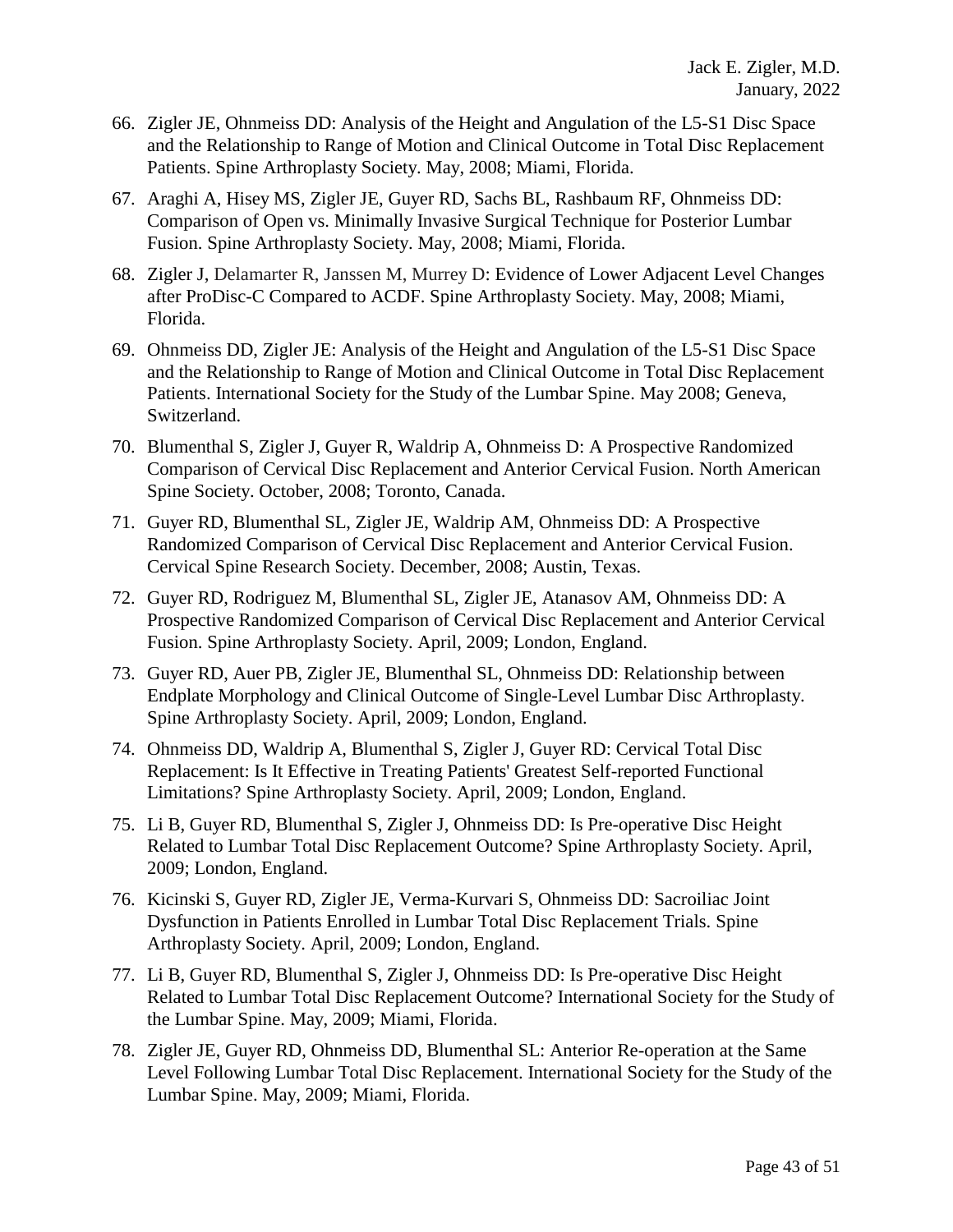- 66. Zigler JE, Ohnmeiss DD: Analysis of the Height and Angulation of the L5-S1 Disc Space and the Relationship to Range of Motion and Clinical Outcome in Total Disc Replacement Patients. Spine Arthroplasty Society. May, 2008; Miami, Florida.
- 67. Araghi A, Hisey MS, Zigler JE, Guyer RD, Sachs BL, Rashbaum RF, Ohnmeiss DD: Comparison of Open vs. Minimally Invasive Surgical Technique for Posterior Lumbar Fusion. Spine Arthroplasty Society. May, 2008; Miami, Florida.
- 68. Zigler J, Delamarter R, Janssen M, Murrey D: Evidence of Lower Adjacent Level Changes after ProDisc-C Compared to ACDF. Spine Arthroplasty Society. May, 2008; Miami, Florida.
- 69. Ohnmeiss DD, Zigler JE: Analysis of the Height and Angulation of the L5-S1 Disc Space and the Relationship to Range of Motion and Clinical Outcome in Total Disc Replacement Patients. International Society for the Study of the Lumbar Spine. May 2008; Geneva, Switzerland.
- 70. Blumenthal S, Zigler J, Guyer R, Waldrip A, Ohnmeiss D: A Prospective Randomized Comparison of Cervical Disc Replacement and Anterior Cervical Fusion. North American Spine Society. October, 2008; Toronto, Canada.
- 71. Guyer RD, Blumenthal SL, Zigler JE, Waldrip AM, Ohnmeiss DD: A Prospective Randomized Comparison of Cervical Disc Replacement and Anterior Cervical Fusion. Cervical Spine Research Society. December, 2008; Austin, Texas.
- 72. Guyer RD, Rodriguez M, Blumenthal SL, Zigler JE, Atanasov AM, Ohnmeiss DD: A Prospective Randomized Comparison of Cervical Disc Replacement and Anterior Cervical Fusion. Spine Arthroplasty Society. April, 2009; London, England.
- 73. Guyer RD, Auer PB, Zigler JE, Blumenthal SL, Ohnmeiss DD: Relationship between Endplate Morphology and Clinical Outcome of Single-Level Lumbar Disc Arthroplasty. Spine Arthroplasty Society. April, 2009; London, England.
- 74. Ohnmeiss DD, Waldrip A, Blumenthal S, Zigler J, Guyer RD: Cervical Total Disc Replacement: Is It Effective in Treating Patients' Greatest Self-reported Functional Limitations? Spine Arthroplasty Society. April, 2009; London, England.
- 75. Li B, Guyer RD, Blumenthal S, Zigler J, Ohnmeiss DD: Is Pre-operative Disc Height Related to Lumbar Total Disc Replacement Outcome? Spine Arthroplasty Society. April, 2009; London, England.
- 76. Kicinski S, Guyer RD, Zigler JE, Verma-Kurvari S, Ohnmeiss DD: Sacroiliac Joint Dysfunction in Patients Enrolled in Lumbar Total Disc Replacement Trials. Spine Arthroplasty Society. April, 2009; London, England.
- 77. Li B, Guyer RD, Blumenthal S, Zigler J, Ohnmeiss DD: Is Pre-operative Disc Height Related to Lumbar Total Disc Replacement Outcome? International Society for the Study of the Lumbar Spine. May, 2009; Miami, Florida.
- 78. Zigler JE, Guyer RD, Ohnmeiss DD, Blumenthal SL: Anterior Re-operation at the Same Level Following Lumbar Total Disc Replacement. International Society for the Study of the Lumbar Spine. May, 2009; Miami, Florida.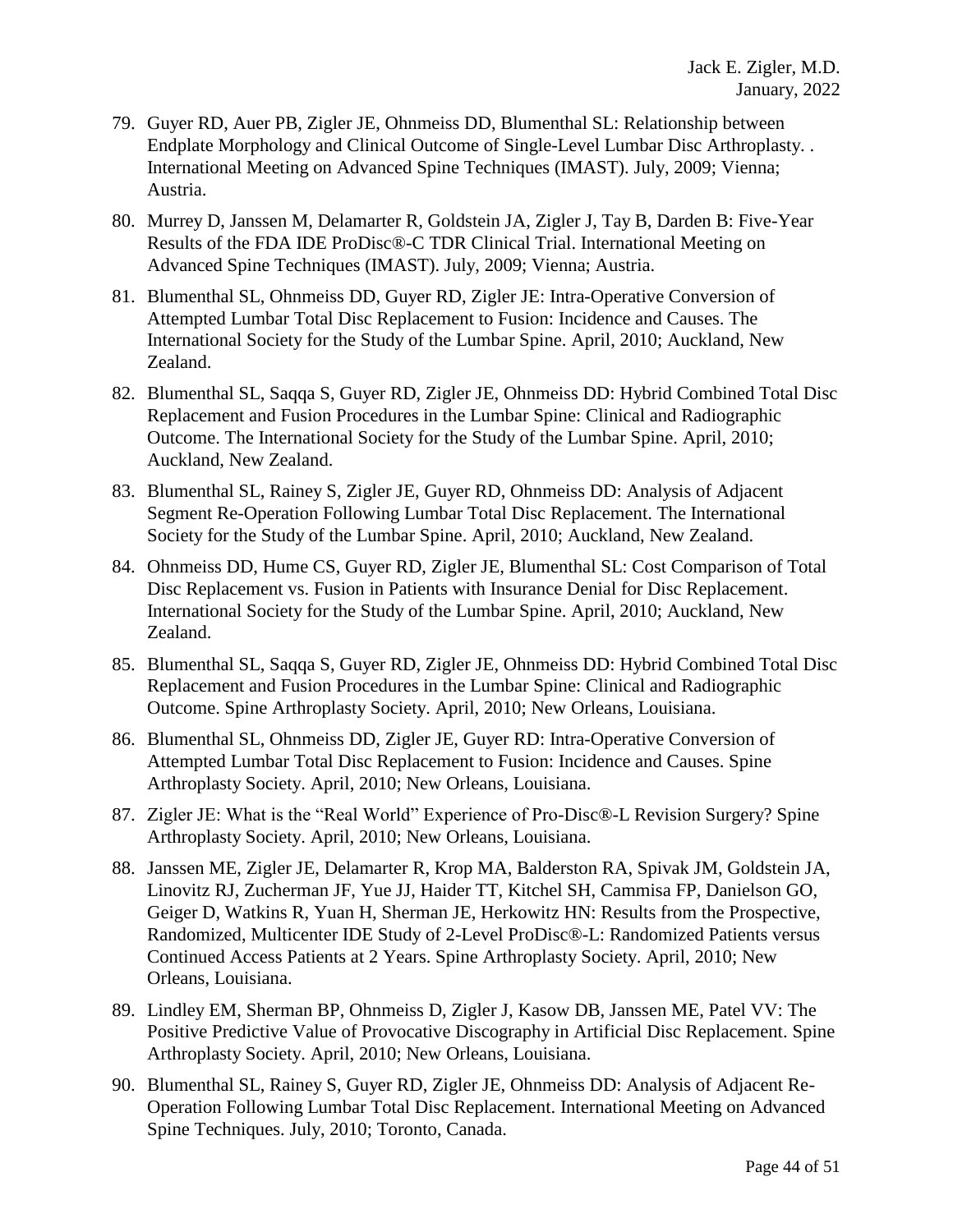- 79. Guyer RD, Auer PB, Zigler JE, Ohnmeiss DD, Blumenthal SL: Relationship between Endplate Morphology and Clinical Outcome of Single-Level Lumbar Disc Arthroplasty. . International Meeting on Advanced Spine Techniques (IMAST). July, 2009; Vienna; Austria.
- 80. Murrey D, Janssen M, Delamarter R, Goldstein JA, Zigler J, Tay B, Darden B: Five-Year Results of the FDA IDE ProDisc®-C TDR Clinical Trial. International Meeting on Advanced Spine Techniques (IMAST). July, 2009; Vienna; Austria.
- 81. Blumenthal SL, Ohnmeiss DD, Guyer RD, Zigler JE: Intra-Operative Conversion of Attempted Lumbar Total Disc Replacement to Fusion: Incidence and Causes. The International Society for the Study of the Lumbar Spine. April, 2010; Auckland, New Zealand.
- 82. Blumenthal SL, Saqqa S, Guyer RD, Zigler JE, Ohnmeiss DD: Hybrid Combined Total Disc Replacement and Fusion Procedures in the Lumbar Spine: Clinical and Radiographic Outcome. The International Society for the Study of the Lumbar Spine. April, 2010; Auckland, New Zealand.
- 83. Blumenthal SL, Rainey S, Zigler JE, Guyer RD, Ohnmeiss DD: Analysis of Adjacent Segment Re-Operation Following Lumbar Total Disc Replacement. The International Society for the Study of the Lumbar Spine. April, 2010; Auckland, New Zealand.
- 84. Ohnmeiss DD, Hume CS, Guyer RD, Zigler JE, Blumenthal SL: Cost Comparison of Total Disc Replacement vs. Fusion in Patients with Insurance Denial for Disc Replacement. International Society for the Study of the Lumbar Spine. April, 2010; Auckland, New Zealand.
- 85. Blumenthal SL, Saqqa S, Guyer RD, Zigler JE, Ohnmeiss DD: Hybrid Combined Total Disc Replacement and Fusion Procedures in the Lumbar Spine: Clinical and Radiographic Outcome. Spine Arthroplasty Society. April, 2010; New Orleans, Louisiana.
- 86. Blumenthal SL, Ohnmeiss DD, Zigler JE, Guyer RD: Intra-Operative Conversion of Attempted Lumbar Total Disc Replacement to Fusion: Incidence and Causes. Spine Arthroplasty Society. April, 2010; New Orleans, Louisiana.
- 87. Zigler JE: What is the "Real World" Experience of Pro-Disc®-L Revision Surgery? Spine Arthroplasty Society. April, 2010; New Orleans, Louisiana.
- 88. Janssen ME, Zigler JE, Delamarter R, Krop MA, Balderston RA, Spivak JM, Goldstein JA, Linovitz RJ, Zucherman JF, Yue JJ, Haider TT, Kitchel SH, Cammisa FP, Danielson GO, Geiger D, Watkins R, Yuan H, Sherman JE, Herkowitz HN: Results from the Prospective, Randomized, Multicenter IDE Study of 2-Level ProDisc®-L: Randomized Patients versus Continued Access Patients at 2 Years. Spine Arthroplasty Society. April, 2010; New Orleans, Louisiana.
- 89. Lindley EM, Sherman BP, Ohnmeiss D, Zigler J, Kasow DB, Janssen ME, Patel VV: The Positive Predictive Value of Provocative Discography in Artificial Disc Replacement. Spine Arthroplasty Society. April, 2010; New Orleans, Louisiana.
- 90. Blumenthal SL, Rainey S, Guyer RD, Zigler JE, Ohnmeiss DD: Analysis of Adjacent Re-Operation Following Lumbar Total Disc Replacement. International Meeting on Advanced Spine Techniques. July, 2010; Toronto, Canada.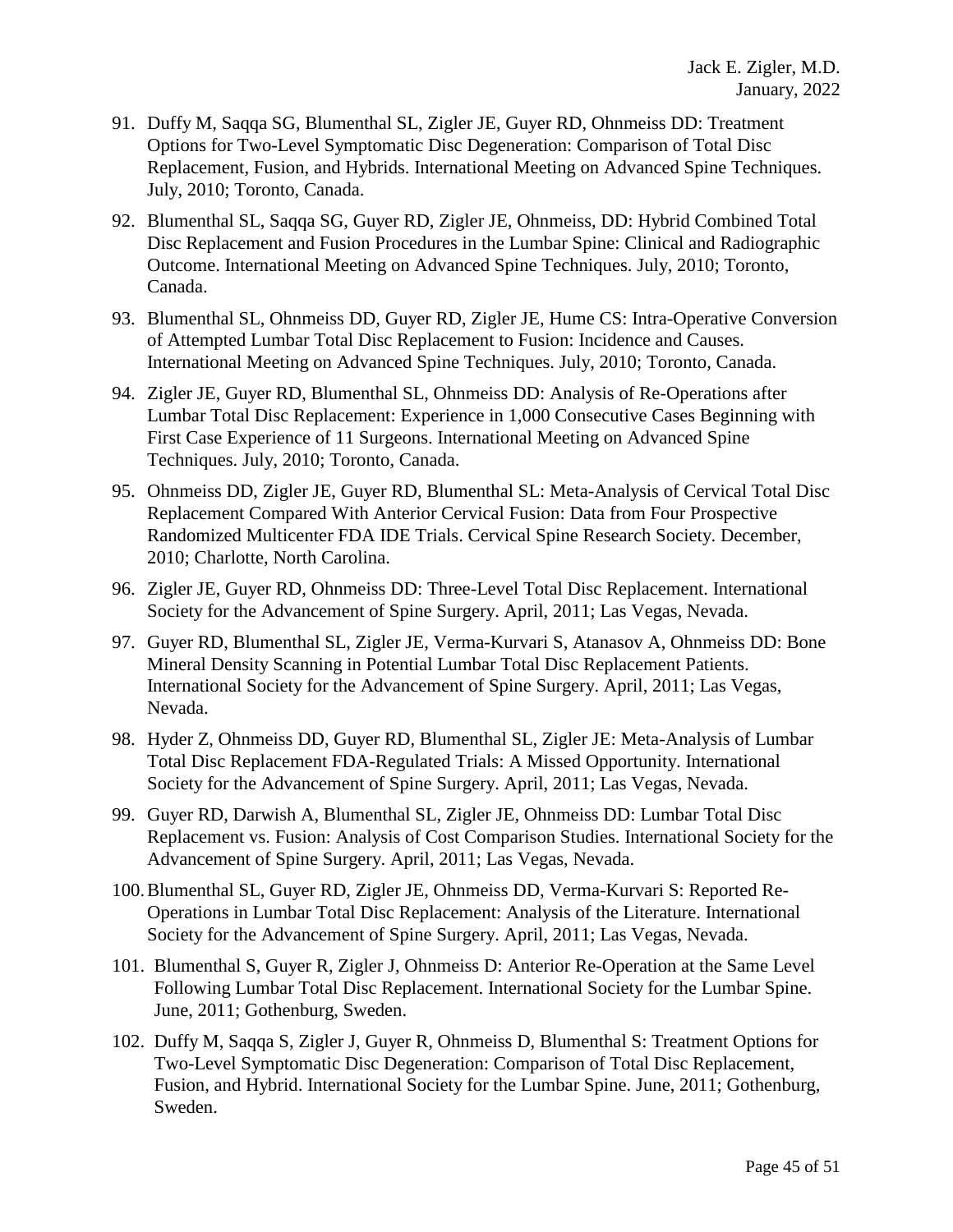- 91. Duffy M, Saqqa SG, Blumenthal SL, Zigler JE, Guyer RD, Ohnmeiss DD: Treatment Options for Two-Level Symptomatic Disc Degeneration: Comparison of Total Disc Replacement, Fusion, and Hybrids. International Meeting on Advanced Spine Techniques. July, 2010; Toronto, Canada.
- 92. Blumenthal SL, Saqqa SG, Guyer RD, Zigler JE, Ohnmeiss, DD: Hybrid Combined Total Disc Replacement and Fusion Procedures in the Lumbar Spine: Clinical and Radiographic Outcome. International Meeting on Advanced Spine Techniques. July, 2010; Toronto, Canada.
- 93. Blumenthal SL, Ohnmeiss DD, Guyer RD, Zigler JE, Hume CS: Intra-Operative Conversion of Attempted Lumbar Total Disc Replacement to Fusion: Incidence and Causes. International Meeting on Advanced Spine Techniques. July, 2010; Toronto, Canada.
- 94. Zigler JE, Guyer RD, Blumenthal SL, Ohnmeiss DD: Analysis of Re-Operations after Lumbar Total Disc Replacement: Experience in 1,000 Consecutive Cases Beginning with First Case Experience of 11 Surgeons. International Meeting on Advanced Spine Techniques. July, 2010; Toronto, Canada.
- 95. Ohnmeiss DD, Zigler JE, Guyer RD, Blumenthal SL: Meta-Analysis of Cervical Total Disc Replacement Compared With Anterior Cervical Fusion: Data from Four Prospective Randomized Multicenter FDA IDE Trials. Cervical Spine Research Society. December, 2010; Charlotte, North Carolina.
- 96. Zigler JE, Guyer RD, Ohnmeiss DD: Three-Level Total Disc Replacement. International Society for the Advancement of Spine Surgery. April, 2011; Las Vegas, Nevada.
- 97. Guyer RD, Blumenthal SL, Zigler JE, Verma-Kurvari S, Atanasov A, Ohnmeiss DD: Bone Mineral Density Scanning in Potential Lumbar Total Disc Replacement Patients. International Society for the Advancement of Spine Surgery. April, 2011; Las Vegas, Nevada.
- 98. Hyder Z, Ohnmeiss DD, Guyer RD, Blumenthal SL, Zigler JE: Meta-Analysis of Lumbar Total Disc Replacement FDA-Regulated Trials: A Missed Opportunity. International Society for the Advancement of Spine Surgery. April, 2011; Las Vegas, Nevada.
- 99. Guyer RD, Darwish A, Blumenthal SL, Zigler JE, Ohnmeiss DD: Lumbar Total Disc Replacement vs. Fusion: Analysis of Cost Comparison Studies. International Society for the Advancement of Spine Surgery. April, 2011; Las Vegas, Nevada.
- 100.Blumenthal SL, Guyer RD, Zigler JE, Ohnmeiss DD, Verma-Kurvari S: Reported Re-Operations in Lumbar Total Disc Replacement: Analysis of the Literature. International Society for the Advancement of Spine Surgery. April, 2011; Las Vegas, Nevada.
- 101. Blumenthal S, Guyer R, Zigler J, Ohnmeiss D: Anterior Re-Operation at the Same Level Following Lumbar Total Disc Replacement. International Society for the Lumbar Spine. June, 2011; Gothenburg, Sweden.
- 102. Duffy M, Saqqa S, Zigler J, Guyer R, Ohnmeiss D, Blumenthal S: Treatment Options for Two-Level Symptomatic Disc Degeneration: Comparison of Total Disc Replacement, Fusion, and Hybrid. International Society for the Lumbar Spine. June, 2011; Gothenburg, Sweden.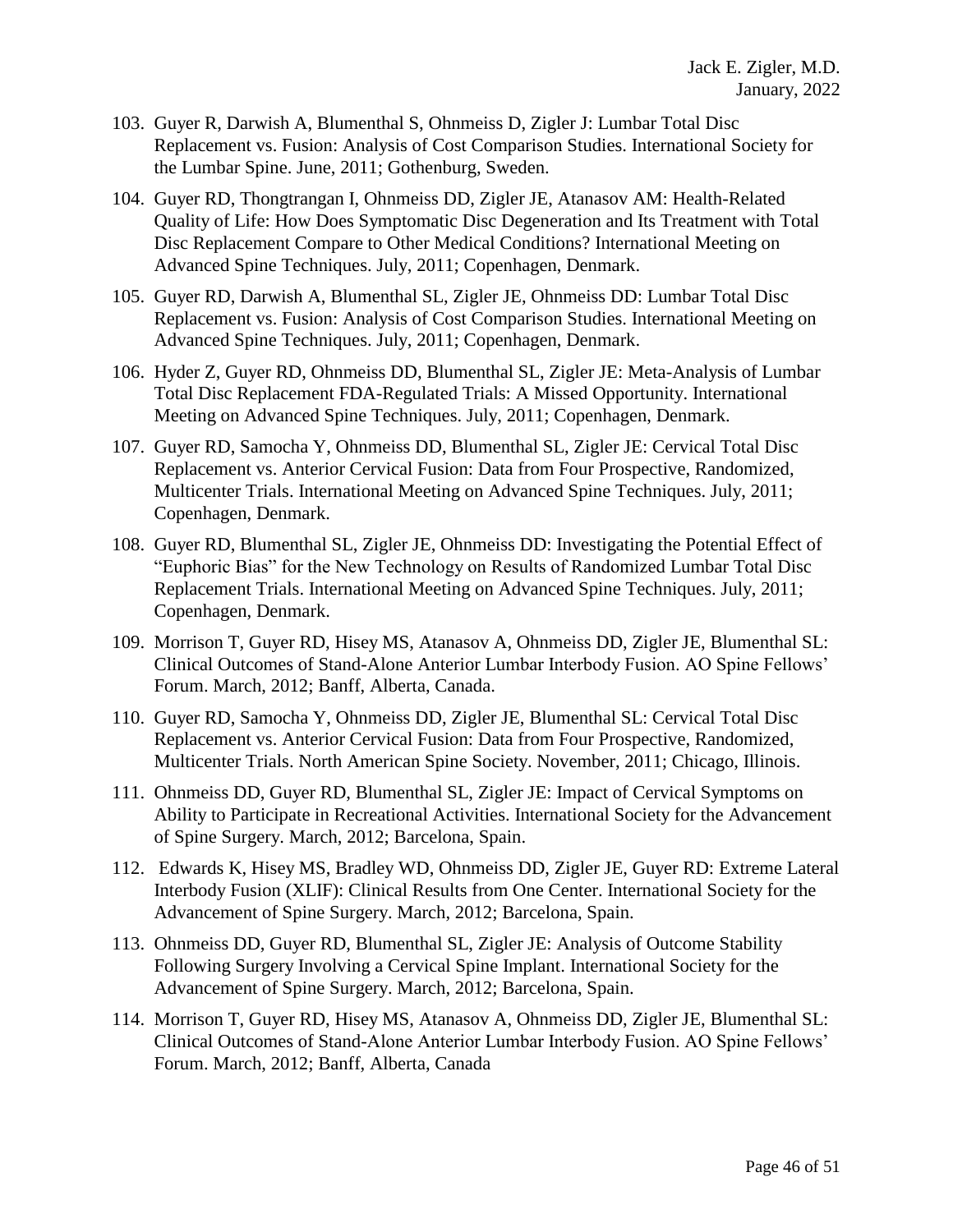- 103. Guyer R, Darwish A, Blumenthal S, Ohnmeiss D, Zigler J: Lumbar Total Disc Replacement vs. Fusion: Analysis of Cost Comparison Studies. International Society for the Lumbar Spine. June, 2011; Gothenburg, Sweden.
- 104. Guyer RD, Thongtrangan I, Ohnmeiss DD, Zigler JE, Atanasov AM: Health-Related Quality of Life: How Does Symptomatic Disc Degeneration and Its Treatment with Total Disc Replacement Compare to Other Medical Conditions? International Meeting on Advanced Spine Techniques. July, 2011; Copenhagen, Denmark.
- 105. Guyer RD, Darwish A, Blumenthal SL, Zigler JE, Ohnmeiss DD: Lumbar Total Disc Replacement vs. Fusion: Analysis of Cost Comparison Studies. International Meeting on Advanced Spine Techniques. July, 2011; Copenhagen, Denmark.
- 106. Hyder Z, Guyer RD, Ohnmeiss DD, Blumenthal SL, Zigler JE: Meta-Analysis of Lumbar Total Disc Replacement FDA-Regulated Trials: A Missed Opportunity. International Meeting on Advanced Spine Techniques. July, 2011; Copenhagen, Denmark.
- 107. Guyer RD, Samocha Y, Ohnmeiss DD, Blumenthal SL, Zigler JE: Cervical Total Disc Replacement vs. Anterior Cervical Fusion: Data from Four Prospective, Randomized, Multicenter Trials. International Meeting on Advanced Spine Techniques. July, 2011; Copenhagen, Denmark.
- 108. Guyer RD, Blumenthal SL, Zigler JE, Ohnmeiss DD: Investigating the Potential Effect of "Euphoric Bias" for the New Technology on Results of Randomized Lumbar Total Disc Replacement Trials. International Meeting on Advanced Spine Techniques. July, 2011; Copenhagen, Denmark.
- 109. Morrison T, Guyer RD, Hisey MS, Atanasov A, Ohnmeiss DD, Zigler JE, Blumenthal SL: Clinical Outcomes of Stand-Alone Anterior Lumbar Interbody Fusion. AO Spine Fellows' Forum. March, 2012; Banff, Alberta, Canada.
- 110. Guyer RD, Samocha Y, Ohnmeiss DD, Zigler JE, Blumenthal SL: Cervical Total Disc Replacement vs. Anterior Cervical Fusion: Data from Four Prospective, Randomized, Multicenter Trials. North American Spine Society. November, 2011; Chicago, Illinois.
- 111. Ohnmeiss DD, Guyer RD, Blumenthal SL, Zigler JE: Impact of Cervical Symptoms on Ability to Participate in Recreational Activities. International Society for the Advancement of Spine Surgery. March, 2012; Barcelona, Spain.
- 112. Edwards K, Hisey MS, Bradley WD, Ohnmeiss DD, Zigler JE, Guyer RD: Extreme Lateral Interbody Fusion (XLIF): Clinical Results from One Center. International Society for the Advancement of Spine Surgery. March, 2012; Barcelona, Spain.
- 113. Ohnmeiss DD, Guyer RD, Blumenthal SL, Zigler JE: Analysis of Outcome Stability Following Surgery Involving a Cervical Spine Implant. International Society for the Advancement of Spine Surgery. March, 2012; Barcelona, Spain.
- 114. Morrison T, Guyer RD, Hisey MS, Atanasov A, Ohnmeiss DD, Zigler JE, Blumenthal SL: Clinical Outcomes of Stand-Alone Anterior Lumbar Interbody Fusion. AO Spine Fellows' Forum. March, 2012; Banff, Alberta, Canada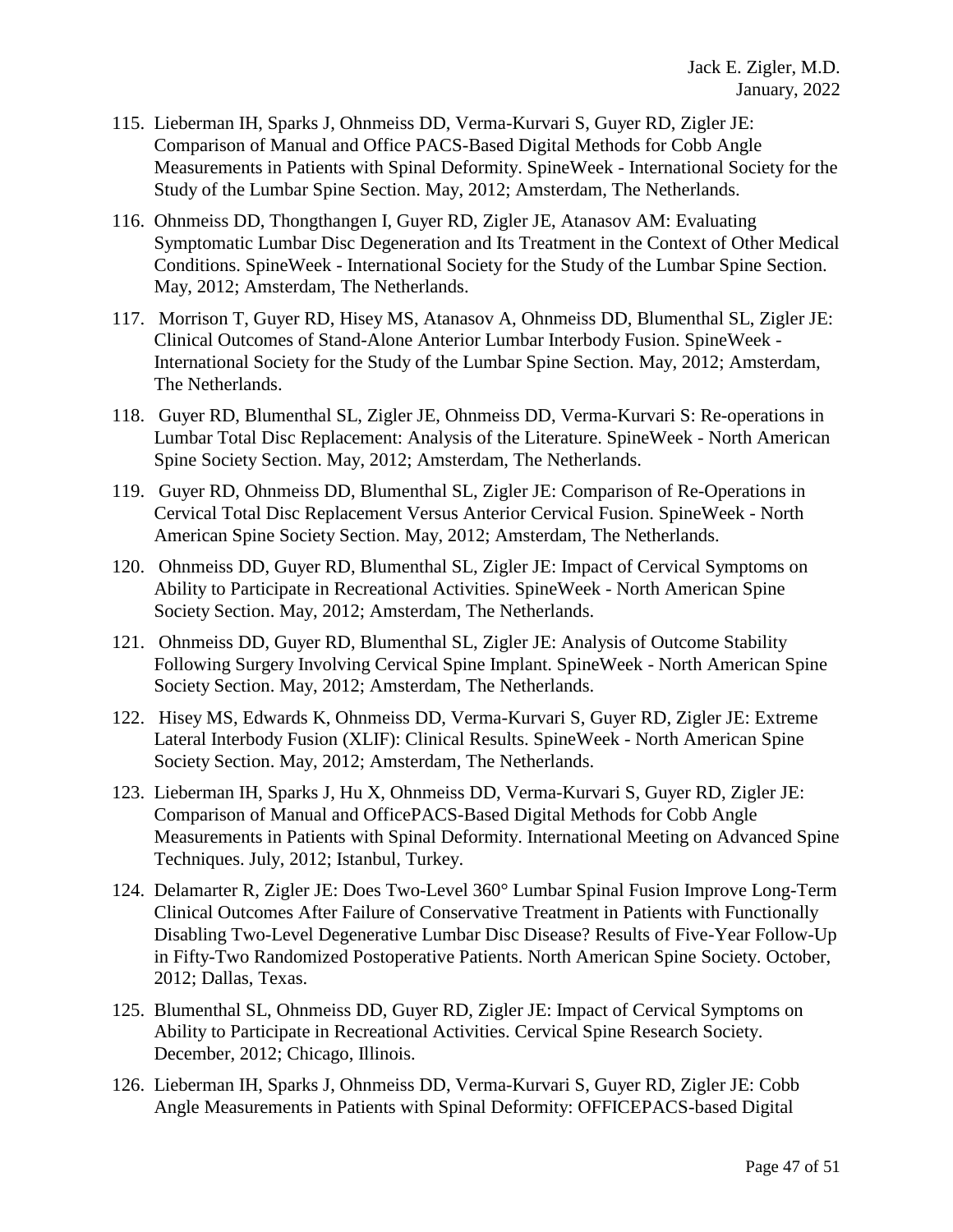- 115. Lieberman IH, Sparks J, Ohnmeiss DD, Verma-Kurvari S, Guyer RD, Zigler JE: Comparison of Manual and Office PACS-Based Digital Methods for Cobb Angle Measurements in Patients with Spinal Deformity. SpineWeek - International Society for the Study of the Lumbar Spine Section. May, 2012; Amsterdam, The Netherlands.
- 116. Ohnmeiss DD, Thongthangen I, Guyer RD, Zigler JE, Atanasov AM: Evaluating Symptomatic Lumbar Disc Degeneration and Its Treatment in the Context of Other Medical Conditions. SpineWeek - International Society for the Study of the Lumbar Spine Section. May, 2012; Amsterdam, The Netherlands.
- 117. Morrison T, Guyer RD, Hisey MS, Atanasov A, Ohnmeiss DD, Blumenthal SL, Zigler JE: Clinical Outcomes of Stand-Alone Anterior Lumbar Interbody Fusion. SpineWeek - International Society for the Study of the Lumbar Spine Section. May, 2012; Amsterdam, The Netherlands.
- 118. Guyer RD, Blumenthal SL, Zigler JE, Ohnmeiss DD, Verma-Kurvari S: Re-operations in Lumbar Total Disc Replacement: Analysis of the Literature. SpineWeek - North American Spine Society Section. May, 2012; Amsterdam, The Netherlands.
- 119. Guyer RD, Ohnmeiss DD, Blumenthal SL, Zigler JE: Comparison of Re-Operations in Cervical Total Disc Replacement Versus Anterior Cervical Fusion. SpineWeek - North American Spine Society Section. May, 2012; Amsterdam, The Netherlands.
- 120. Ohnmeiss DD, Guyer RD, Blumenthal SL, Zigler JE: Impact of Cervical Symptoms on Ability to Participate in Recreational Activities. SpineWeek - North American Spine Society Section. May, 2012; Amsterdam, The Netherlands.
- 121. Ohnmeiss DD, Guyer RD, Blumenthal SL, Zigler JE: Analysis of Outcome Stability Following Surgery Involving Cervical Spine Implant. SpineWeek - North American Spine Society Section. May, 2012; Amsterdam, The Netherlands.
- 122. Hisey MS, Edwards K, Ohnmeiss DD, Verma-Kurvari S, Guyer RD, Zigler JE: Extreme Lateral Interbody Fusion (XLIF): Clinical Results. SpineWeek - North American Spine Society Section. May, 2012; Amsterdam, The Netherlands.
- 123. Lieberman IH, Sparks J, Hu X, Ohnmeiss DD, Verma-Kurvari S, Guyer RD, Zigler JE: Comparison of Manual and OfficePACS-Based Digital Methods for Cobb Angle Measurements in Patients with Spinal Deformity. International Meeting on Advanced Spine Techniques. July, 2012; Istanbul, Turkey.
- 124. Delamarter R, Zigler JE: Does Two-Level 360° Lumbar Spinal Fusion Improve Long-Term Clinical Outcomes After Failure of Conservative Treatment in Patients with Functionally Disabling Two-Level Degenerative Lumbar Disc Disease? Results of Five-Year Follow-Up in Fifty-Two Randomized Postoperative Patients. North American Spine Society. October, 2012; Dallas, Texas.
- 125. Blumenthal SL, Ohnmeiss DD, Guyer RD, Zigler JE: Impact of Cervical Symptoms on Ability to Participate in Recreational Activities. Cervical Spine Research Society. December, 2012; Chicago, Illinois.
- 126. Lieberman IH, Sparks J, Ohnmeiss DD, Verma-Kurvari S, Guyer RD, Zigler JE: Cobb Angle Measurements in Patients with Spinal Deformity: OFFICEPACS-based Digital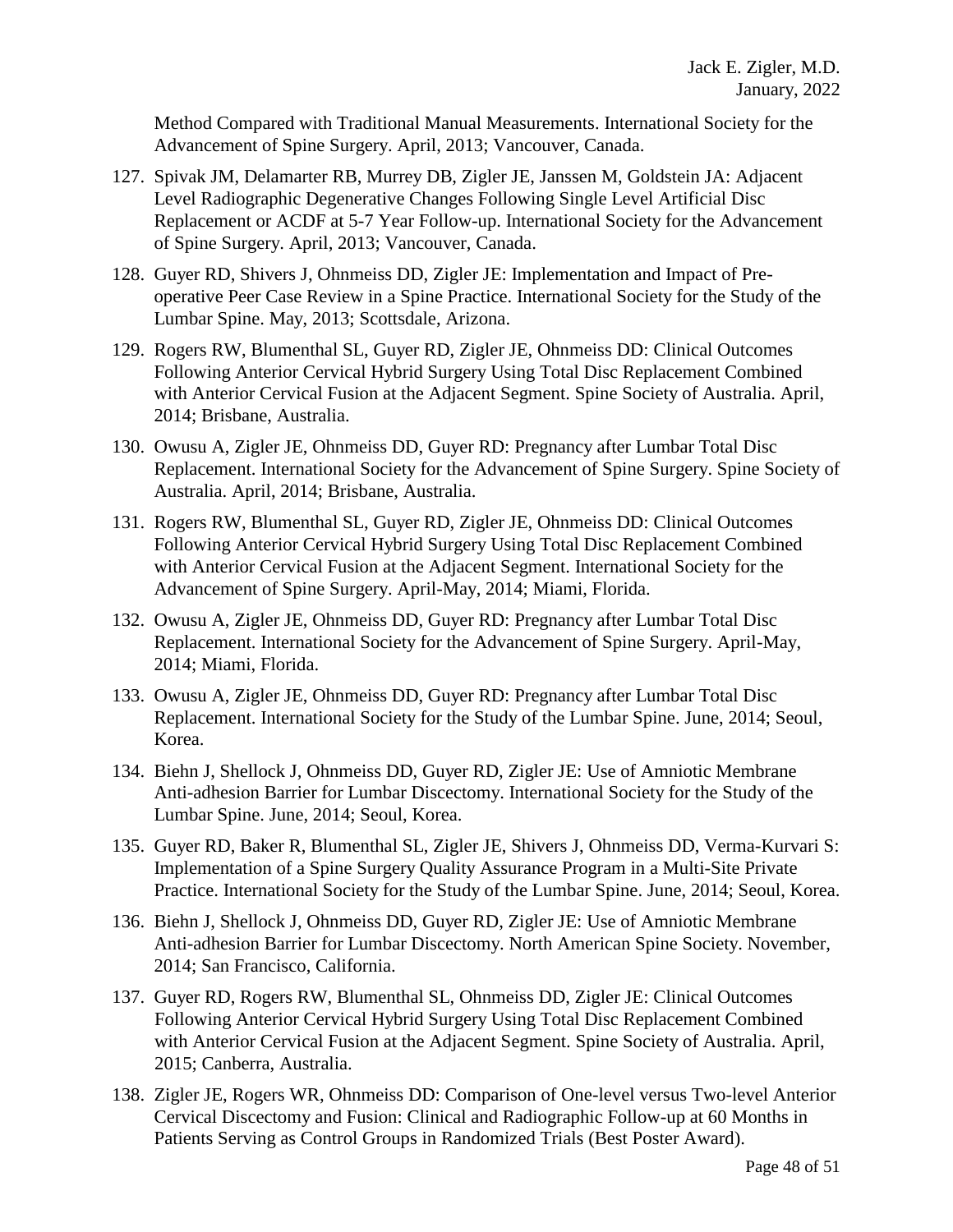Method Compared with Traditional Manual Measurements. International Society for the Advancement of Spine Surgery. April, 2013; Vancouver, Canada.

- 127. Spivak JM, Delamarter RB, Murrey DB, Zigler JE, Janssen M, Goldstein JA: Adjacent Level Radiographic Degenerative Changes Following Single Level Artificial Disc Replacement or ACDF at 5-7 Year Follow-up. International Society for the Advancement of Spine Surgery. April, 2013; Vancouver, Canada.
- 128. Guyer RD, Shivers J, Ohnmeiss DD, Zigler JE: Implementation and Impact of Preoperative Peer Case Review in a Spine Practice. International Society for the Study of the Lumbar Spine. May, 2013; Scottsdale, Arizona.
- 129. Rogers RW, Blumenthal SL, Guyer RD, Zigler JE, Ohnmeiss DD: Clinical Outcomes Following Anterior Cervical Hybrid Surgery Using Total Disc Replacement Combined with Anterior Cervical Fusion at the Adjacent Segment. Spine Society of Australia. April, 2014; Brisbane, Australia.
- 130. Owusu A, Zigler JE, Ohnmeiss DD, Guyer RD: Pregnancy after Lumbar Total Disc Replacement. International Society for the Advancement of Spine Surgery. Spine Society of Australia. April, 2014; Brisbane, Australia.
- 131. Rogers RW, Blumenthal SL, Guyer RD, Zigler JE, Ohnmeiss DD: Clinical Outcomes Following Anterior Cervical Hybrid Surgery Using Total Disc Replacement Combined with Anterior Cervical Fusion at the Adjacent Segment. International Society for the Advancement of Spine Surgery. April-May, 2014; Miami, Florida.
- 132. Owusu A, Zigler JE, Ohnmeiss DD, Guyer RD: Pregnancy after Lumbar Total Disc Replacement. International Society for the Advancement of Spine Surgery. April-May, 2014; Miami, Florida.
- 133. Owusu A, Zigler JE, Ohnmeiss DD, Guyer RD: Pregnancy after Lumbar Total Disc Replacement. International Society for the Study of the Lumbar Spine. June, 2014; Seoul, Korea.
- 134. Biehn J, Shellock J, Ohnmeiss DD, Guyer RD, Zigler JE: Use of Amniotic Membrane Anti-adhesion Barrier for Lumbar Discectomy. International Society for the Study of the Lumbar Spine. June, 2014; Seoul, Korea.
- 135. Guyer RD, Baker R, Blumenthal SL, Zigler JE, Shivers J, Ohnmeiss DD, Verma-Kurvari S: Implementation of a Spine Surgery Quality Assurance Program in a Multi-Site Private Practice. International Society for the Study of the Lumbar Spine. June, 2014; Seoul, Korea.
- 136. Biehn J, Shellock J, Ohnmeiss DD, Guyer RD, Zigler JE: Use of Amniotic Membrane Anti-adhesion Barrier for Lumbar Discectomy. North American Spine Society. November, 2014; San Francisco, California.
- 137. Guyer RD, Rogers RW, Blumenthal SL, Ohnmeiss DD, Zigler JE: Clinical Outcomes Following Anterior Cervical Hybrid Surgery Using Total Disc Replacement Combined with Anterior Cervical Fusion at the Adjacent Segment. Spine Society of Australia. April, 2015; Canberra, Australia.
- 138. Zigler JE, Rogers WR, Ohnmeiss DD: Comparison of One-level versus Two-level Anterior Cervical Discectomy and Fusion: Clinical and Radiographic Follow-up at 60 Months in Patients Serving as Control Groups in Randomized Trials (Best Poster Award).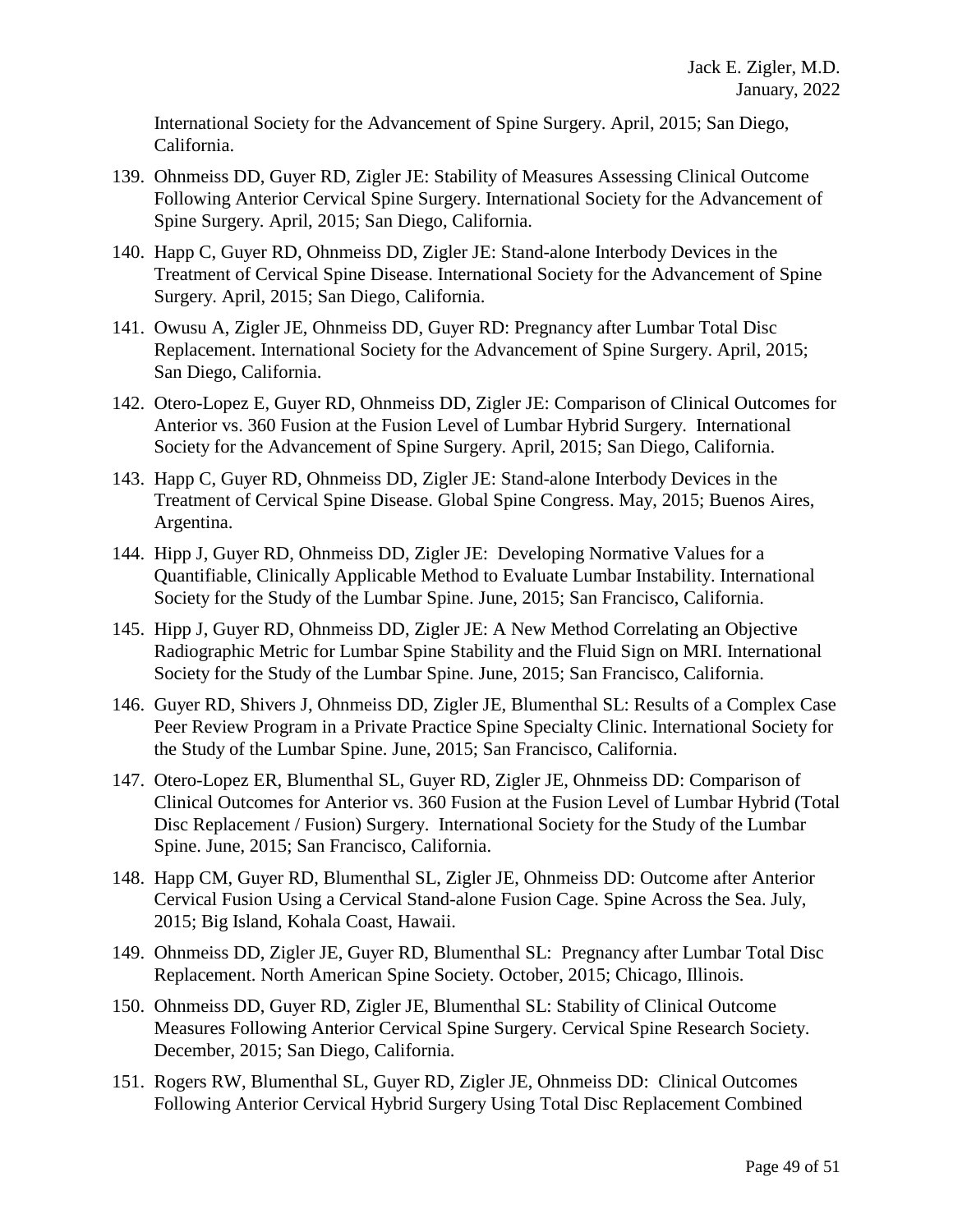International Society for the Advancement of Spine Surgery. April, 2015; San Diego, California.

- 139. Ohnmeiss DD, Guyer RD, Zigler JE: Stability of Measures Assessing Clinical Outcome Following Anterior Cervical Spine Surgery. International Society for the Advancement of Spine Surgery. April, 2015; San Diego, California.
- 140. Happ C, Guyer RD, Ohnmeiss DD, Zigler JE: Stand-alone Interbody Devices in the Treatment of Cervical Spine Disease. International Society for the Advancement of Spine Surgery. April, 2015; San Diego, California.
- 141. Owusu A, Zigler JE, Ohnmeiss DD, Guyer RD: Pregnancy after Lumbar Total Disc Replacement. International Society for the Advancement of Spine Surgery. April, 2015; San Diego, California.
- 142. Otero-Lopez E, Guyer RD, Ohnmeiss DD, Zigler JE: Comparison of Clinical Outcomes for Anterior vs. 360 Fusion at the Fusion Level of Lumbar Hybrid Surgery. International Society for the Advancement of Spine Surgery. April, 2015; San Diego, California.
- 143. Happ C, Guyer RD, Ohnmeiss DD, Zigler JE: Stand-alone Interbody Devices in the Treatment of Cervical Spine Disease. Global Spine Congress. May, 2015; Buenos Aires, Argentina.
- 144. Hipp J, Guyer RD, Ohnmeiss DD, Zigler JE: Developing Normative Values for a Quantifiable, Clinically Applicable Method to Evaluate Lumbar Instability. International Society for the Study of the Lumbar Spine. June, 2015; San Francisco, California.
- 145. Hipp J, Guyer RD, Ohnmeiss DD, Zigler JE: A New Method Correlating an Objective Radiographic Metric for Lumbar Spine Stability and the Fluid Sign on MRI. International Society for the Study of the Lumbar Spine. June, 2015; San Francisco, California.
- 146. Guyer RD, Shivers J, Ohnmeiss DD, Zigler JE, Blumenthal SL: Results of a Complex Case Peer Review Program in a Private Practice Spine Specialty Clinic. International Society for the Study of the Lumbar Spine. June, 2015; San Francisco, California.
- 147. Otero-Lopez ER, Blumenthal SL, Guyer RD, Zigler JE, Ohnmeiss DD: Comparison of Clinical Outcomes for Anterior vs. 360 Fusion at the Fusion Level of Lumbar Hybrid (Total Disc Replacement / Fusion) Surgery. International Society for the Study of the Lumbar Spine. June, 2015; San Francisco, California.
- 148. Happ CM, Guyer RD, Blumenthal SL, Zigler JE, Ohnmeiss DD: Outcome after Anterior Cervical Fusion Using a Cervical Stand-alone Fusion Cage. Spine Across the Sea. July, 2015; Big Island, Kohala Coast, Hawaii.
- 149. Ohnmeiss DD, Zigler JE, Guyer RD, Blumenthal SL: Pregnancy after Lumbar Total Disc Replacement. North American Spine Society. October, 2015; Chicago, Illinois.
- 150. Ohnmeiss DD, Guyer RD, Zigler JE, Blumenthal SL: Stability of Clinical Outcome Measures Following Anterior Cervical Spine Surgery. Cervical Spine Research Society. December, 2015; San Diego, California.
- 151. Rogers RW, Blumenthal SL, Guyer RD, Zigler JE, Ohnmeiss DD: Clinical Outcomes Following Anterior Cervical Hybrid Surgery Using Total Disc Replacement Combined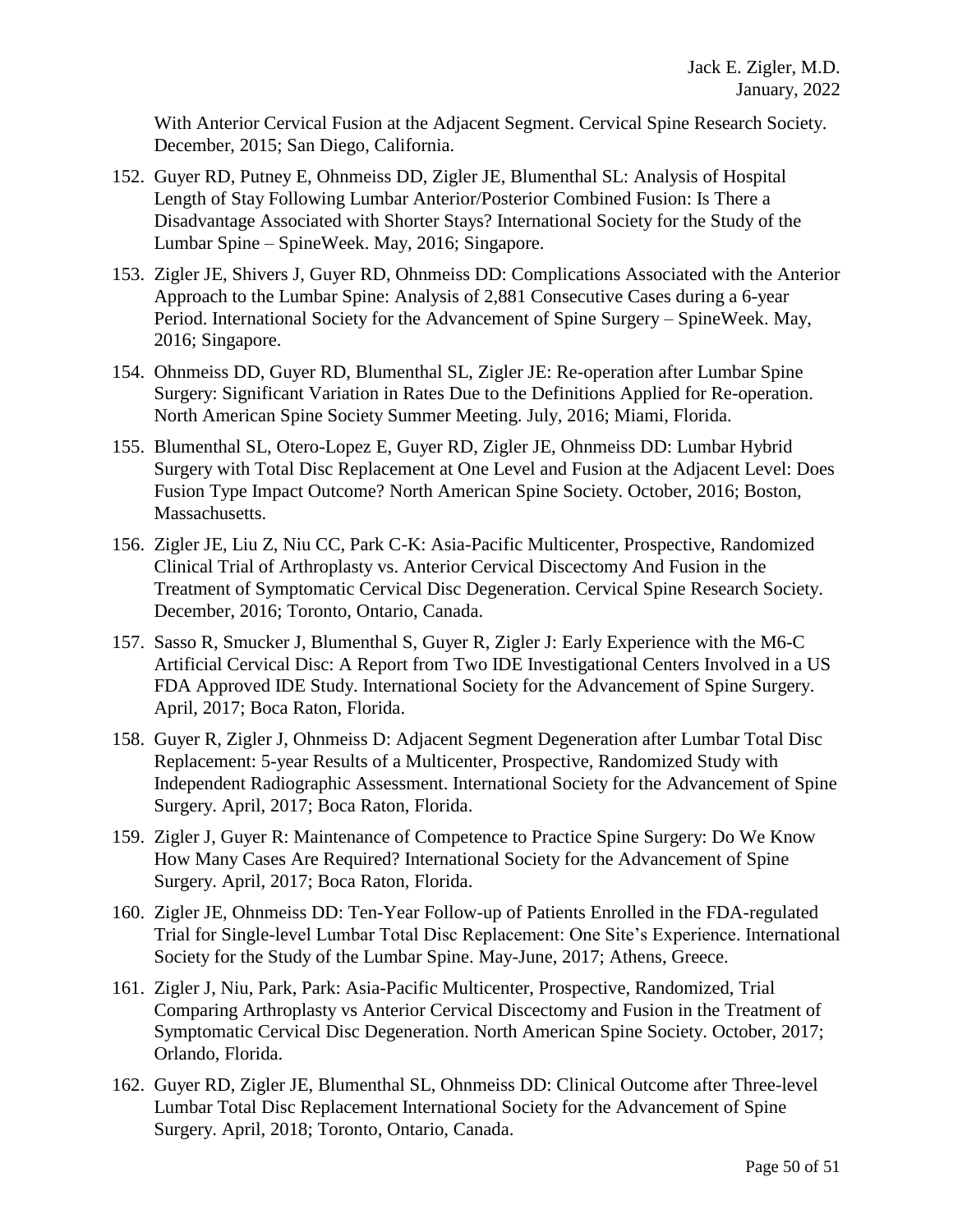With Anterior Cervical Fusion at the Adjacent Segment. Cervical Spine Research Society. December, 2015; San Diego, California.

- 152. Guyer RD, Putney E, Ohnmeiss DD, Zigler JE, Blumenthal SL: Analysis of Hospital Length of Stay Following Lumbar Anterior/Posterior Combined Fusion: Is There a Disadvantage Associated with Shorter Stays? International Society for the Study of the Lumbar Spine – SpineWeek. May, 2016; Singapore.
- 153. Zigler JE, Shivers J, Guyer RD, Ohnmeiss DD: Complications Associated with the Anterior Approach to the Lumbar Spine: Analysis of 2,881 Consecutive Cases during a 6-year Period. International Society for the Advancement of Spine Surgery – SpineWeek. May, 2016; Singapore.
- 154. Ohnmeiss DD, Guyer RD, Blumenthal SL, Zigler JE: Re-operation after Lumbar Spine Surgery: Significant Variation in Rates Due to the Definitions Applied for Re-operation. North American Spine Society Summer Meeting. July, 2016; Miami, Florida.
- 155. Blumenthal SL, Otero-Lopez E, Guyer RD, Zigler JE, Ohnmeiss DD: Lumbar Hybrid Surgery with Total Disc Replacement at One Level and Fusion at the Adjacent Level: Does Fusion Type Impact Outcome? North American Spine Society. October, 2016; Boston, Massachusetts.
- 156. Zigler JE, Liu Z, Niu CC, Park C-K: Asia-Pacific Multicenter, Prospective, Randomized Clinical Trial of Arthroplasty vs. Anterior Cervical Discectomy And Fusion in the Treatment of Symptomatic Cervical Disc Degeneration. Cervical Spine Research Society. December, 2016; Toronto, Ontario, Canada.
- 157. Sasso R, Smucker J, Blumenthal S, Guyer R, Zigler J: Early Experience with the M6-C Artificial Cervical Disc: A Report from Two IDE Investigational Centers Involved in a US FDA Approved IDE Study. International Society for the Advancement of Spine Surgery. April, 2017; Boca Raton, Florida.
- 158. Guyer R, Zigler J, Ohnmeiss D: Adjacent Segment Degeneration after Lumbar Total Disc Replacement: 5-year Results of a Multicenter, Prospective, Randomized Study with Independent Radiographic Assessment. International Society for the Advancement of Spine Surgery. April, 2017; Boca Raton, Florida.
- 159. Zigler J, Guyer R: Maintenance of Competence to Practice Spine Surgery: Do We Know How Many Cases Are Required? International Society for the Advancement of Spine Surgery. April, 2017; Boca Raton, Florida.
- 160. Zigler JE, Ohnmeiss DD: Ten-Year Follow-up of Patients Enrolled in the FDA-regulated Trial for Single-level Lumbar Total Disc Replacement: One Site's Experience. International Society for the Study of the Lumbar Spine. May-June, 2017; Athens, Greece.
- 161. Zigler J, Niu, Park, Park: Asia-Pacific Multicenter, Prospective, Randomized, Trial Comparing Arthroplasty vs Anterior Cervical Discectomy and Fusion in the Treatment of Symptomatic Cervical Disc Degeneration. North American Spine Society. October, 2017; Orlando, Florida.
- 162. Guyer RD, Zigler JE, Blumenthal SL, Ohnmeiss DD: Clinical Outcome after Three-level Lumbar Total Disc Replacement International Society for the Advancement of Spine Surgery. April, 2018; Toronto, Ontario, Canada.